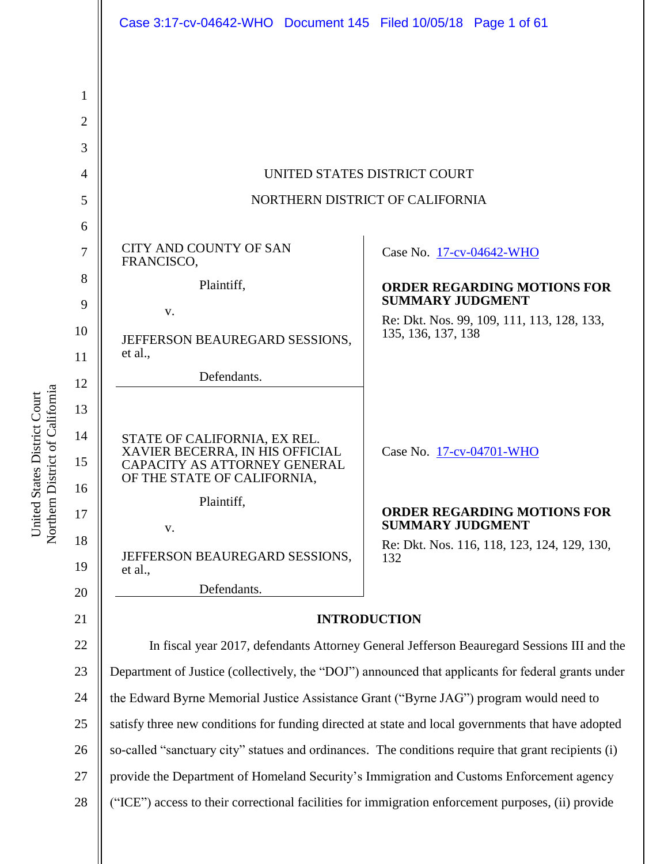|          | Case 3:17-cv-04642-WHO  Document 145  Filed 10/05/18  Page 1 of 61                                                             |                                                               |
|----------|--------------------------------------------------------------------------------------------------------------------------------|---------------------------------------------------------------|
|          |                                                                                                                                |                                                               |
| 1        |                                                                                                                                |                                                               |
| 2        |                                                                                                                                |                                                               |
| 3        |                                                                                                                                |                                                               |
| 4        | UNITED STATES DISTRICT COURT                                                                                                   |                                                               |
| 5        | NORTHERN DISTRICT OF CALIFORNIA                                                                                                |                                                               |
| 6        |                                                                                                                                |                                                               |
| 7        | CITY AND COUNTY OF SAN<br>FRANCISCO,                                                                                           | Case No. 17-cv-04642-WHO                                      |
| 8        | Plaintiff,                                                                                                                     | <b>ORDER REGARDING MOTIONS FOR</b><br><b>SUMMARY JUDGMENT</b> |
| 9        | V.                                                                                                                             | Re: Dkt. Nos. 99, 109, 111, 113, 128, 133,                    |
| 10<br>11 | JEFFERSON BEAUREGARD SESSIONS,<br>et al.,                                                                                      | 135, 136, 137, 138                                            |
| 12       | Defendants.                                                                                                                    |                                                               |
| 13       |                                                                                                                                |                                                               |
| 14<br>15 | STATE OF CALIFORNIA, EX REL.<br>XAVIER BECERRA, IN HIS OFFICIAL<br>CAPACITY AS ATTORNEY GENERAL<br>OF THE STATE OF CALIFORNIA, | Case No. 17-cv-04701-WHO                                      |
| 16       | Plaintiff,                                                                                                                     | <b>ORDER REGARDING MOTIONS FOR</b>                            |
| 17       | V.                                                                                                                             | <b>SUMMARY JUDGMENT</b>                                       |
| 18<br>19 | JEFFERSON BEAUREGARD SESSIONS,<br>et al.,                                                                                      | Re: Dkt. Nos. 116, 118, 123, 124, 129, 130,<br>132            |
| 20       | Defendants.                                                                                                                    |                                                               |
| 21       | <b>INTRODUCTION</b>                                                                                                            |                                                               |
| 22       | In fiscal year 2017, defendants Attorney General Jefferson Beauregard Sessions III and the                                     |                                                               |
| 23       | Department of Justice (collectively, the "DOJ") announced that applicants for federal grants under                             |                                                               |
| 24       | the Edward Byrne Memorial Justice Assistance Grant ("Byrne JAG") program would need to                                         |                                                               |
| 25       | satisfy three new conditions for funding directed at state and local governments that have adopted                             |                                                               |
| 26       | so-called "sanctuary city" statues and ordinances. The conditions require that grant recipients (i)                            |                                                               |
| 27       | provide the Department of Homeland Security's Immigration and Customs Enforcement agency                                       |                                                               |
| 28       | ("ICE") access to their correctional facilities for immigration enforcement purposes, (ii) provide                             |                                                               |

United States District Court<br>Northern District of California Northern District of California United States District Court

 $\parallel$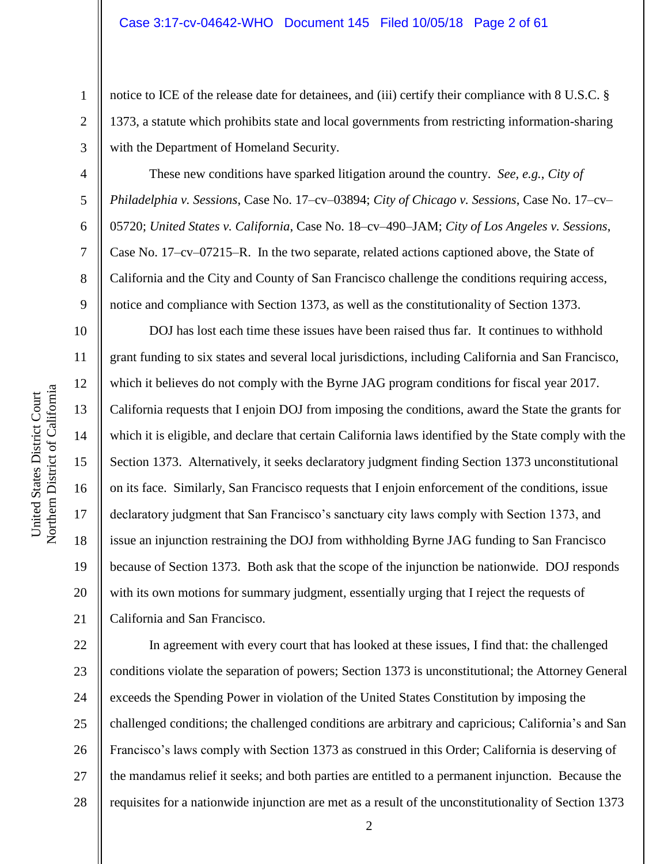notice to ICE of the release date for detainees, and (iii) certify their compliance with 8 U.S.C. § 1373, a statute which prohibits state and local governments from restricting information-sharing with the Department of Homeland Security.

These new conditions have sparked litigation around the country. *See, e.g.*, *City of Philadelphia v. Sessions*, Case No. 17–cv–03894; *City of Chicago v. Sessions*, Case No. 17–cv– 05720; *United States v. California*, Case No. 18–cv–490–JAM; *City of Los Angeles v. Sessions*, Case No. 17–cv–07215–R. In the two separate, related actions captioned above, the State of California and the City and County of San Francisco challenge the conditions requiring access, notice and compliance with Section 1373, as well as the constitutionality of Section 1373.

DOJ has lost each time these issues have been raised thus far. It continues to withhold grant funding to six states and several local jurisdictions, including California and San Francisco, which it believes do not comply with the Byrne JAG program conditions for fiscal year 2017. California requests that I enjoin DOJ from imposing the conditions, award the State the grants for which it is eligible, and declare that certain California laws identified by the State comply with the Section 1373. Alternatively, it seeks declaratory judgment finding Section 1373 unconstitutional on its face. Similarly, San Francisco requests that I enjoin enforcement of the conditions, issue declaratory judgment that San Francisco's sanctuary city laws comply with Section 1373, and issue an injunction restraining the DOJ from withholding Byrne JAG funding to San Francisco because of Section 1373. Both ask that the scope of the injunction be nationwide. DOJ responds with its own motions for summary judgment, essentially urging that I reject the requests of California and San Francisco.

22 23 24 25 26 27 28 In agreement with every court that has looked at these issues, I find that: the challenged conditions violate the separation of powers; Section 1373 is unconstitutional; the Attorney General exceeds the Spending Power in violation of the United States Constitution by imposing the challenged conditions; the challenged conditions are arbitrary and capricious; California's and San Francisco's laws comply with Section 1373 as construed in this Order; California is deserving of the mandamus relief it seeks; and both parties are entitled to a permanent injunction. Because the requisites for a nationwide injunction are met as a result of the unconstitutionality of Section 1373

1

2

3

4

5

6

7

8

9

10

11

12

13

14

15

16

17

18

19

20

21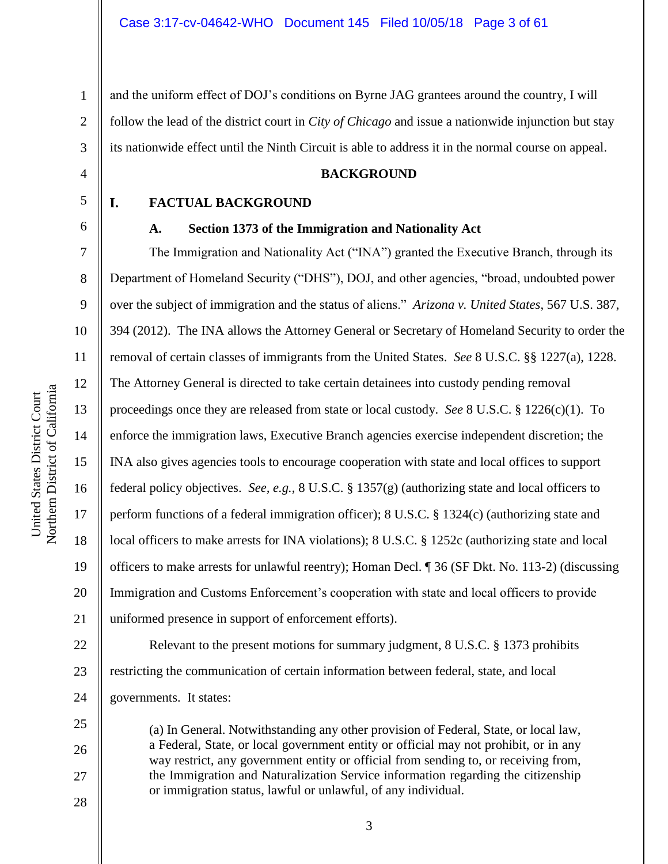2 3 and the uniform effect of DOJ's conditions on Byrne JAG grantees around the country, I will follow the lead of the district court in *City of Chicago* and issue a nationwide injunction but stay its nationwide effect until the Ninth Circuit is able to address it in the normal course on appeal.

#### **BACKGROUND**

5

L

6

7

8

9

10

11

12

13

14

15

16

17

18

19

20

21

25

26

27

28

4

1

#### **A. Section 1373 of the Immigration and Nationality Act**

**FACTUAL BACKGROUND**

The Immigration and Nationality Act ("INA") granted the Executive Branch, through its Department of Homeland Security ("DHS"), DOJ, and other agencies, "broad, undoubted power over the subject of immigration and the status of aliens." *Arizona v. United States*, 567 U.S. 387, 394 (2012). The INA allows the Attorney General or Secretary of Homeland Security to order the removal of certain classes of immigrants from the United States. *See* 8 U.S.C. §§ 1227(a), 1228. The Attorney General is directed to take certain detainees into custody pending removal proceedings once they are released from state or local custody. *See* 8 U.S.C. § 1226(c)(1). To enforce the immigration laws, Executive Branch agencies exercise independent discretion; the INA also gives agencies tools to encourage cooperation with state and local offices to support federal policy objectives. *See, e.g.*, 8 U.S.C. § 1357(g) (authorizing state and local officers to perform functions of a federal immigration officer); 8 U.S.C. § 1324(c) (authorizing state and local officers to make arrests for INA violations); 8 U.S.C. § 1252c (authorizing state and local officers to make arrests for unlawful reentry); Homan Decl. ¶ 36 (SF Dkt. No. 113-2) (discussing Immigration and Customs Enforcement's cooperation with state and local officers to provide uniformed presence in support of enforcement efforts).

22 23 24 Relevant to the present motions for summary judgment, 8 U.S.C. § 1373 prohibits restricting the communication of certain information between federal, state, and local governments. It states:

(a) In General. Notwithstanding any other provision of Federal, State, or local law, a Federal, State, or local government entity or official may not prohibit, or in any way restrict, any government entity or official from sending to, or receiving from, the Immigration and Naturalization Service information regarding the citizenship or immigration status, lawful or unlawful, of any individual.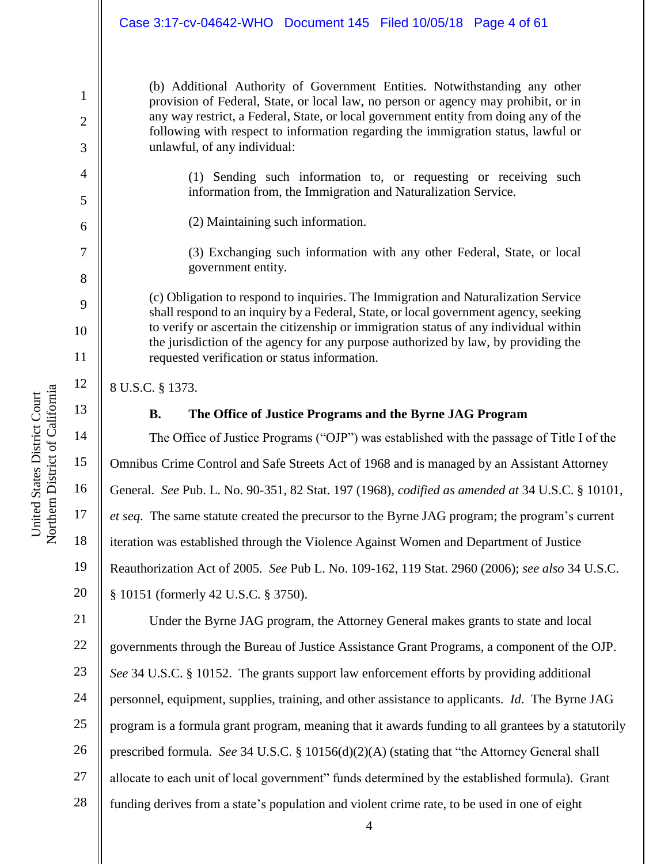(b) Additional Authority of Government Entities. Notwithstanding any other provision of Federal, State, or local law, no person or agency may prohibit, or in any way restrict, a Federal, State, or local government entity from doing any of the following with respect to information regarding the immigration status, lawful or unlawful, of any individual:

(1) Sending such information to, or requesting or receiving such information from, the Immigration and Naturalization Service.

(2) Maintaining such information.

(3) Exchanging such information with any other Federal, State, or local government entity.

(c) Obligation to respond to inquiries. The Immigration and Naturalization Service shall respond to an inquiry by a Federal, State, or local government agency, seeking to verify or ascertain the citizenship or immigration status of any individual within the jurisdiction of the agency for any purpose authorized by law, by providing the requested verification or status information.

8 U.S.C. § 1373.

13

1

2

3

4

5

6

7

8

9

10

11

12

14

15

17

18

19

20

### **B. The Office of Justice Programs and the Byrne JAG Program**

16 The Office of Justice Programs ("OJP") was established with the passage of Title I of the Omnibus Crime Control and Safe Streets Act of 1968 and is managed by an Assistant Attorney General. *See* Pub. L. No. 90-351, 82 Stat. 197 (1968), *codified as amended at* 34 U.S.C. § 10101, *et seq*. The same statute created the precursor to the Byrne JAG program; the program's current iteration was established through the Violence Against Women and Department of Justice Reauthorization Act of 2005. *See* Pub L. No. 109-162, 119 Stat. 2960 (2006); *see also* 34 U.S.C. § 10151 (formerly 42 U.S.C. § 3750).

21 22 23 24 25 26 27 28 Under the Byrne JAG program, the Attorney General makes grants to state and local governments through the Bureau of Justice Assistance Grant Programs, a component of the OJP. *See* 34 U.S.C. § 10152. The grants support law enforcement efforts by providing additional personnel, equipment, supplies, training, and other assistance to applicants. *Id*. The Byrne JAG program is a formula grant program, meaning that it awards funding to all grantees by a statutorily prescribed formula. *See* 34 U.S.C. § 10156(d)(2)(A) (stating that "the Attorney General shall allocate to each unit of local government" funds determined by the established formula). Grant funding derives from a state's population and violent crime rate, to be used in one of eight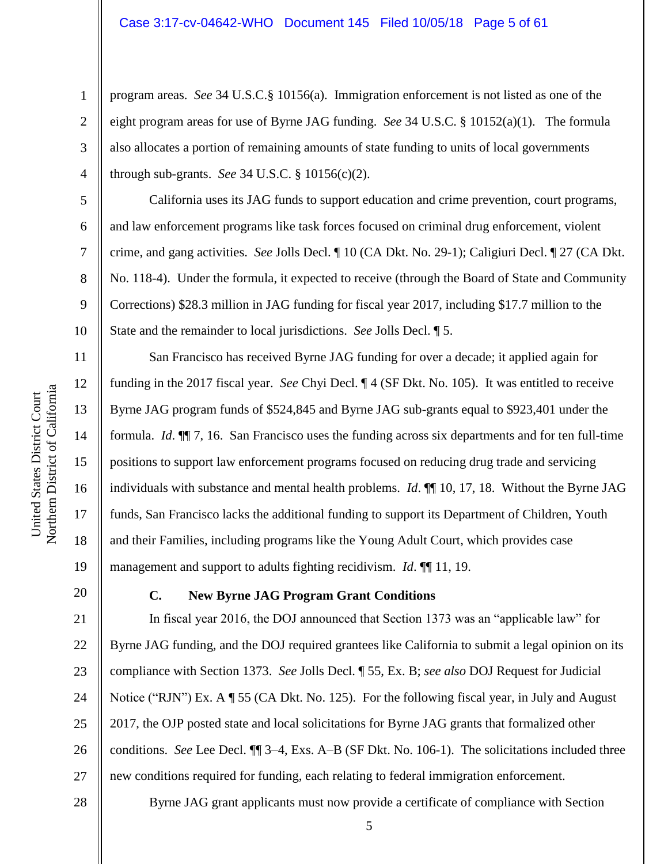program areas. *See* 34 U.S.C.§ 10156(a). Immigration enforcement is not listed as one of the eight program areas for use of Byrne JAG funding. *See* 34 U.S.C. § 10152(a)(1). The formula also allocates a portion of remaining amounts of state funding to units of local governments through sub-grants. *See* 34 U.S.C. § 10156(c)(2).

California uses its JAG funds to support education and crime prevention, court programs, and law enforcement programs like task forces focused on criminal drug enforcement, violent crime, and gang activities. *See* Jolls Decl. ¶ 10 (CA Dkt. No. 29-1); Caligiuri Decl. ¶ 27 (CA Dkt. No. 118-4). Under the formula, it expected to receive (through the Board of State and Community Corrections) \$28.3 million in JAG funding for fiscal year 2017, including \$17.7 million to the State and the remainder to local jurisdictions. *See* Jolls Decl. ¶ 5.

San Francisco has received Byrne JAG funding for over a decade; it applied again for funding in the 2017 fiscal year. *See* Chyi Decl. ¶ 4 (SF Dkt. No. 105). It was entitled to receive Byrne JAG program funds of \$524,845 and Byrne JAG sub-grants equal to \$923,401 under the formula. *Id*. ¶¶ 7, 16. San Francisco uses the funding across six departments and for ten full-time positions to support law enforcement programs focused on reducing drug trade and servicing individuals with substance and mental health problems. *Id*. ¶¶ 10, 17, 18. Without the Byrne JAG funds, San Francisco lacks the additional funding to support its Department of Children, Youth and their Families, including programs like the Young Adult Court, which provides case management and support to adults fighting recidivism. *Id*. ¶¶ 11, 19.

20

1

2

3

4

5

6

7

8

9

10

11

12

13

14

15

16

17

18

19

### **C. New Byrne JAG Program Grant Conditions**

21 22 23 24 25 26 27 In fiscal year 2016, the DOJ announced that Section 1373 was an "applicable law" for Byrne JAG funding, and the DOJ required grantees like California to submit a legal opinion on its compliance with Section 1373. *See* Jolls Decl. ¶ 55, Ex. B; *see also* DOJ Request for Judicial Notice ("RJN") Ex. A ¶ 55 (CA Dkt. No. 125). For the following fiscal year, in July and August 2017, the OJP posted state and local solicitations for Byrne JAG grants that formalized other conditions. *See* Lee Decl. ¶¶ 3–4, Exs. A–B (SF Dkt. No. 106-1). The solicitations included three new conditions required for funding, each relating to federal immigration enforcement.

# Northern District of California Northern District of California United States District Court United States District Court

28

Byrne JAG grant applicants must now provide a certificate of compliance with Section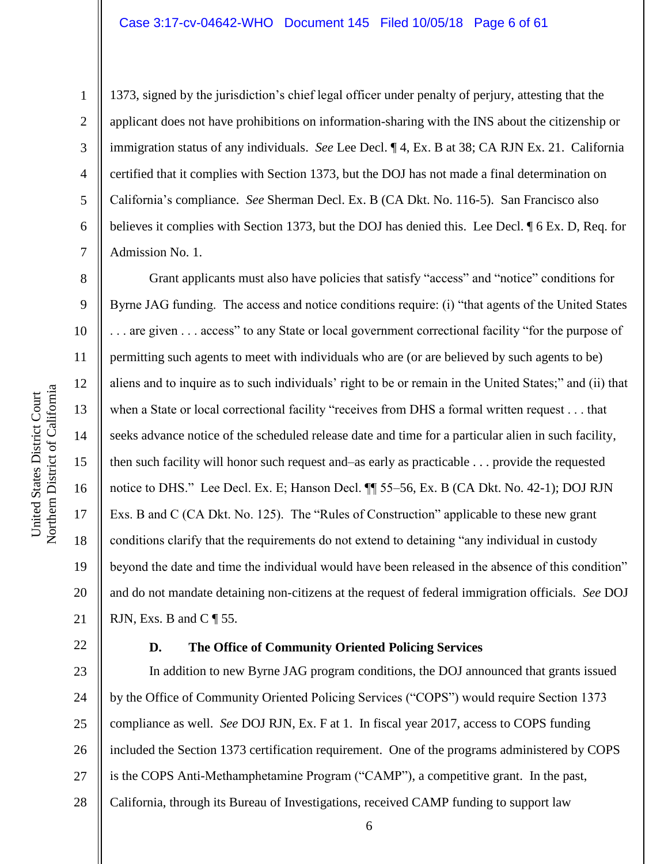#### Case 3:17-cv-04642-WHO Document 145 Filed 10/05/18 Page 6 of 61

1

2

3

4

5

6

7

8

9

10

11

12

13

14

15

16

17

18

19

20

21

1373, signed by the jurisdiction's chief legal officer under penalty of perjury, attesting that the applicant does not have prohibitions on information-sharing with the INS about the citizenship or immigration status of any individuals. *See* Lee Decl. ¶ 4, Ex. B at 38; CA RJN Ex. 21. California certified that it complies with Section 1373, but the DOJ has not made a final determination on California's compliance. *See* Sherman Decl. Ex. B (CA Dkt. No. 116-5). San Francisco also believes it complies with Section 1373, but the DOJ has denied this. Lee Decl. ¶ 6 Ex. D, Req. for Admission No. 1.

Grant applicants must also have policies that satisfy "access" and "notice" conditions for Byrne JAG funding. The access and notice conditions require: (i) "that agents of the United States . . . are given . . . access" to any State or local government correctional facility "for the purpose of permitting such agents to meet with individuals who are (or are believed by such agents to be) aliens and to inquire as to such individuals' right to be or remain in the United States;" and (ii) that when a State or local correctional facility "receives from DHS a formal written request . . . that seeks advance notice of the scheduled release date and time for a particular alien in such facility, then such facility will honor such request and–as early as practicable . . . provide the requested notice to DHS." Lee Decl. Ex. E; Hanson Decl. ¶¶ 55–56, Ex. B (CA Dkt. No. 42-1); DOJ RJN Exs. B and C (CA Dkt. No. 125). The "Rules of Construction" applicable to these new grant conditions clarify that the requirements do not extend to detaining "any individual in custody beyond the date and time the individual would have been released in the absence of this condition" and do not mandate detaining non-citizens at the request of federal immigration officials. *See* DOJ RJN, Exs. B and  $C \parallel 55$ .

22

#### **D. The Office of Community Oriented Policing Services**

23 24 25 26 27 28 In addition to new Byrne JAG program conditions, the DOJ announced that grants issued by the Office of Community Oriented Policing Services ("COPS") would require Section 1373 compliance as well. *See* DOJ RJN, Ex. F at 1. In fiscal year 2017, access to COPS funding included the Section 1373 certification requirement. One of the programs administered by COPS is the COPS Anti-Methamphetamine Program ("CAMP"), a competitive grant. In the past, California, through its Bureau of Investigations, received CAMP funding to support law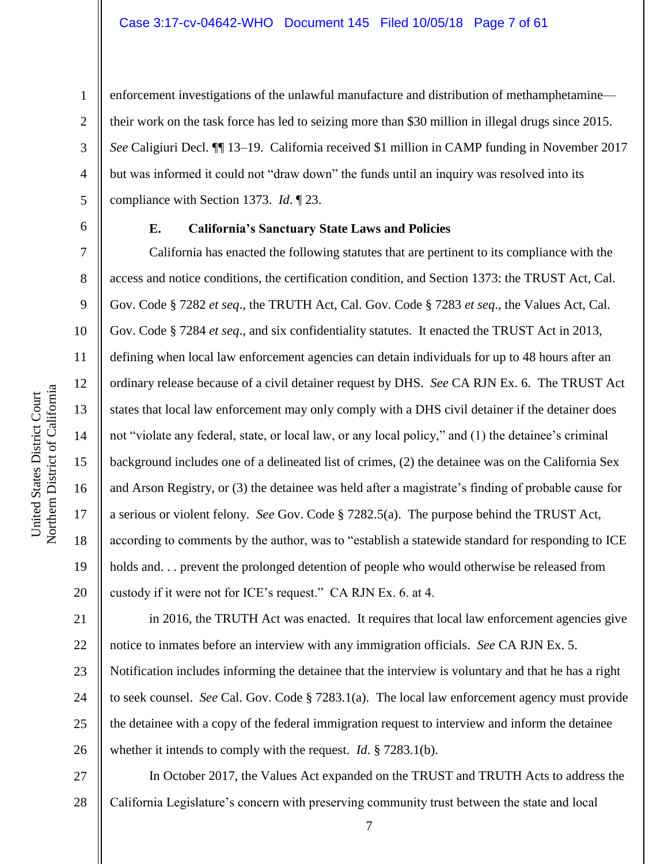enforcement investigations of the unlawful manufacture and distribution of methamphetamine their work on the task force has led to seizing more than \$30 million in illegal drugs since 2015. *See* Caligiuri Decl. ¶¶ 13–19. California received \$1 million in CAMP funding in November 2017 but was informed it could not "draw down" the funds until an inquiry was resolved into its compliance with Section 1373. *Id*. ¶ 23.

1

2

3

4

5

6

7

8

9

10

11

12

13

14

15

16

17

18

19

20

#### **E. California's Sanctuary State Laws and Policies**

California has enacted the following statutes that are pertinent to its compliance with the access and notice conditions, the certification condition, and Section 1373: the TRUST Act, Cal. Gov. Code § 7282 *et seq*., the TRUTH Act, Cal. Gov. Code § 7283 *et seq*., the Values Act, Cal. Gov. Code § 7284 *et seq*., and six confidentiality statutes. It enacted the TRUST Act in 2013, defining when local law enforcement agencies can detain individuals for up to 48 hours after an ordinary release because of a civil detainer request by DHS. *See* CA RJN Ex. 6. The TRUST Act states that local law enforcement may only comply with a DHS civil detainer if the detainer does not "violate any federal, state, or local law, or any local policy," and (1) the detainee's criminal background includes one of a delineated list of crimes, (2) the detainee was on the California Sex and Arson Registry, or (3) the detainee was held after a magistrate's finding of probable cause for a serious or violent felony. *See* Gov. Code § 7282.5(a). The purpose behind the TRUST Act, according to comments by the author, was to "establish a statewide standard for responding to ICE holds and... prevent the prolonged detention of people who would otherwise be released from custody if it were not for ICE's request." CA RJN Ex. 6. at 4.

21 22 23 24 25 26 in 2016, the TRUTH Act was enacted. It requires that local law enforcement agencies give notice to inmates before an interview with any immigration officials. *See* CA RJN Ex. 5. Notification includes informing the detainee that the interview is voluntary and that he has a right to seek counsel. *See* Cal. Gov. Code § 7283.1(a). The local law enforcement agency must provide the detainee with a copy of the federal immigration request to interview and inform the detainee whether it intends to comply with the request. *Id*. § 7283.1(b).

27 28 In October 2017, the Values Act expanded on the TRUST and TRUTH Acts to address the California Legislature's concern with preserving community trust between the state and local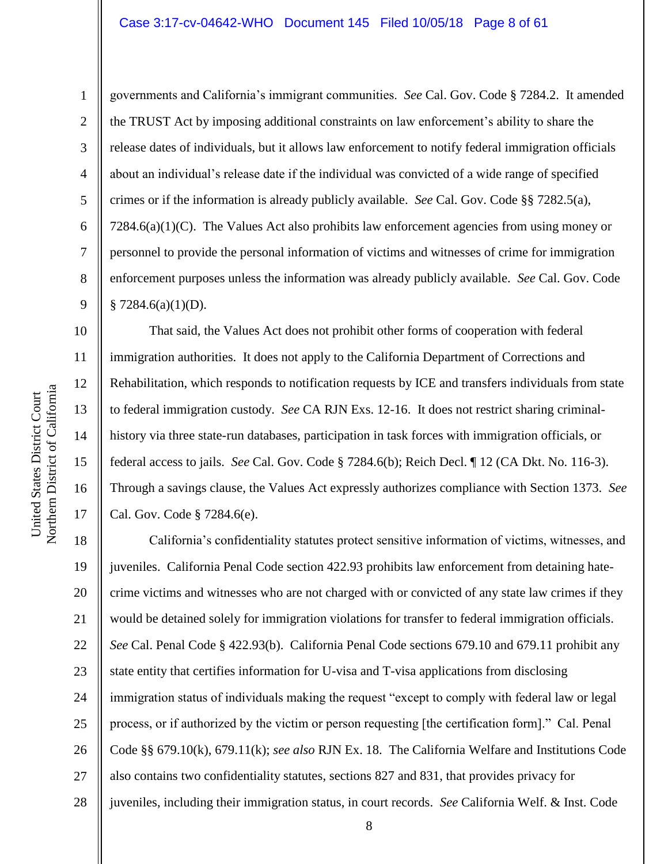#### Case 3:17-cv-04642-WHO Document 145 Filed 10/05/18 Page 8 of 61

6

1

2

3

4

5

7

8

9

10

11

12

13

14

15

16

17

governments and California's immigrant communities. *See* Cal. Gov. Code § 7284.2. It amended the TRUST Act by imposing additional constraints on law enforcement's ability to share the release dates of individuals, but it allows law enforcement to notify federal immigration officials about an individual's release date if the individual was convicted of a wide range of specified crimes or if the information is already publicly available. *See* Cal. Gov. Code §§ 7282.5(a), 7284.6(a)(1)(C). The Values Act also prohibits law enforcement agencies from using money or personnel to provide the personal information of victims and witnesses of crime for immigration enforcement purposes unless the information was already publicly available. *See* Cal. Gov. Code  $$7284.6(a)(1)(D).$ 

That said, the Values Act does not prohibit other forms of cooperation with federal immigration authorities. It does not apply to the California Department of Corrections and Rehabilitation, which responds to notification requests by ICE and transfers individuals from state to federal immigration custody. *See* CA RJN Exs. 12-16. It does not restrict sharing criminalhistory via three state-run databases, participation in task forces with immigration officials, or federal access to jails. *See* Cal. Gov. Code § 7284.6(b); Reich Decl. ¶ 12 (CA Dkt. No. 116-3). Through a savings clause, the Values Act expressly authorizes compliance with Section 1373. *See* Cal. Gov. Code § 7284.6(e).

18 19 20 21 22 23 24 25 26 27 28 California's confidentiality statutes protect sensitive information of victims, witnesses, and juveniles. California Penal Code section 422.93 prohibits law enforcement from detaining hatecrime victims and witnesses who are not charged with or convicted of any state law crimes if they would be detained solely for immigration violations for transfer to federal immigration officials. *See* Cal. Penal Code § 422.93(b). California Penal Code sections 679.10 and 679.11 prohibit any state entity that certifies information for U-visa and T-visa applications from disclosing immigration status of individuals making the request "except to comply with federal law or legal process, or if authorized by the victim or person requesting [the certification form]." Cal. Penal Code §§ 679.10(k), 679.11(k); *see also* RJN Ex. 18. The California Welfare and Institutions Code also contains two confidentiality statutes, sections 827 and 831, that provides privacy for juveniles, including their immigration status, in court records. *See* California Welf. & Inst. Code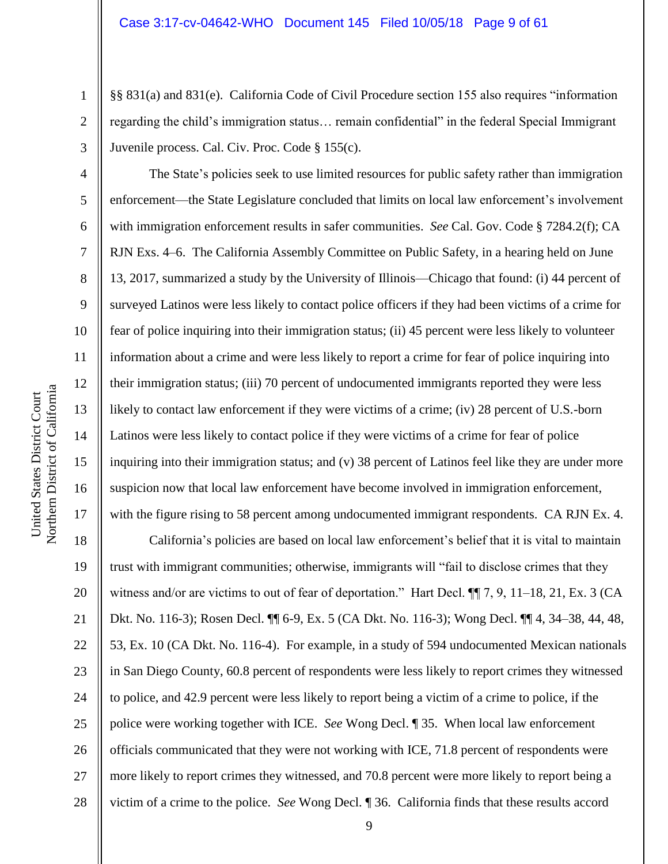§§ 831(a) and 831(e). California Code of Civil Procedure section 155 also requires "information regarding the child's immigration status… remain confidential" in the federal Special Immigrant Juvenile process. Cal. Civ. Proc. Code § 155(c).

The State's policies seek to use limited resources for public safety rather than immigration enforcement—the State Legislature concluded that limits on local law enforcement's involvement with immigration enforcement results in safer communities. *See* Cal. Gov. Code § 7284.2(f); CA RJN Exs. 4–6. The California Assembly Committee on Public Safety, in a hearing held on June 13, 2017, summarized a study by the University of Illinois—Chicago that found: (i) 44 percent of surveyed Latinos were less likely to contact police officers if they had been victims of a crime for fear of police inquiring into their immigration status; (ii) 45 percent were less likely to volunteer information about a crime and were less likely to report a crime for fear of police inquiring into their immigration status; (iii) 70 percent of undocumented immigrants reported they were less likely to contact law enforcement if they were victims of a crime; (iv) 28 percent of U.S.-born Latinos were less likely to contact police if they were victims of a crime for fear of police inquiring into their immigration status; and (v) 38 percent of Latinos feel like they are under more suspicion now that local law enforcement have become involved in immigration enforcement, with the figure rising to 58 percent among undocumented immigrant respondents. CA RJN Ex. 4.

18 19 20 21 22 23 24 25 26 27 28 California's policies are based on local law enforcement's belief that it is vital to maintain trust with immigrant communities; otherwise, immigrants will "fail to disclose crimes that they witness and/or are victims to out of fear of deportation." Hart Decl.  $\P$  7, 9, 11–18, 21, Ex. 3 (CA Dkt. No. 116-3); Rosen Decl. ¶¶ 6-9, Ex. 5 (CA Dkt. No. 116-3); Wong Decl. ¶¶ 4, 34–38, 44, 48, 53, Ex. 10 (CA Dkt. No. 116-4). For example, in a study of 594 undocumented Mexican nationals in San Diego County, 60.8 percent of respondents were less likely to report crimes they witnessed to police, and 42.9 percent were less likely to report being a victim of a crime to police, if the police were working together with ICE. *See* Wong Decl. ¶ 35. When local law enforcement officials communicated that they were not working with ICE, 71.8 percent of respondents were more likely to report crimes they witnessed, and 70.8 percent were more likely to report being a victim of a crime to the police. *See* Wong Decl. ¶ 36. California finds that these results accord

1

2

3

4

5

6

7

8

9

10

11

12

13

14

15

16

17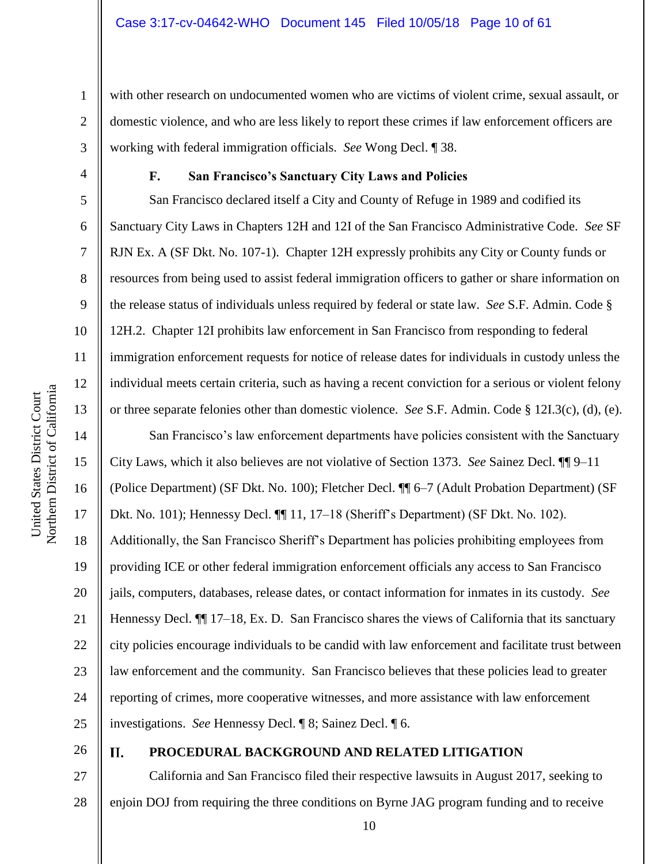with other research on undocumented women who are victims of violent crime, sexual assault, or domestic violence, and who are less likely to report these crimes if law enforcement officers are working with federal immigration officials. *See* Wong Decl. ¶ 38.

1

2

3

4

5

6

7

8

9

10

11

12

13

14

15

16

17

18

19

20

21

22

23

24

25

#### **F. San Francisco's Sanctuary City Laws and Policies**

San Francisco declared itself a City and County of Refuge in 1989 and codified its Sanctuary City Laws in Chapters 12H and 12I of the San Francisco Administrative Code. *See* SF RJN Ex. A (SF Dkt. No. 107-1). Chapter 12H expressly prohibits any City or County funds or resources from being used to assist federal immigration officers to gather or share information on the release status of individuals unless required by federal or state law. *See* S.F. Admin. Code § 12H.2. Chapter 12I prohibits law enforcement in San Francisco from responding to federal immigration enforcement requests for notice of release dates for individuals in custody unless the individual meets certain criteria, such as having a recent conviction for a serious or violent felony or three separate felonies other than domestic violence. *See* S.F. Admin. Code § 12I.3(c), (d), (e).

San Francisco's law enforcement departments have policies consistent with the Sanctuary City Laws, which it also believes are not violative of Section 1373. *See* Sainez Decl. ¶¶ 9–11 (Police Department) (SF Dkt. No. 100); Fletcher Decl. ¶¶ 6–7 (Adult Probation Department) (SF Dkt. No. 101); Hennessy Decl. ¶¶ 11, 17–18 (Sheriff's Department) (SF Dkt. No. 102). Additionally, the San Francisco Sheriff's Department has policies prohibiting employees from providing ICE or other federal immigration enforcement officials any access to San Francisco jails, computers, databases, release dates, or contact information for inmates in its custody. *See* Hennessy Decl. ¶¶ 17–18, Ex. D. San Francisco shares the views of California that its sanctuary city policies encourage individuals to be candid with law enforcement and facilitate trust between law enforcement and the community. San Francisco believes that these policies lead to greater reporting of crimes, more cooperative witnesses, and more assistance with law enforcement investigations. *See* Hennessy Decl. ¶ 8; Sainez Decl. ¶ 6.

26

#### $\Pi$ . **PROCEDURAL BACKGROUND AND RELATED LITIGATION**

27 28 California and San Francisco filed their respective lawsuits in August 2017, seeking to enjoin DOJ from requiring the three conditions on Byrne JAG program funding and to receive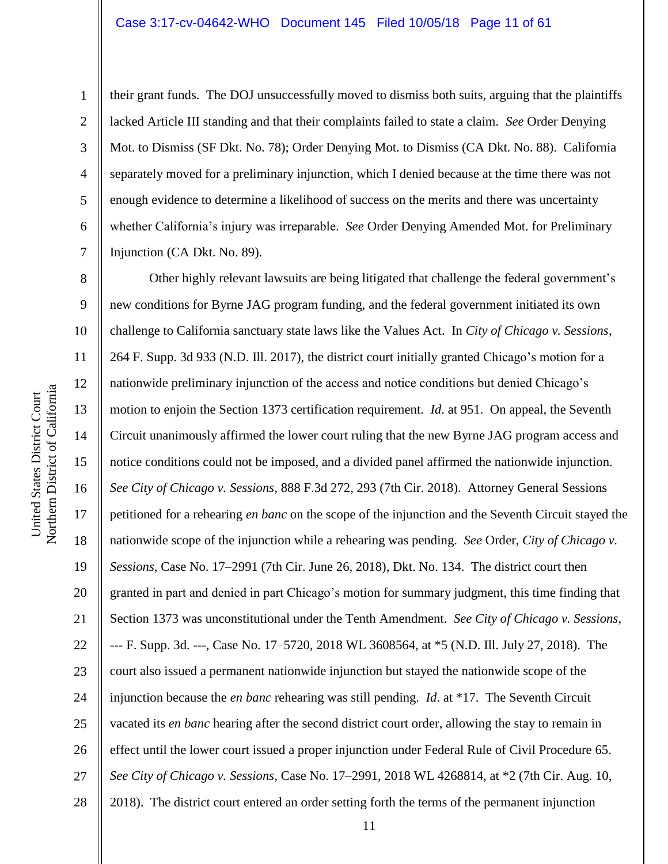#### Case 3:17-cv-04642-WHO Document 145 Filed 10/05/18 Page 11 of 61

1

2

3

4

5

6

7

their grant funds. The DOJ unsuccessfully moved to dismiss both suits, arguing that the plaintiffs lacked Article III standing and that their complaints failed to state a claim. *See* Order Denying Mot. to Dismiss (SF Dkt. No. 78); Order Denying Mot. to Dismiss (CA Dkt. No. 88). California separately moved for a preliminary injunction, which I denied because at the time there was not enough evidence to determine a likelihood of success on the merits and there was uncertainty whether California's injury was irreparable. *See* Order Denying Amended Mot. for Preliminary Injunction (CA Dkt. No. 89).

8 9 10 11 12 13 14 15 16 17 18 19 20 21 22 23 24 25 26 27 28 Other highly relevant lawsuits are being litigated that challenge the federal government's new conditions for Byrne JAG program funding, and the federal government initiated its own challenge to California sanctuary state laws like the Values Act. In *City of Chicago v. Sessions*, 264 F. Supp. 3d 933 (N.D. Ill. 2017), the district court initially granted Chicago's motion for a nationwide preliminary injunction of the access and notice conditions but denied Chicago's motion to enjoin the Section 1373 certification requirement. *Id*. at 951. On appeal, the Seventh Circuit unanimously affirmed the lower court ruling that the new Byrne JAG program access and notice conditions could not be imposed, and a divided panel affirmed the nationwide injunction. *See City of Chicago v. Sessions*, 888 F.3d 272, 293 (7th Cir. 2018). Attorney General Sessions petitioned for a rehearing *en banc* on the scope of the injunction and the Seventh Circuit stayed the nationwide scope of the injunction while a rehearing was pending. *See* Order, *City of Chicago v. Sessions*, Case No. 17–2991 (7th Cir. June 26, 2018), Dkt. No. 134. The district court then granted in part and denied in part Chicago's motion for summary judgment, this time finding that Section 1373 was unconstitutional under the Tenth Amendment. *See City of Chicago v. Sessions*, --- F. Supp. 3d. ---, Case No. 17–5720, 2018 WL 3608564, at \*5 (N.D. Ill. July 27, 2018). The court also issued a permanent nationwide injunction but stayed the nationwide scope of the injunction because the *en banc* rehearing was still pending. *Id*. at \*17. The Seventh Circuit vacated its *en banc* hearing after the second district court order, allowing the stay to remain in effect until the lower court issued a proper injunction under Federal Rule of Civil Procedure 65. *See City of Chicago v. Sessions*, Case No. 17–2991, 2018 WL 4268814, at \*2 (7th Cir. Aug. 10, 2018). The district court entered an order setting forth the terms of the permanent injunction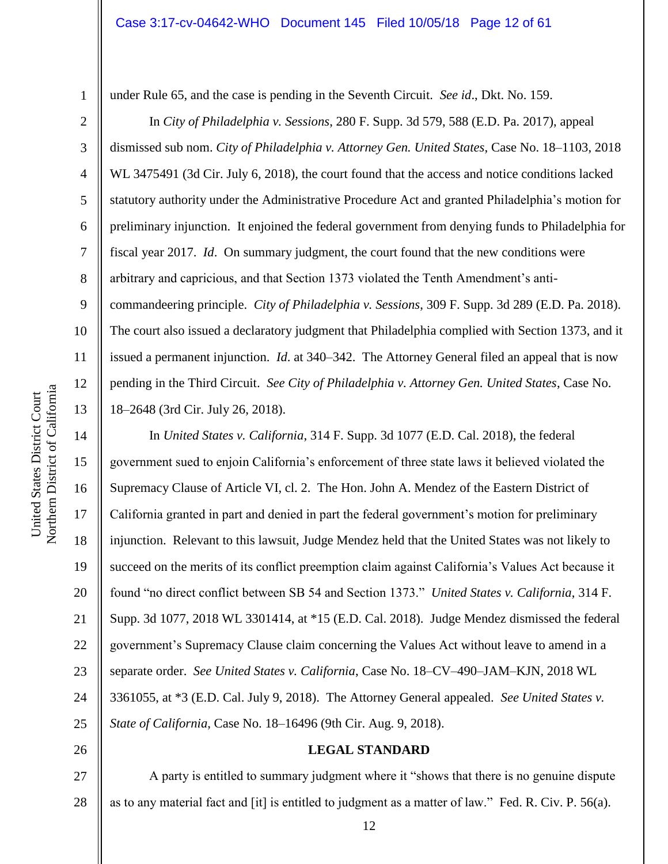under Rule 65, and the case is pending in the Seventh Circuit. *See id*., Dkt. No. 159.

In *City of Philadelphia v. Sessions*, 280 F. Supp. 3d 579, 588 (E.D. Pa. 2017), appeal dismissed sub nom. *City of Philadelphia v. Attorney Gen. United States*, Case No. 18–1103, 2018 WL 3475491 (3d Cir. July 6, 2018), the court found that the access and notice conditions lacked statutory authority under the Administrative Procedure Act and granted Philadelphia's motion for preliminary injunction. It enjoined the federal government from denying funds to Philadelphia for fiscal year 2017. *Id*. On summary judgment, the court found that the new conditions were arbitrary and capricious, and that Section 1373 violated the Tenth Amendment's anticommandeering principle. *City of Philadelphia v. Sessions*, 309 F. Supp. 3d 289 (E.D. Pa. 2018). The court also issued a declaratory judgment that Philadelphia complied with Section 1373, and it issued a permanent injunction. *Id*. at 340–342. The Attorney General filed an appeal that is now pending in the Third Circuit. *See City of Philadelphia v. Attorney Gen. United States*, Case No. 18–2648 (3rd Cir. July 26, 2018).

In *United States v. California*, 314 F. Supp. 3d 1077 (E.D. Cal. 2018), the federal government sued to enjoin California's enforcement of three state laws it believed violated the Supremacy Clause of Article VI, cl. 2. The Hon. John A. Mendez of the Eastern District of California granted in part and denied in part the federal government's motion for preliminary injunction. Relevant to this lawsuit, Judge Mendez held that the United States was not likely to succeed on the merits of its conflict preemption claim against California's Values Act because it found "no direct conflict between SB 54 and Section 1373." *United States v. California*, 314 F. Supp. 3d 1077, 2018 WL 3301414, at \*15 (E.D. Cal. 2018). Judge Mendez dismissed the federal government's Supremacy Clause claim concerning the Values Act without leave to amend in a separate order. *See United States v. California*, Case No. 18–CV–490–JAM–KJN, 2018 WL 3361055, at \*3 (E.D. Cal. July 9, 2018). The Attorney General appealed. *See United States v. State of California*, Case No. 18–16496 (9th Cir. Aug. 9, 2018).

#### **LEGAL STANDARD**

27 28 A party is entitled to summary judgment where it "shows that there is no genuine dispute as to any material fact and [it] is entitled to judgment as a matter of law." Fed. R. Civ. P. 56(a).

1

2

3

4

5

6

7

8

9

10

11

12

13

14

15

16

17

18

19

20

21

22

23

24

25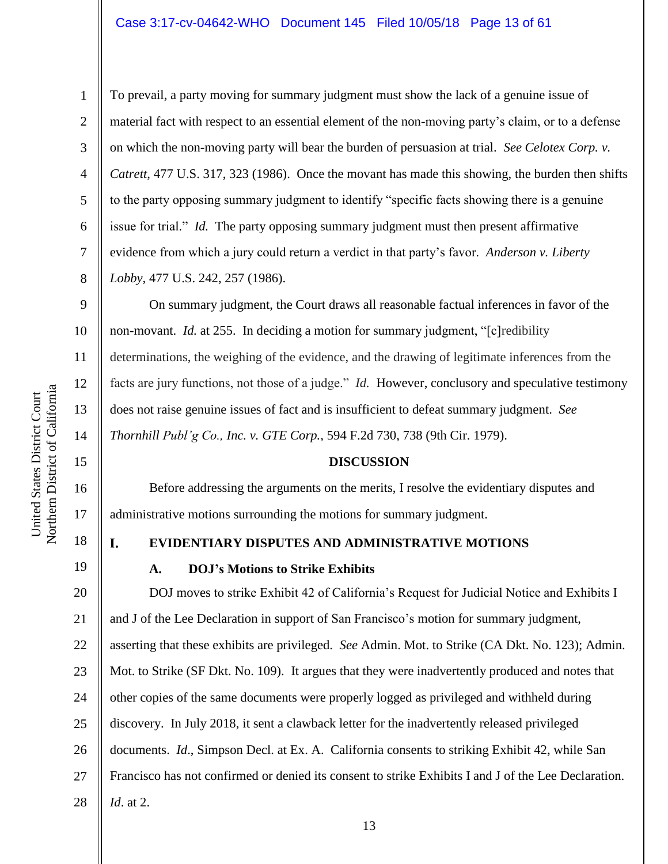#### Case 3:17-cv-04642-WHO Document 145 Filed 10/05/18 Page 13 of 61

To prevail, a party moving for summary judgment must show the lack of a genuine issue of material fact with respect to an essential element of the non-moving party's claim, or to a defense on which the non-moving party will bear the burden of persuasion at trial. *See Celotex Corp. v. Catrett*, 477 U.S. 317, 323 (1986). Once the movant has made this showing, the burden then shifts to the party opposing summary judgment to identify "specific facts showing there is a genuine issue for trial." *Id.* The party opposing summary judgment must then present affirmative evidence from which a jury could return a verdict in that party's favor. *Anderson v. Liberty Lobby,* 477 U.S. 242, 257 (1986).

On summary judgment, the Court draws all reasonable factual inferences in favor of the non-movant. *Id.* at 255. In deciding a motion for summary judgment, "[c]redibility determinations, the weighing of the evidence, and the drawing of legitimate inferences from the facts are jury functions, not those of a judge." *Id.* However, conclusory and speculative testimony does not raise genuine issues of fact and is insufficient to defeat summary judgment. *See Thornhill Publ'g Co., Inc. v. GTE Corp.,* 594 F.2d 730, 738 (9th Cir. 1979).

#### **DISCUSSION**

Before addressing the arguments on the merits, I resolve the evidentiary disputes and administrative motions surrounding the motions for summary judgment.

18

1

2

3

4

5

6

7

8

9

10

11

12

13

14

15

16

17

19

#### L **EVIDENTIARY DISPUTES AND ADMINISTRATIVE MOTIONS**

#### **A. DOJ's Motions to Strike Exhibits**

20 21 22 23 24 25 26 27 28 DOJ moves to strike Exhibit 42 of California's Request for Judicial Notice and Exhibits I and J of the Lee Declaration in support of San Francisco's motion for summary judgment, asserting that these exhibits are privileged. *See* Admin. Mot. to Strike (CA Dkt. No. 123); Admin. Mot. to Strike (SF Dkt. No. 109). It argues that they were inadvertently produced and notes that other copies of the same documents were properly logged as privileged and withheld during discovery. In July 2018, it sent a clawback letter for the inadvertently released privileged documents. *Id*., Simpson Decl. at Ex. A. California consents to striking Exhibit 42, while San Francisco has not confirmed or denied its consent to strike Exhibits I and J of the Lee Declaration. *Id*. at 2.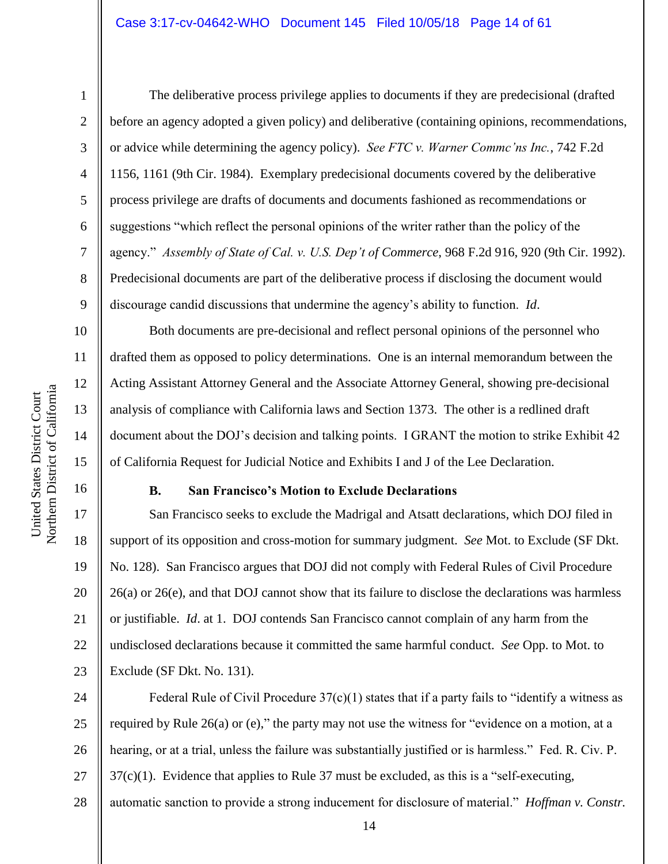1

2

3

4

5

6

7

8

9

10

11

12

13

14

15

16

17

18

19

20

21

22

23

The deliberative process privilege applies to documents if they are predecisional (drafted before an agency adopted a given policy) and deliberative (containing opinions, recommendations, or advice while determining the agency policy). *See FTC v. Warner Commc'ns Inc.*, 742 F.2d 1156, 1161 (9th Cir. 1984). Exemplary predecisional documents covered by the deliberative process privilege are drafts of documents and documents fashioned as recommendations or suggestions "which reflect the personal opinions of the writer rather than the policy of the agency." *Assembly of State of Cal. v. U.S. Dep't of Commerce*, 968 F.2d 916, 920 (9th Cir. 1992). Predecisional documents are part of the deliberative process if disclosing the document would discourage candid discussions that undermine the agency's ability to function. *Id*.

Both documents are pre-decisional and reflect personal opinions of the personnel who drafted them as opposed to policy determinations. One is an internal memorandum between the Acting Assistant Attorney General and the Associate Attorney General, showing pre-decisional analysis of compliance with California laws and Section 1373. The other is a redlined draft document about the DOJ's decision and talking points. I GRANT the motion to strike Exhibit 42 of California Request for Judicial Notice and Exhibits I and J of the Lee Declaration.

#### **B. San Francisco's Motion to Exclude Declarations**

San Francisco seeks to exclude the Madrigal and Atsatt declarations, which DOJ filed in support of its opposition and cross-motion for summary judgment. *See* Mot. to Exclude (SF Dkt. No. 128). San Francisco argues that DOJ did not comply with Federal Rules of Civil Procedure 26(a) or 26(e), and that DOJ cannot show that its failure to disclose the declarations was harmless or justifiable. *Id*. at 1. DOJ contends San Francisco cannot complain of any harm from the undisclosed declarations because it committed the same harmful conduct. *See* Opp. to Mot. to Exclude (SF Dkt. No. 131).

24 25 26 27 28 Federal Rule of Civil Procedure  $37(c)(1)$  states that if a party fails to "identify a witness as required by Rule 26(a) or (e)," the party may not use the witness for "evidence on a motion, at a hearing, or at a trial, unless the failure was substantially justified or is harmless." Fed. R. Civ. P. 37(c)(1). Evidence that applies to Rule 37 must be excluded, as this is a "self-executing, automatic sanction to provide a strong inducement for disclosure of material." *Hoffman v. Constr.*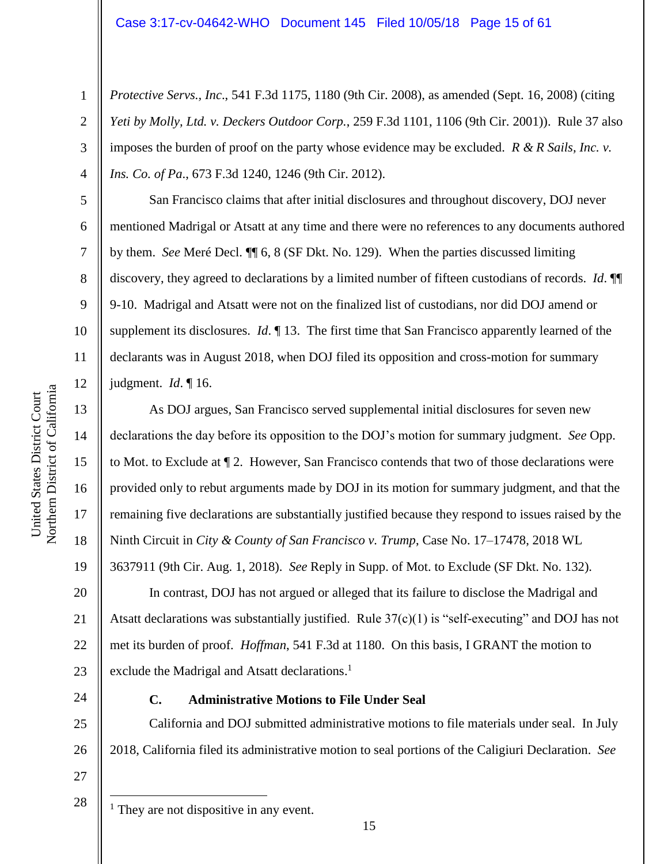*Protective Servs., Inc*., 541 F.3d 1175, 1180 (9th Cir. 2008), as amended (Sept. 16, 2008) (citing *Yeti by Molly, Ltd. v. Deckers Outdoor Corp.*, 259 F.3d 1101, 1106 (9th Cir. 2001)). Rule 37 also imposes the burden of proof on the party whose evidence may be excluded. *R & R Sails, Inc. v. Ins. Co. of Pa*., 673 F.3d 1240, 1246 (9th Cir. 2012).

San Francisco claims that after initial disclosures and throughout discovery, DOJ never mentioned Madrigal or Atsatt at any time and there were no references to any documents authored by them. *See* Meré Decl. ¶¶ 6, 8 (SF Dkt. No. 129). When the parties discussed limiting discovery, they agreed to declarations by a limited number of fifteen custodians of records. *Id*. ¶¶ 9-10. Madrigal and Atsatt were not on the finalized list of custodians, nor did DOJ amend or supplement its disclosures. *Id*. ¶ 13. The first time that San Francisco apparently learned of the declarants was in August 2018, when DOJ filed its opposition and cross-motion for summary judgment. *Id*. ¶ 16.

As DOJ argues, San Francisco served supplemental initial disclosures for seven new declarations the day before its opposition to the DOJ's motion for summary judgment. *See* Opp. to Mot. to Exclude at ¶ 2. However, San Francisco contends that two of those declarations were provided only to rebut arguments made by DOJ in its motion for summary judgment, and that the remaining five declarations are substantially justified because they respond to issues raised by the Ninth Circuit in *City & County of San Francisco v. Trump*, Case No. 17–17478, 2018 WL 3637911 (9th Cir. Aug. 1, 2018). *See* Reply in Supp. of Mot. to Exclude (SF Dkt. No. 132).

20 22 23 In contrast, DOJ has not argued or alleged that its failure to disclose the Madrigal and Atsatt declarations was substantially justified. Rule  $37(c)(1)$  is "self-executing" and DOJ has not met its burden of proof. *Hoffman*, 541 F.3d at 1180. On this basis, I GRANT the motion to exclude the Madrigal and Atsatt declarations.<sup>1</sup>

24

### **C. Administrative Motions to File Under Seal**

25 26 27 California and DOJ submitted administrative motions to file materials under seal. In July 2018, California filed its administrative motion to seal portions of the Caligiuri Declaration. *See*

28

 $\overline{a}$ 

 $<sup>1</sup>$  They are not dispositive in any event.</sup>

1

2

3

4

5

6

7

8

9

10

11

12

13

14

15

16

17

18

19

21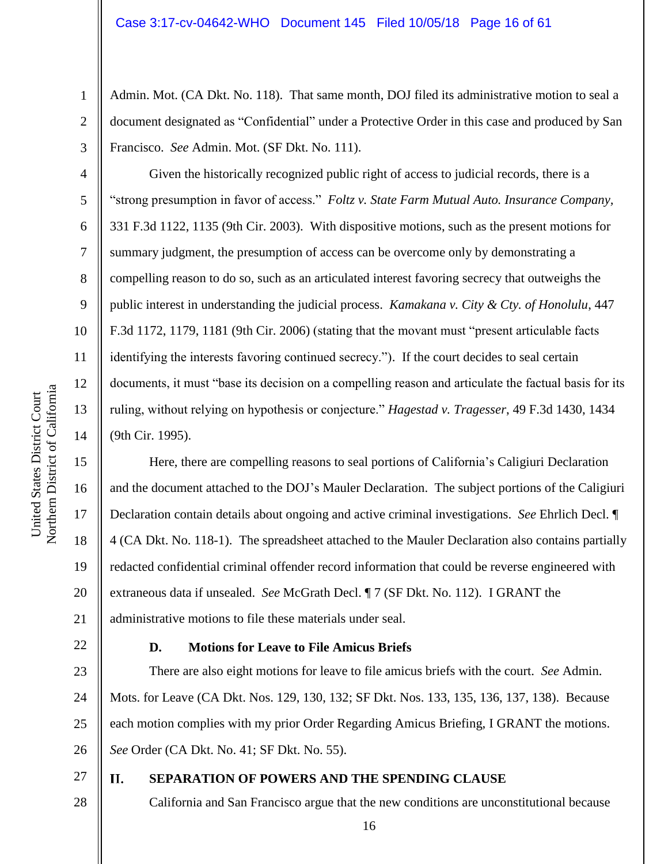Admin. Mot. (CA Dkt. No. 118). That same month, DOJ filed its administrative motion to seal a document designated as "Confidential" under a Protective Order in this case and produced by San Francisco. *See* Admin. Mot. (SF Dkt. No. 111).

Given the historically recognized public right of access to judicial records, there is a "strong presumption in favor of access." *Foltz v. State Farm Mutual Auto. Insurance Company,* 331 F.3d 1122, 1135 (9th Cir. 2003). With dispositive motions, such as the present motions for summary judgment, the presumption of access can be overcome only by demonstrating a compelling reason to do so, such as an articulated interest favoring secrecy that outweighs the public interest in understanding the judicial process. *Kamakana v. City & Cty. of Honolulu*, 447 F.3d 1172, 1179, 1181 (9th Cir. 2006) (stating that the movant must "present articulable facts identifying the interests favoring continued secrecy."). If the court decides to seal certain documents, it must "base its decision on a compelling reason and articulate the factual basis for its ruling, without relying on hypothesis or conjecture." *Hagestad v. Tragesser*, 49 F.3d 1430, 1434 (9th Cir. 1995).

Here, there are compelling reasons to seal portions of California's Caligiuri Declaration and the document attached to the DOJ's Mauler Declaration. The subject portions of the Caligiuri Declaration contain details about ongoing and active criminal investigations. *See* Ehrlich Decl. ¶ 4 (CA Dkt. No. 118-1). The spreadsheet attached to the Mauler Declaration also contains partially redacted confidential criminal offender record information that could be reverse engineered with extraneous data if unsealed. *See* McGrath Decl. ¶ 7 (SF Dkt. No. 112). I GRANT the administrative motions to file these materials under seal.

22

### **D. Motions for Leave to File Amicus Briefs**

23 24 25 26 There are also eight motions for leave to file amicus briefs with the court. *See* Admin. Mots. for Leave (CA Dkt. Nos. 129, 130, 132; SF Dkt. Nos. 133, 135, 136, 137, 138). Because each motion complies with my prior Order Regarding Amicus Briefing, I GRANT the motions. *See* Order (CA Dkt. No. 41; SF Dkt. No. 55).

27 28

#### II. **SEPARATION OF POWERS AND THE SPENDING CLAUSE**

California and San Francisco argue that the new conditions are unconstitutional because

1

2

3

4

5

6

7

8

9

10

11

12

13

14

15

16

17

18

19

20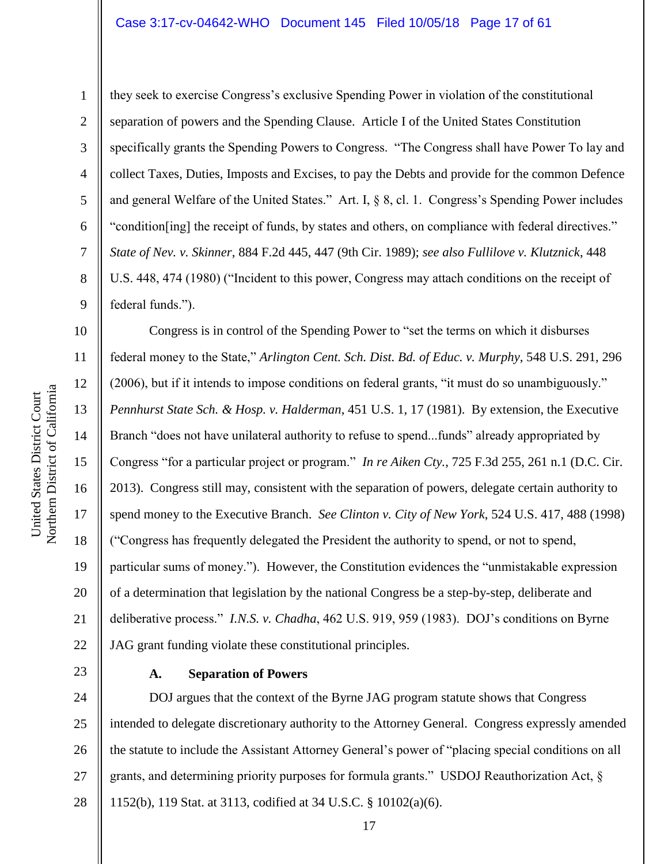they seek to exercise Congress's exclusive Spending Power in violation of the constitutional separation of powers and the Spending Clause. Article I of the United States Constitution specifically grants the Spending Powers to Congress. "The Congress shall have Power To lay and collect Taxes, Duties, Imposts and Excises, to pay the Debts and provide for the common Defence and general Welfare of the United States." Art. I, § 8, cl. 1. Congress's Spending Power includes "condition[ing] the receipt of funds, by states and others, on compliance with federal directives." *State of Nev. v. Skinner*, 884 F.2d 445, 447 (9th Cir. 1989); *see also Fullilove v. Klutznick*, 448 U.S. 448, 474 (1980) ("Incident to this power, Congress may attach conditions on the receipt of federal funds.").

Congress is in control of the Spending Power to "set the terms on which it disburses federal money to the State," *Arlington Cent. Sch. Dist. Bd. of Educ. v. Murphy*, 548 U.S. 291, 296 (2006), but if it intends to impose conditions on federal grants, "it must do so unambiguously." *Pennhurst State Sch. & Hosp. v. Halderman*, 451 U.S. 1, 17 (1981). By extension, the Executive Branch "does not have unilateral authority to refuse to spend...funds" already appropriated by Congress "for a particular project or program." *In re Aiken Cty.*, 725 F.3d 255, 261 n.1 (D.C. Cir. 2013). Congress still may, consistent with the separation of powers, delegate certain authority to spend money to the Executive Branch. *See Clinton v. City of New York*, 524 U.S. 417, 488 (1998) ("Congress has frequently delegated the President the authority to spend, or not to spend, particular sums of money."). However, the Constitution evidences the "unmistakable expression of a determination that legislation by the national Congress be a step-by-step, deliberate and deliberative process." *I.N.S. v. Chadha*, 462 U.S. 919, 959 (1983). DOJ's conditions on Byrne JAG grant funding violate these constitutional principles.

23

#### **A. Separation of Powers**

24 25 26 27 28 intended to delegate discretionary authority to the Attorney General. Congress expressly amended the statute to include the Assistant Attorney General's power of "placing special conditions on all grants, and determining priority purposes for formula grants." USDOJ Reauthorization Act, § 1152(b), 119 Stat. at 3113, codified at 34 U.S.C. § 10102(a)(6).

1

2

3

4

5

6

7

8

9

10

11

12

13

14

15

16

17

18

19

20

21

22

DOJ argues that the context of the Byrne JAG program statute shows that Congress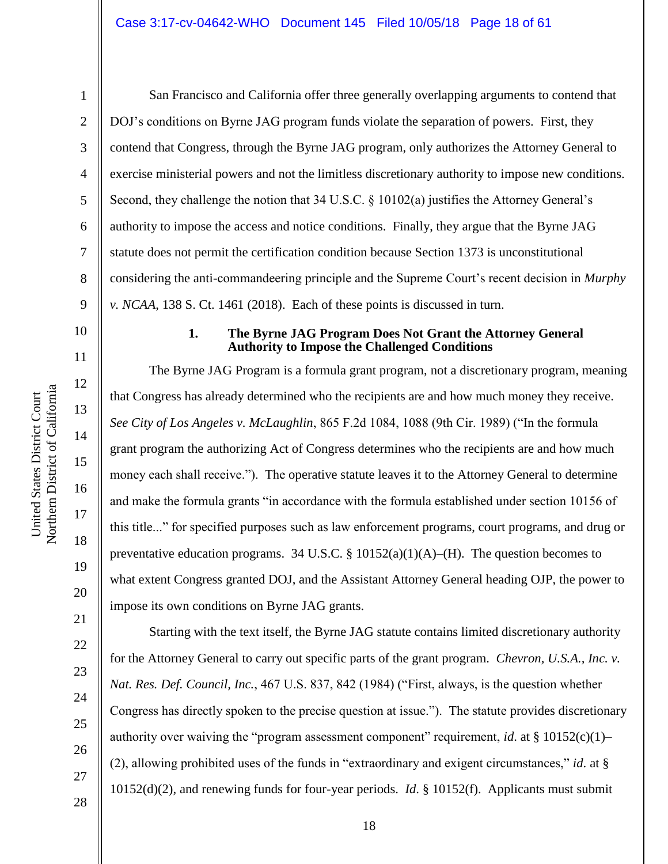1

2

3

4

5

6

7

8

9

10

11

12

13

14

15

16

17

18

19

20

21

22

23

24

25

26

27

San Francisco and California offer three generally overlapping arguments to contend that DOJ's conditions on Byrne JAG program funds violate the separation of powers. First, they contend that Congress, through the Byrne JAG program, only authorizes the Attorney General to exercise ministerial powers and not the limitless discretionary authority to impose new conditions. Second, they challenge the notion that 34 U.S.C. § 10102(a) justifies the Attorney General's authority to impose the access and notice conditions. Finally, they argue that the Byrne JAG statute does not permit the certification condition because Section 1373 is unconstitutional considering the anti-commandeering principle and the Supreme Court's recent decision in *Murphy v. NCAA*, 138 S. Ct. 1461 (2018). Each of these points is discussed in turn.

#### **1. The Byrne JAG Program Does Not Grant the Attorney General Authority to Impose the Challenged Conditions**

The Byrne JAG Program is a formula grant program, not a discretionary program, meaning that Congress has already determined who the recipients are and how much money they receive. *See City of Los Angeles v. McLaughlin*, 865 F.2d 1084, 1088 (9th Cir. 1989) ("In the formula grant program the authorizing Act of Congress determines who the recipients are and how much money each shall receive."). The operative statute leaves it to the Attorney General to determine and make the formula grants "in accordance with the formula established under section 10156 of this title..." for specified purposes such as law enforcement programs, court programs, and drug or preventative education programs. 34 U.S.C. §  $10152(a)(1)(A)$ –(H). The question becomes to what extent Congress granted DOJ, and the Assistant Attorney General heading OJP, the power to impose its own conditions on Byrne JAG grants.

Starting with the text itself, the Byrne JAG statute contains limited discretionary authority for the Attorney General to carry out specific parts of the grant program. *Chevron, U.S.A., Inc. v. Nat. Res. Def. Council, Inc.*, 467 U.S. 837, 842 (1984) ("First, always, is the question whether Congress has directly spoken to the precise question at issue."). The statute provides discretionary authority over waiving the "program assessment component" requirement, *id*. at § 10152(c)(1)– (2), allowing prohibited uses of the funds in "extraordinary and exigent circumstances," *id*. at § 10152(d)(2), and renewing funds for four-year periods. *Id*. § 10152(f). Applicants must submit

18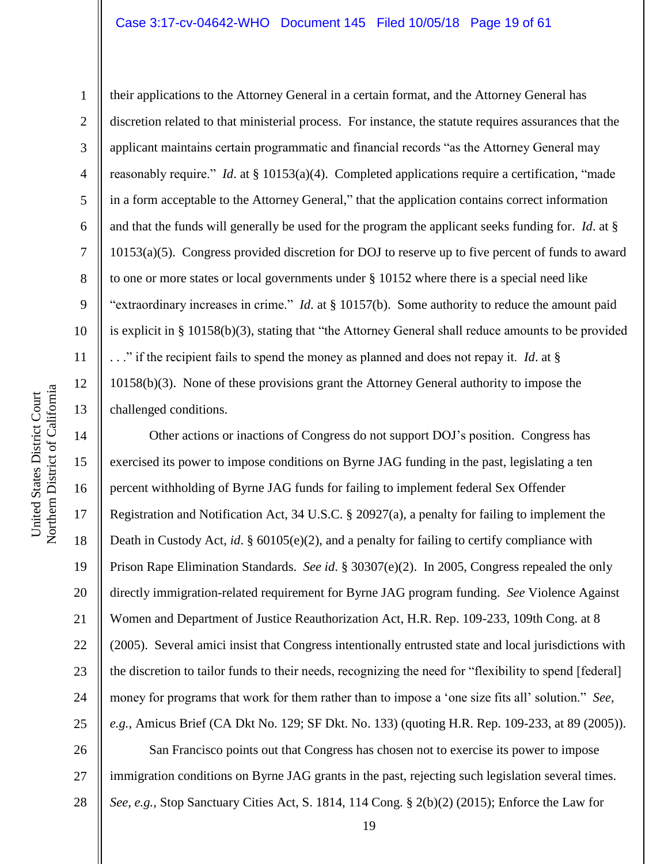#### Case 3:17-cv-04642-WHO Document 145 Filed 10/05/18 Page 19 of 61

their applications to the Attorney General in a certain format, and the Attorney General has discretion related to that ministerial process. For instance, the statute requires assurances that the applicant maintains certain programmatic and financial records "as the Attorney General may reasonably require." *Id*. at § 10153(a)(4). Completed applications require a certification, "made in a form acceptable to the Attorney General," that the application contains correct information and that the funds will generally be used for the program the applicant seeks funding for. *Id*. at § 10153(a)(5). Congress provided discretion for DOJ to reserve up to five percent of funds to award to one or more states or local governments under § 10152 where there is a special need like "extraordinary increases in crime." *Id*. at § 10157(b). Some authority to reduce the amount paid is explicit in § 10158(b)(3), stating that "the Attorney General shall reduce amounts to be provided . . ." if the recipient fails to spend the money as planned and does not repay it. *Id*. at § 10158(b)(3). None of these provisions grant the Attorney General authority to impose the challenged conditions.

14 15 16 17 18 19 20 21 22 23 24 25 Other actions or inactions of Congress do not support DOJ's position. Congress has exercised its power to impose conditions on Byrne JAG funding in the past, legislating a ten percent withholding of Byrne JAG funds for failing to implement federal Sex Offender Registration and Notification Act, 34 U.S.C. § 20927(a), a penalty for failing to implement the Death in Custody Act, *id.* § 60105(e)(2), and a penalty for failing to certify compliance with Prison Rape Elimination Standards. *See id*. § 30307(e)(2). In 2005, Congress repealed the only directly immigration-related requirement for Byrne JAG program funding. *See* Violence Against Women and Department of Justice Reauthorization Act, H.R. Rep. 109-233, 109th Cong. at 8 (2005). Several amici insist that Congress intentionally entrusted state and local jurisdictions with the discretion to tailor funds to their needs, recognizing the need for "flexibility to spend [federal] money for programs that work for them rather than to impose a 'one size fits all' solution." *See, e.g.*, Amicus Brief (CA Dkt No. 129; SF Dkt. No. 133) (quoting H.R. Rep. 109-233, at 89 (2005)). San Francisco points out that Congress has chosen not to exercise its power to impose

26 27 28 immigration conditions on Byrne JAG grants in the past, rejecting such legislation several times. *See, e.g.*, Stop Sanctuary Cities Act, S. 1814, 114 Cong. § 2(b)(2) (2015); Enforce the Law for

1

2

3

4

5

6

7

8

9

10

11

12

13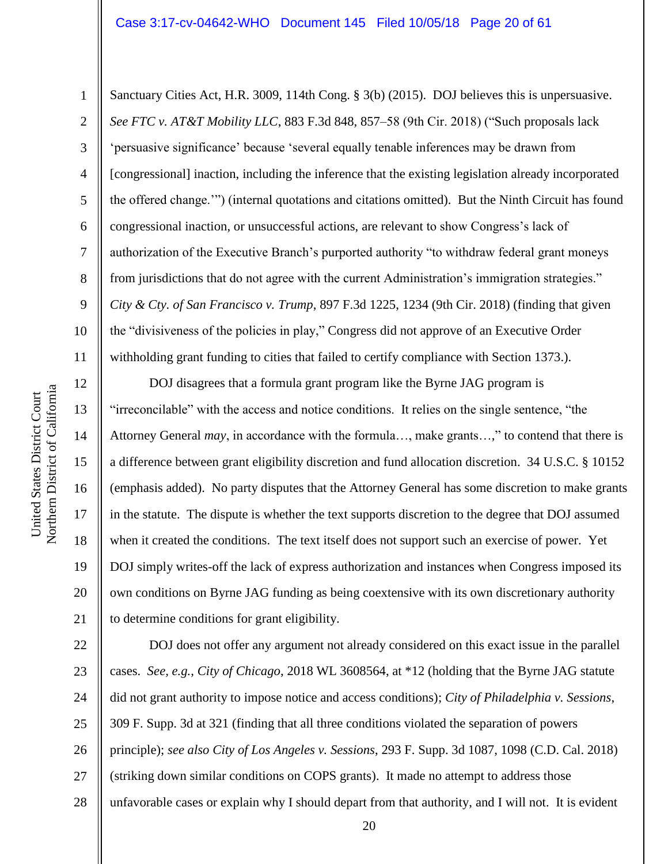#### Case 3:17-cv-04642-WHO Document 145 Filed 10/05/18 Page 20 of 61

12

13

14

15

16

17

18

19

20

21

1

2 3 4 5 6 7 8 9 10 11 Sanctuary Cities Act, H.R. 3009, 114th Cong. § 3(b) (2015). DOJ believes this is unpersuasive. *See FTC v. AT&T Mobility LLC*, 883 F.3d 848, 857–58 (9th Cir. 2018) ("Such proposals lack 'persuasive significance' because 'several equally tenable inferences may be drawn from [congressional] inaction, including the inference that the existing legislation already incorporated the offered change.'") (internal quotations and citations omitted). But the Ninth Circuit has found congressional inaction, or unsuccessful actions, are relevant to show Congress's lack of authorization of the Executive Branch's purported authority "to withdraw federal grant moneys from jurisdictions that do not agree with the current Administration's immigration strategies." *City & Cty. of San Francisco v. Trump*, 897 F.3d 1225, 1234 (9th Cir. 2018) (finding that given the "divisiveness of the policies in play," Congress did not approve of an Executive Order withholding grant funding to cities that failed to certify compliance with Section 1373.).

DOJ disagrees that a formula grant program like the Byrne JAG program is "irreconcilable" with the access and notice conditions. It relies on the single sentence, "the Attorney General *may*, in accordance with the formula…, make grants…," to contend that there is a difference between grant eligibility discretion and fund allocation discretion. 34 U.S.C. § 10152 (emphasis added). No party disputes that the Attorney General has some discretion to make grants in the statute. The dispute is whether the text supports discretion to the degree that DOJ assumed when it created the conditions. The text itself does not support such an exercise of power. Yet DOJ simply writes-off the lack of express authorization and instances when Congress imposed its own conditions on Byrne JAG funding as being coextensive with its own discretionary authority to determine conditions for grant eligibility.

22 23 24 25 26 27 28 DOJ does not offer any argument not already considered on this exact issue in the parallel cases. *See, e.g.*, *City of Chicago*, 2018 WL 3608564, at \*12 (holding that the Byrne JAG statute did not grant authority to impose notice and access conditions); *City of Philadelphia v. Sessions*, 309 F. Supp. 3d at 321 (finding that all three conditions violated the separation of powers principle); *see also City of Los Angeles v. Sessions*, 293 F. Supp. 3d 1087, 1098 (C.D. Cal. 2018) (striking down similar conditions on COPS grants). It made no attempt to address those unfavorable cases or explain why I should depart from that authority, and I will not. It is evident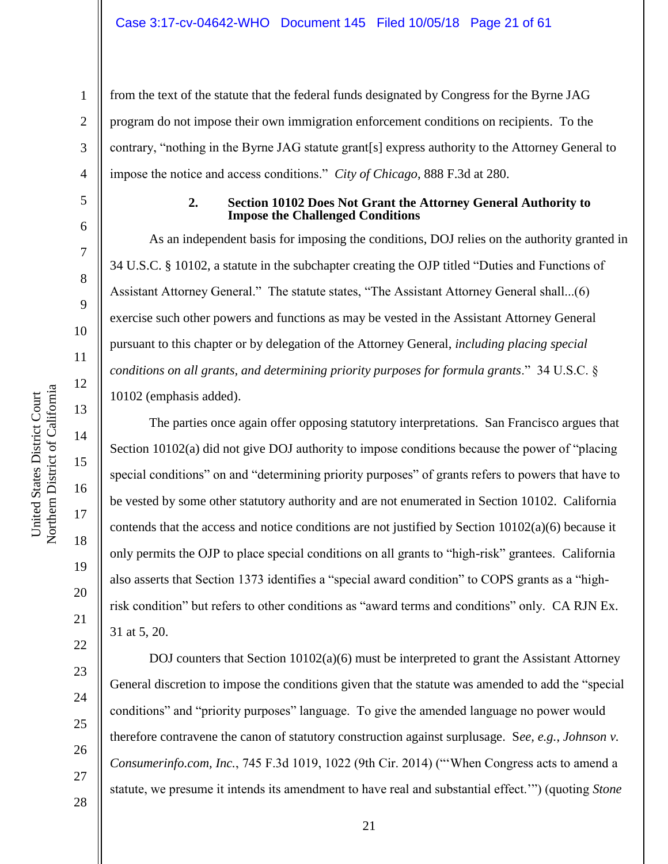from the text of the statute that the federal funds designated by Congress for the Byrne JAG program do not impose their own immigration enforcement conditions on recipients. To the contrary, "nothing in the Byrne JAG statute grant[s] express authority to the Attorney General to impose the notice and access conditions." *City of Chicago*, 888 F.3d at 280.

1

2

3

4

5

6

7

8

9

10

11

12

13

14

15

16

17

18

19

20

21

22

23

24

25

26

27

28

#### **2. Section 10102 Does Not Grant the Attorney General Authority to Impose the Challenged Conditions**

As an independent basis for imposing the conditions, DOJ relies on the authority granted in 34 U.S.C. § 10102, a statute in the subchapter creating the OJP titled "Duties and Functions of Assistant Attorney General." The statute states, "The Assistant Attorney General shall...(6) exercise such other powers and functions as may be vested in the Assistant Attorney General pursuant to this chapter or by delegation of the Attorney General, *including placing special conditions on all grants, and determining priority purposes for formula grants*." 34 U.S.C. § 10102 (emphasis added).

The parties once again offer opposing statutory interpretations. San Francisco argues that Section 10102(a) did not give DOJ authority to impose conditions because the power of "placing special conditions" on and "determining priority purposes" of grants refers to powers that have to be vested by some other statutory authority and are not enumerated in Section 10102. California contends that the access and notice conditions are not justified by Section 10102(a)(6) because it only permits the OJP to place special conditions on all grants to "high-risk" grantees. California also asserts that Section 1373 identifies a "special award condition" to COPS grants as a "highrisk condition" but refers to other conditions as "award terms and conditions" only. CA RJN Ex. 31 at 5, 20.

DOJ counters that Section 10102(a)(6) must be interpreted to grant the Assistant Attorney General discretion to impose the conditions given that the statute was amended to add the "special conditions" and "priority purposes" language. To give the amended language no power would therefore contravene the canon of statutory construction against surplusage. S*ee, e.g.*, *Johnson v. Consumerinfo.com, Inc.*, 745 F.3d 1019, 1022 (9th Cir. 2014) ("'When Congress acts to amend a statute, we presume it intends its amendment to have real and substantial effect.'") (quoting *Stone*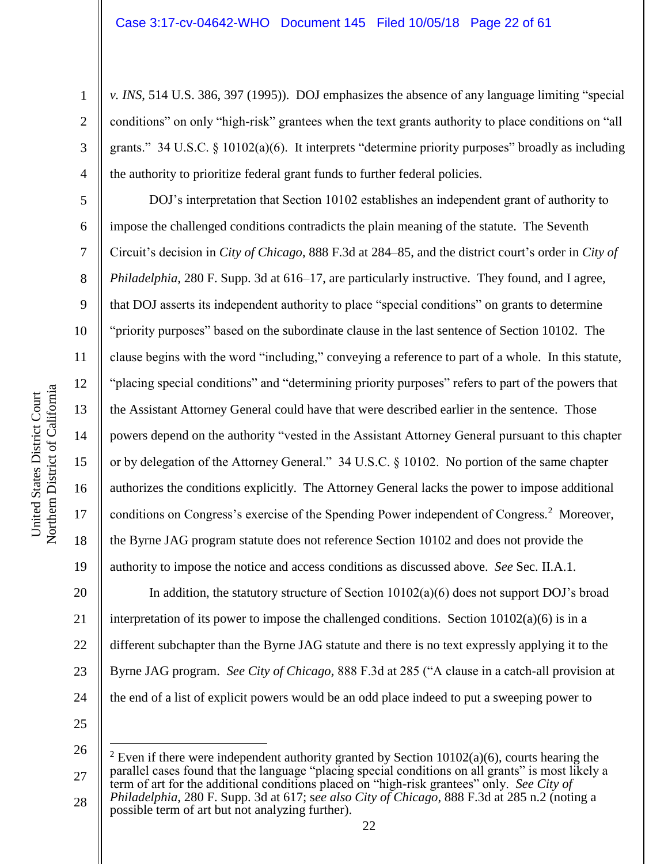*v. INS*, 514 U.S. 386, 397 (1995)). DOJ emphasizes the absence of any language limiting "special conditions" on only "high-risk" grantees when the text grants authority to place conditions on "all grants." 34 U.S.C. § 10102(a)(6). It interprets "determine priority purposes" broadly as including the authority to prioritize federal grant funds to further federal policies.

DOJ's interpretation that Section 10102 establishes an independent grant of authority to impose the challenged conditions contradicts the plain meaning of the statute. The Seventh Circuit's decision in *City of Chicago*, 888 F.3d at 284–85, and the district court's order in *City of Philadelphia*, 280 F. Supp. 3d at 616–17, are particularly instructive. They found, and I agree, that DOJ asserts its independent authority to place "special conditions" on grants to determine "priority purposes" based on the subordinate clause in the last sentence of Section 10102. The clause begins with the word "including," conveying a reference to part of a whole. In this statute, "placing special conditions" and "determining priority purposes" refers to part of the powers that the Assistant Attorney General could have that were described earlier in the sentence. Those powers depend on the authority "vested in the Assistant Attorney General pursuant to this chapter or by delegation of the Attorney General." 34 U.S.C. § 10102. No portion of the same chapter authorizes the conditions explicitly. The Attorney General lacks the power to impose additional conditions on Congress's exercise of the Spending Power independent of Congress.<sup>2</sup> Moreover, the Byrne JAG program statute does not reference Section 10102 and does not provide the authority to impose the notice and access conditions as discussed above. *See* Sec. II.A.1.

20 21 22 23 24 In addition, the statutory structure of Section  $10102(a)(6)$  does not support DOJ's broad interpretation of its power to impose the challenged conditions. Section  $10102(a)(6)$  is in a different subchapter than the Byrne JAG statute and there is no text expressly applying it to the Byrne JAG program. *See City of Chicago,* 888 F.3d at 285 ("A clause in a catch-all provision at the end of a list of explicit powers would be an odd place indeed to put a sweeping power to

25

 $\overline{a}$ 

1

2

3

4

5

6

7

8

9

10

11

12

13

14

15

16

17

18

<sup>26</sup> 27 28 <sup>2</sup> Even if there were independent authority granted by Section  $10102(a)(6)$ , courts hearing the parallel cases found that the language "placing special conditions on all grants" is most likely a term of art for the additional conditions placed on "high-risk grantees" only. *See City of Philadelphia*, 280 F. Supp. 3d at 617; s*ee also City of Chicago*, 888 F.3d at 285 n.2 (noting a possible term of art but not analyzing further).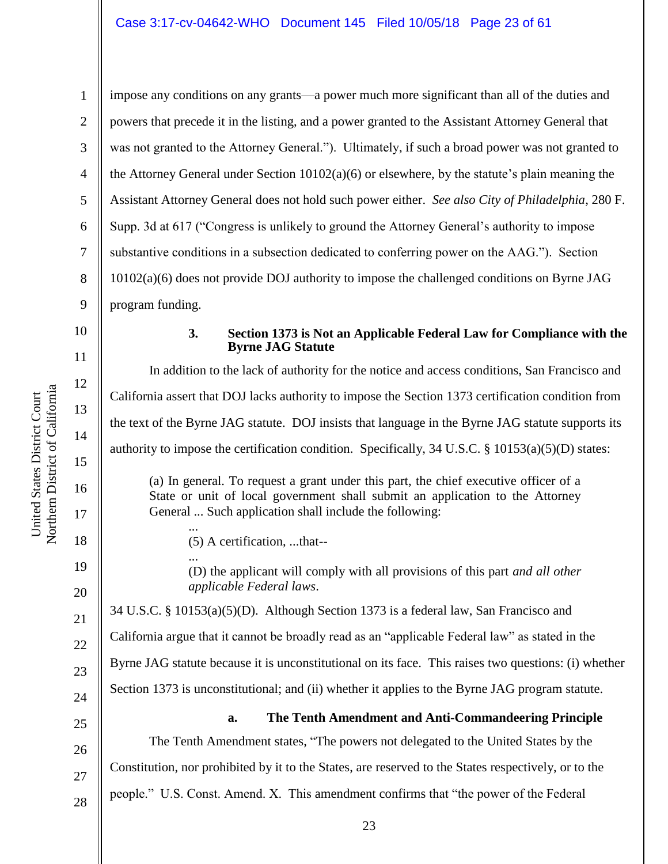impose any conditions on any grants—a power much more significant than all of the duties and powers that precede it in the listing, and a power granted to the Assistant Attorney General that was not granted to the Attorney General."). Ultimately, if such a broad power was not granted to the Attorney General under Section 10102(a)(6) or elsewhere, by the statute's plain meaning the Assistant Attorney General does not hold such power either. *See also City of Philadelphia*, 280 F. Supp. 3d at 617 ("Congress is unlikely to ground the Attorney General's authority to impose substantive conditions in a subsection dedicated to conferring power on the AAG."). Section 10102(a)(6) does not provide DOJ authority to impose the challenged conditions on Byrne JAG program funding.

10

11

12

13

14

15

16

17

18

19

20

21

22

23

1

2

3

4

5

6

7

8

9

#### **3. Section 1373 is Not an Applicable Federal Law for Compliance with the Byrne JAG Statute**

In addition to the lack of authority for the notice and access conditions, San Francisco and California assert that DOJ lacks authority to impose the Section 1373 certification condition from the text of the Byrne JAG statute. DOJ insists that language in the Byrne JAG statute supports its authority to impose the certification condition. Specifically, 34 U.S.C. § 10153(a)(5)(D) states: (a) In general. To request a grant under this part, the chief executive officer of a State or unit of local government shall submit an application to the Attorney General ... Such application shall include the following:

(5) A certification, ...that--

...

... (D) the applicant will comply with all provisions of this part *and all other applicable Federal laws*.

34 U.S.C. § 10153(a)(5)(D). Although Section 1373 is a federal law, San Francisco and California argue that it cannot be broadly read as an "applicable Federal law" as stated in the Byrne JAG statute because it is unconstitutional on its face. This raises two questions: (i) whether Section 1373 is unconstitutional; and (ii) whether it applies to the Byrne JAG program statute.



27

28

### **a. The Tenth Amendment and Anti-Commandeering Principle**

The Tenth Amendment states, "The powers not delegated to the United States by the Constitution, nor prohibited by it to the States, are reserved to the States respectively, or to the people." U.S. Const. Amend. X. This amendment confirms that "the power of the Federal

Northern District of California Northern District of California United States District Court United States District Court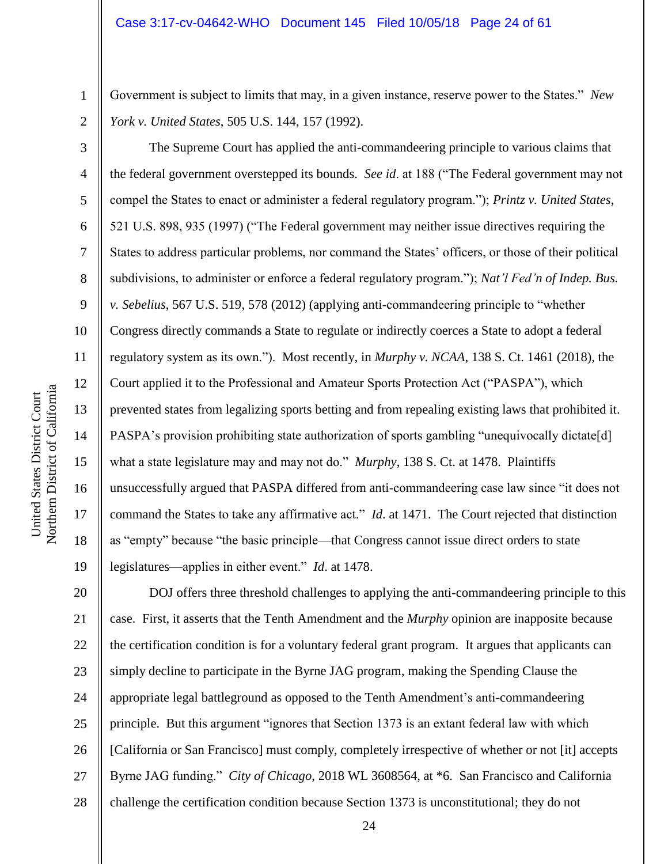Government is subject to limits that may, in a given instance, reserve power to the States." *New York v. United States*, 505 U.S. 144, 157 (1992).

The Supreme Court has applied the anti-commandeering principle to various claims that the federal government overstepped its bounds. *See id*. at 188 ("The Federal government may not compel the States to enact or administer a federal regulatory program."); *Printz v. United States*, 521 U.S. 898, 935 (1997) ("The Federal government may neither issue directives requiring the States to address particular problems, nor command the States' officers, or those of their political subdivisions, to administer or enforce a federal regulatory program."); *Nat'l Fed'n of Indep. Bus. v. Sebelius*, 567 U.S. 519, 578 (2012) (applying anti-commandeering principle to "whether Congress directly commands a State to regulate or indirectly coerces a State to adopt a federal regulatory system as its own."). Most recently, in *Murphy v. NCAA*, 138 S. Ct. 1461 (2018), the Court applied it to the Professional and Amateur Sports Protection Act ("PASPA"), which prevented states from legalizing sports betting and from repealing existing laws that prohibited it. PASPA's provision prohibiting state authorization of sports gambling "unequivocally dictate[d] what a state legislature may and may not do." *Murphy*, 138 S. Ct. at 1478. Plaintiffs unsuccessfully argued that PASPA differed from anti-commandeering case law since "it does not command the States to take any affirmative act." *Id*. at 1471. The Court rejected that distinction as "empty" because "the basic principle—that Congress cannot issue direct orders to state legislatures—applies in either event." *Id*. at 1478.

20 21 22 23 24 25 26 27 28 DOJ offers three threshold challenges to applying the anti-commandeering principle to this case. First, it asserts that the Tenth Amendment and the *Murphy* opinion are inapposite because the certification condition is for a voluntary federal grant program. It argues that applicants can simply decline to participate in the Byrne JAG program, making the Spending Clause the appropriate legal battleground as opposed to the Tenth Amendment's anti-commandeering principle. But this argument "ignores that Section 1373 is an extant federal law with which [California or San Francisco] must comply, completely irrespective of whether or not [it] accepts Byrne JAG funding." *City of Chicago*, 2018 WL 3608564, at \*6. San Francisco and California challenge the certification condition because Section 1373 is unconstitutional; they do not

1

2

3

4

5

6

7

8

9

10

11

12

13

14

15

16

17

18

19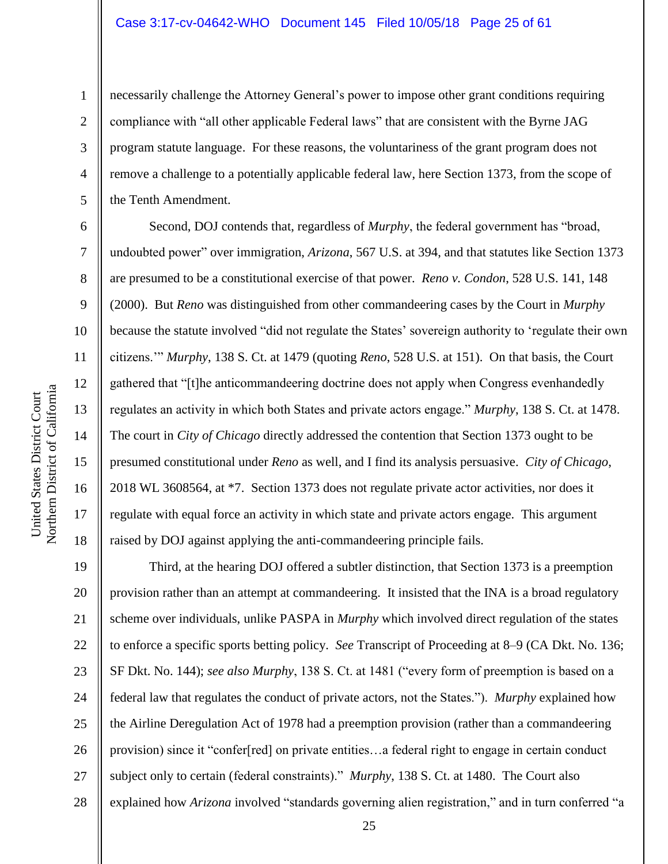necessarily challenge the Attorney General's power to impose other grant conditions requiring compliance with "all other applicable Federal laws" that are consistent with the Byrne JAG program statute language. For these reasons, the voluntariness of the grant program does not remove a challenge to a potentially applicable federal law, here Section 1373, from the scope of the Tenth Amendment.

Second, DOJ contends that, regardless of *Murphy*, the federal government has "broad, undoubted power" over immigration, *Arizona*, 567 U.S. at 394, and that statutes like Section 1373 are presumed to be a constitutional exercise of that power. *Reno v. Condon*, 528 U.S. 141, 148 (2000). But *Reno* was distinguished from other commandeering cases by the Court in *Murphy* because the statute involved "did not regulate the States' sovereign authority to 'regulate their own citizens.'" *Murphy*, 138 S. Ct. at 1479 (quoting *Reno*, 528 U.S. at 151). On that basis, the Court gathered that "[t]he anticommandeering doctrine does not apply when Congress evenhandedly regulates an activity in which both States and private actors engage." *Murphy*, 138 S. Ct. at 1478. The court in *City of Chicago* directly addressed the contention that Section 1373 ought to be presumed constitutional under *Reno* as well, and I find its analysis persuasive. *City of Chicago*, 2018 WL 3608564, at \*7. Section 1373 does not regulate private actor activities, nor does it regulate with equal force an activity in which state and private actors engage. This argument raised by DOJ against applying the anti-commandeering principle fails.

19 20 21 22 23 24 25 26 27 28 Third, at the hearing DOJ offered a subtler distinction, that Section 1373 is a preemption provision rather than an attempt at commandeering. It insisted that the INA is a broad regulatory scheme over individuals, unlike PASPA in *Murphy* which involved direct regulation of the states to enforce a specific sports betting policy. *See* Transcript of Proceeding at 8–9 (CA Dkt. No. 136; SF Dkt. No. 144); *see also Murphy*, 138 S. Ct. at 1481 ("every form of preemption is based on a federal law that regulates the conduct of private actors, not the States."). *Murphy* explained how the Airline Deregulation Act of 1978 had a preemption provision (rather than a commandeering provision) since it "confer[red] on private entities…a federal right to engage in certain conduct subject only to certain (federal constraints)." *Murphy*, 138 S. Ct. at 1480. The Court also explained how *Arizona* involved "standards governing alien registration," and in turn conferred "a

1

2

3

4

5

6

7

8

9

10

11

12

13

14

15

16

17

18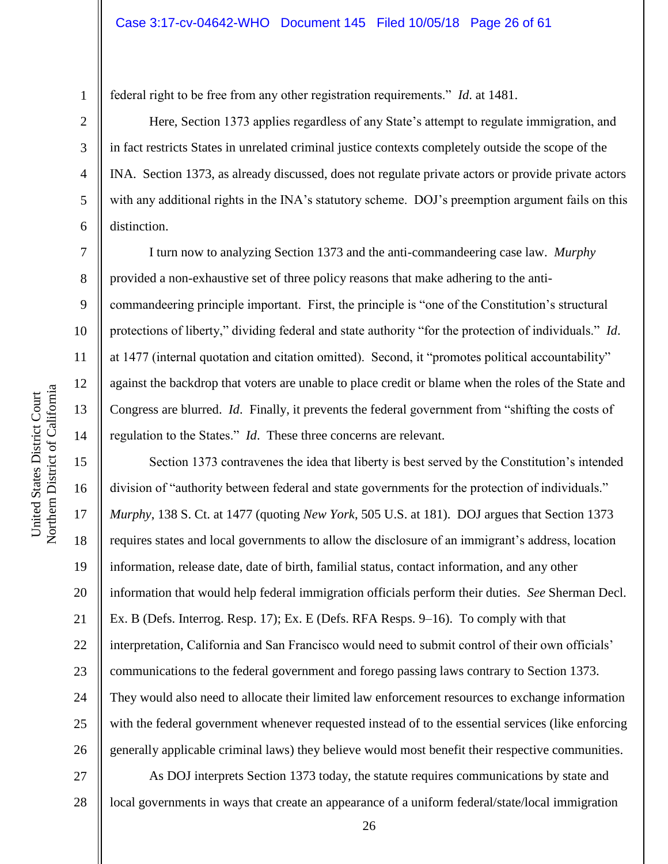federal right to be free from any other registration requirements." *Id*. at 1481.

Here, Section 1373 applies regardless of any State's attempt to regulate immigration, and in fact restricts States in unrelated criminal justice contexts completely outside the scope of the INA. Section 1373, as already discussed, does not regulate private actors or provide private actors with any additional rights in the INA's statutory scheme. DOJ's preemption argument fails on this distinction.

I turn now to analyzing Section 1373 and the anti-commandeering case law. *Murphy* provided a non-exhaustive set of three policy reasons that make adhering to the anticommandeering principle important. First, the principle is "one of the Constitution's structural protections of liberty," dividing federal and state authority "for the protection of individuals." *Id*. at 1477 (internal quotation and citation omitted). Second, it "promotes political accountability" against the backdrop that voters are unable to place credit or blame when the roles of the State and Congress are blurred. *Id*. Finally, it prevents the federal government from "shifting the costs of regulation to the States." *Id*. These three concerns are relevant.

Section 1373 contravenes the idea that liberty is best served by the Constitution's intended division of "authority between federal and state governments for the protection of individuals." *Murphy*, 138 S. Ct. at 1477 (quoting *New York*, 505 U.S. at 181). DOJ argues that Section 1373 requires states and local governments to allow the disclosure of an immigrant's address, location information, release date, date of birth, familial status, contact information, and any other information that would help federal immigration officials perform their duties. *See* Sherman Decl. Ex. B (Defs. Interrog. Resp. 17); Ex. E (Defs. RFA Resps. 9–16). To comply with that interpretation, California and San Francisco would need to submit control of their own officials' communications to the federal government and forego passing laws contrary to Section 1373. They would also need to allocate their limited law enforcement resources to exchange information with the federal government whenever requested instead of to the essential services (like enforcing generally applicable criminal laws) they believe would most benefit their respective communities.

27 28 As DOJ interprets Section 1373 today, the statute requires communications by state and local governments in ways that create an appearance of a uniform federal/state/local immigration

1

2

3

4

5

6

7

8

9

10

11

12

13

14

15

16

17

18

19

20

21

22

23

24

25

26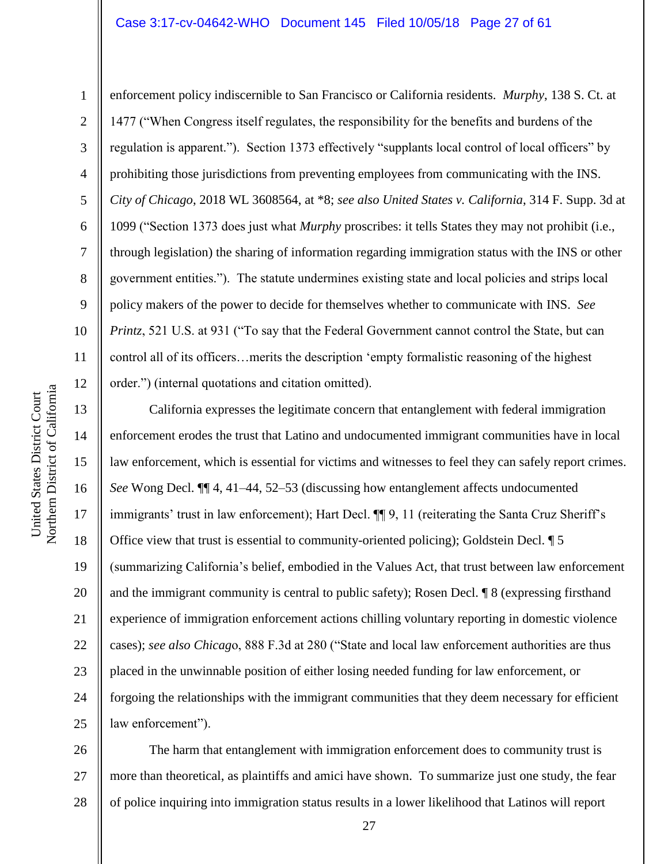#### Case 3:17-cv-04642-WHO Document 145 Filed 10/05/18 Page 27 of 61

enforcement policy indiscernible to San Francisco or California residents. *Murphy*, 138 S. Ct. at 1477 ("When Congress itself regulates, the responsibility for the benefits and burdens of the regulation is apparent."). Section 1373 effectively "supplants local control of local officers" by prohibiting those jurisdictions from preventing employees from communicating with the INS. *City of Chicago*, 2018 WL 3608564, at \*8; *see also United States v. California*, 314 F. Supp. 3d at 1099 ("Section 1373 does just what *Murphy* proscribes: it tells States they may not prohibit (i.e., through legislation) the sharing of information regarding immigration status with the INS or other government entities."). The statute undermines existing state and local policies and strips local policy makers of the power to decide for themselves whether to communicate with INS. *See Printz*, 521 U.S. at 931 ("To say that the Federal Government cannot control the State, but can control all of its officers…merits the description 'empty formalistic reasoning of the highest order.") (internal quotations and citation omitted).

California expresses the legitimate concern that entanglement with federal immigration enforcement erodes the trust that Latino and undocumented immigrant communities have in local law enforcement, which is essential for victims and witnesses to feel they can safely report crimes. *See* Wong Decl. ¶¶ 4, 41–44, 52–53 (discussing how entanglement affects undocumented immigrants' trust in law enforcement); Hart Decl.  $\P\P$  9, 11 (reiterating the Santa Cruz Sheriff's Office view that trust is essential to community-oriented policing); Goldstein Decl. ¶ 5 (summarizing California's belief, embodied in the Values Act, that trust between law enforcement and the immigrant community is central to public safety); Rosen Decl. ¶ 8 (expressing firsthand experience of immigration enforcement actions chilling voluntary reporting in domestic violence cases); *see also Chicag*o, 888 F.3d at 280 ("State and local law enforcement authorities are thus placed in the unwinnable position of either losing needed funding for law enforcement, or forgoing the relationships with the immigrant communities that they deem necessary for efficient law enforcement").

26 27 28 The harm that entanglement with immigration enforcement does to community trust is more than theoretical, as plaintiffs and amici have shown. To summarize just one study, the fear of police inquiring into immigration status results in a lower likelihood that Latinos will report

1

2

3

4

5

6

7

8

9

10

11

12

13

14

15

16

17

18

19

20

21

22

23

24

25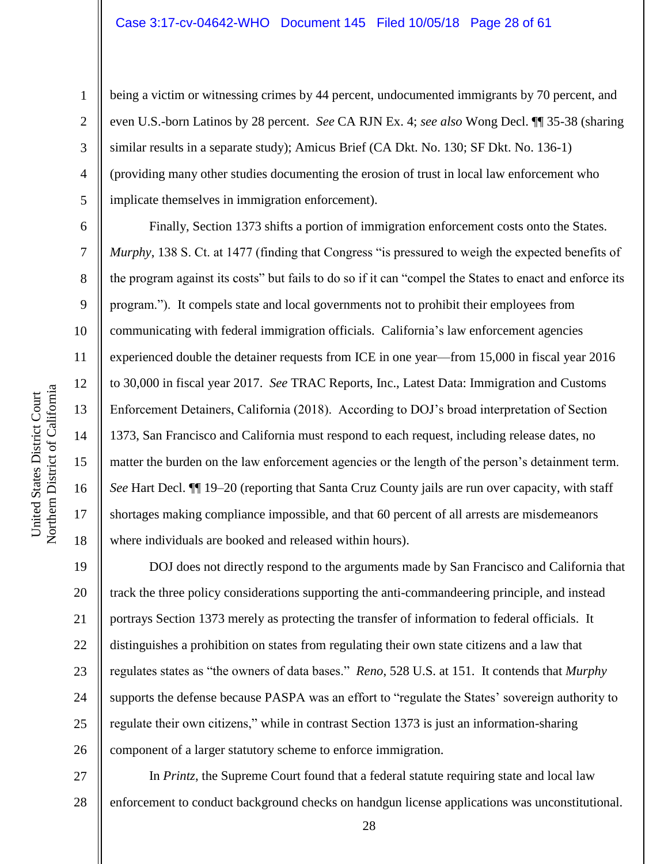#### Case 3:17-cv-04642-WHO Document 145 Filed 10/05/18 Page 28 of 61

being a victim or witnessing crimes by 44 percent, undocumented immigrants by 70 percent, and even U.S.-born Latinos by 28 percent. *See* CA RJN Ex. 4; *see also* Wong Decl. ¶¶ 35-38 (sharing similar results in a separate study); Amicus Brief (CA Dkt. No. 130; SF Dkt. No. 136-1) (providing many other studies documenting the erosion of trust in local law enforcement who implicate themselves in immigration enforcement).

Finally, Section 1373 shifts a portion of immigration enforcement costs onto the States. *Murphy*, 138 S. Ct. at 1477 (finding that Congress "is pressured to weigh the expected benefits of the program against its costs" but fails to do so if it can "compel the States to enact and enforce its program."). It compels state and local governments not to prohibit their employees from communicating with federal immigration officials. California's law enforcement agencies experienced double the detainer requests from ICE in one year—from 15,000 in fiscal year 2016 to 30,000 in fiscal year 2017. *See* TRAC Reports, Inc., Latest Data: Immigration and Customs Enforcement Detainers, California (2018). According to DOJ's broad interpretation of Section 1373, San Francisco and California must respond to each request, including release dates, no matter the burden on the law enforcement agencies or the length of the person's detainment term. *See* Hart Decl.  $\P$  19–20 (reporting that Santa Cruz County jails are run over capacity, with staff shortages making compliance impossible, and that 60 percent of all arrests are misdemeanors where individuals are booked and released within hours).

19 20 21 22 23 24 25 26 DOJ does not directly respond to the arguments made by San Francisco and California that track the three policy considerations supporting the anti-commandeering principle, and instead portrays Section 1373 merely as protecting the transfer of information to federal officials. It distinguishes a prohibition on states from regulating their own state citizens and a law that regulates states as "the owners of data bases." *Reno*, 528 U.S. at 151. It contends that *Murphy* supports the defense because PASPA was an effort to "regulate the States' sovereign authority to regulate their own citizens," while in contrast Section 1373 is just an information-sharing component of a larger statutory scheme to enforce immigration.

27 28 In *Printz*, the Supreme Court found that a federal statute requiring state and local law enforcement to conduct background checks on handgun license applications was unconstitutional.

1

2

3

4

5

6

7

8

9

10

11

12

13

14

15

16

17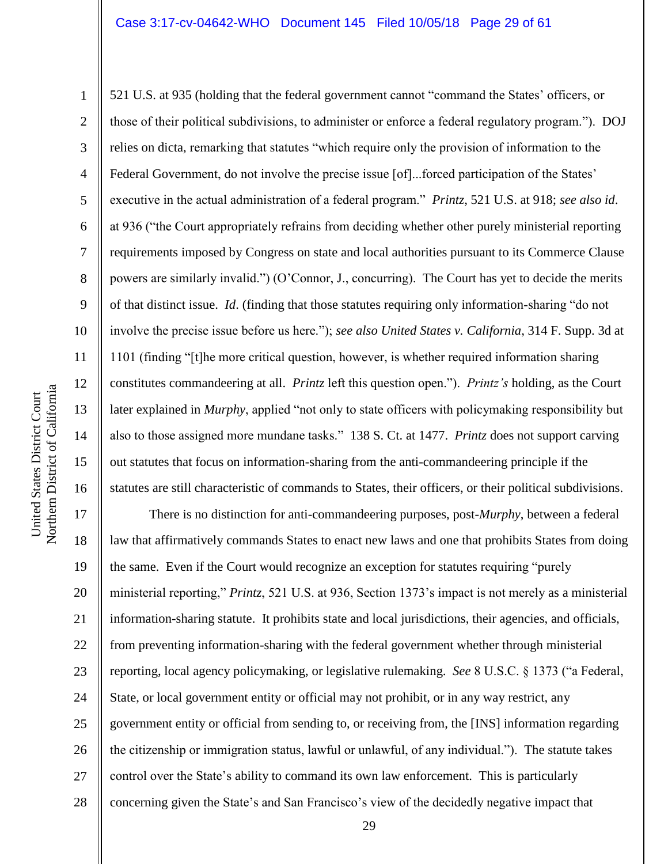Northern District of California Northern District of California United States District Court

United States District Court

1 2 3 4 5 6 7 8 9 10 11 12 13 14 15 16 521 U.S. at 935 (holding that the federal government cannot "command the States' officers, or those of their political subdivisions, to administer or enforce a federal regulatory program."). DOJ relies on dicta, remarking that statutes "which require only the provision of information to the Federal Government, do not involve the precise issue [of]...forced participation of the States' executive in the actual administration of a federal program." *Printz*, 521 U.S. at 918; *see also id*. at 936 ("the Court appropriately refrains from deciding whether other purely ministerial reporting requirements imposed by Congress on state and local authorities pursuant to its Commerce Clause powers are similarly invalid.") (O'Connor, J., concurring). The Court has yet to decide the merits of that distinct issue. *Id*. (finding that those statutes requiring only information-sharing "do not involve the precise issue before us here."); *see also United States v. California*, 314 F. Supp. 3d at 1101 (finding "[t]he more critical question, however, is whether required information sharing constitutes commandeering at all. *Printz* left this question open."). *Printz's* holding, as the Court later explained in *Murphy*, applied "not only to state officers with policymaking responsibility but also to those assigned more mundane tasks." 138 S. Ct. at 1477. *Printz* does not support carving out statutes that focus on information-sharing from the anti-commandeering principle if the statutes are still characteristic of commands to States, their officers, or their political subdivisions.

17 18 19 20 21 22 23 24 25 26 27 28 There is no distinction for anti-commandeering purposes, post-*Murphy*, between a federal law that affirmatively commands States to enact new laws and one that prohibits States from doing the same. Even if the Court would recognize an exception for statutes requiring "purely ministerial reporting," *Printz*, 521 U.S. at 936, Section 1373's impact is not merely as a ministerial information-sharing statute. It prohibits state and local jurisdictions, their agencies, and officials, from preventing information-sharing with the federal government whether through ministerial reporting, local agency policymaking, or legislative rulemaking. *See* 8 U.S.C. § 1373 ("a Federal, State, or local government entity or official may not prohibit, or in any way restrict, any government entity or official from sending to, or receiving from, the [INS] information regarding the citizenship or immigration status, lawful or unlawful, of any individual."). The statute takes control over the State's ability to command its own law enforcement. This is particularly concerning given the State's and San Francisco's view of the decidedly negative impact that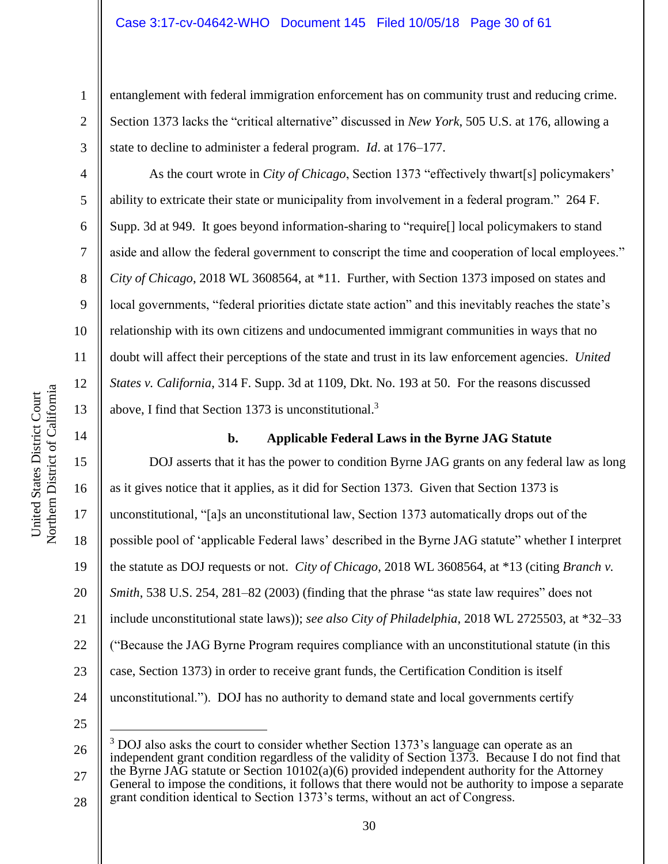entanglement with federal immigration enforcement has on community trust and reducing crime. Section 1373 lacks the "critical alternative" discussed in *New York*, 505 U.S. at 176, allowing a state to decline to administer a federal program. *Id*. at 176–177.

As the court wrote in *City of Chicago*, Section 1373 "effectively thwart[s] policymakers' ability to extricate their state or municipality from involvement in a federal program." 264 F. Supp. 3d at 949. It goes beyond information-sharing to "require[] local policymakers to stand aside and allow the federal government to conscript the time and cooperation of local employees." *City of Chicago*, 2018 WL 3608564, at \*11. Further, with Section 1373 imposed on states and local governments, "federal priorities dictate state action" and this inevitably reaches the state's relationship with its own citizens and undocumented immigrant communities in ways that no doubt will affect their perceptions of the state and trust in its law enforcement agencies. *United States v. California*, 314 F. Supp. 3d at 1109, Dkt. No. 193 at 50. For the reasons discussed above, I find that Section 1373 is unconstitutional.<sup>3</sup>

### **b. Applicable Federal Laws in the Byrne JAG Statute**

15 16 17 18 19 20 21 22 23 24 DOJ asserts that it has the power to condition Byrne JAG grants on any federal law as long as it gives notice that it applies, as it did for Section 1373. Given that Section 1373 is unconstitutional, "[a]s an unconstitutional law, Section 1373 automatically drops out of the possible pool of 'applicable Federal laws' described in the Byrne JAG statute" whether I interpret the statute as DOJ requests or not. *City of Chicago*, 2018 WL 3608564, at \*13 (citing *Branch v. Smith*, 538 U.S. 254, 281–82 (2003) (finding that the phrase "as state law requires" does not include unconstitutional state laws)); *see also City of Philadelphia*, 2018 WL 2725503, at \*32–33 ("Because the JAG Byrne Program requires compliance with an unconstitutional statute (in this case, Section 1373) in order to receive grant funds, the Certification Condition is itself unconstitutional."). DOJ has no authority to demand state and local governments certify

25

 $\overline{a}$ 

1

2

3

4

5

6

7

8

9

10

11

12

13

<sup>26</sup> 27 <sup>3</sup> DOJ also asks the court to consider whether Section 1373's language can operate as an independent grant condition regardless of the validity of Section 1373. Because I do not find that the Byrne JAG statute or Section  $10102(a)(6)$  provided independent authority for the Attorney General to impose the conditions, it follows that there would not be authority to impose a separate

<sup>28</sup> grant condition identical to Section 1373's terms, without an act of Congress.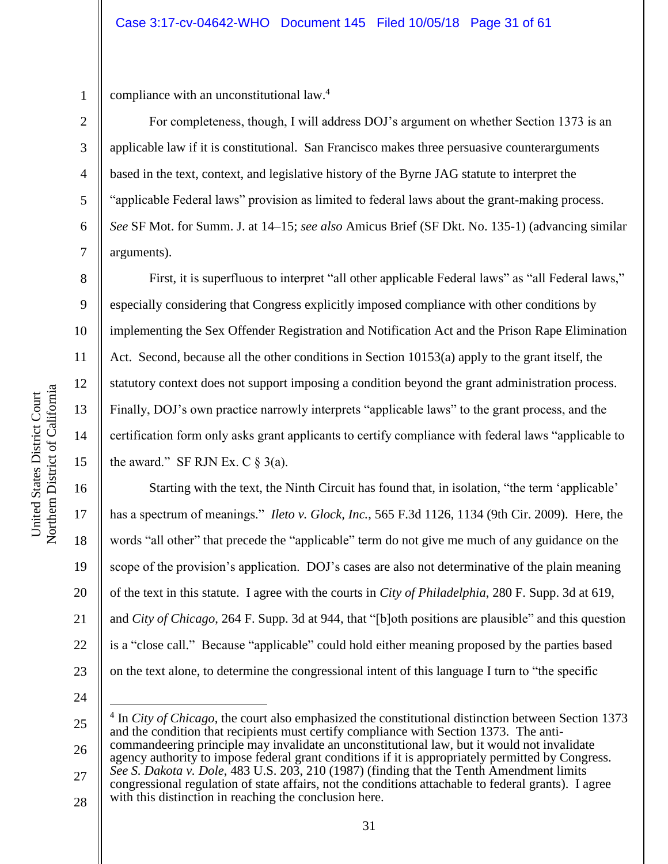1 2

3

4

5

6

7

8

9

10

11

12

13

14

15

16

17

18

19

20

21

22

compliance with an unconstitutional law. 4

For completeness, though, I will address DOJ's argument on whether Section 1373 is an applicable law if it is constitutional. San Francisco makes three persuasive counterarguments based in the text, context, and legislative history of the Byrne JAG statute to interpret the "applicable Federal laws" provision as limited to federal laws about the grant-making process. *See* SF Mot. for Summ. J. at 14–15; *see also* Amicus Brief (SF Dkt. No. 135-1) (advancing similar arguments).

First, it is superfluous to interpret "all other applicable Federal laws" as "all Federal laws," especially considering that Congress explicitly imposed compliance with other conditions by implementing the Sex Offender Registration and Notification Act and the Prison Rape Elimination Act. Second, because all the other conditions in Section 10153(a) apply to the grant itself, the statutory context does not support imposing a condition beyond the grant administration process. Finally, DOJ's own practice narrowly interprets "applicable laws" to the grant process, and the certification form only asks grant applicants to certify compliance with federal laws "applicable to the award." SF RJN Ex. C  $\S$  3(a).

Starting with the text, the Ninth Circuit has found that, in isolation, "the term 'applicable' has a spectrum of meanings." *Ileto v. Glock, Inc.*, 565 F.3d 1126, 1134 (9th Cir. 2009). Here, the words "all other" that precede the "applicable" term do not give me much of any guidance on the scope of the provision's application. DOJ's cases are also not determinative of the plain meaning of the text in this statute. I agree with the courts in *City of Philadelphia*, 280 F. Supp. 3d at 619, and *City of Chicago*, 264 F. Supp. 3d at 944, that "[b]oth positions are plausible" and this question is a "close call." Because "applicable" could hold either meaning proposed by the parties based on the text alone, to determine the congressional intent of this language I turn to "the specific

24

 $\overline{a}$ 

23

25 <sup>4</sup> In *City of Chicago*, the court also emphasized the constitutional distinction between Section 1373 and the condition that recipients must certify compliance with Section 1373. The anticommandeering principle may invalidate an unconstitutional law, but it would not invalidate

26 27 agency authority to impose federal grant conditions if it is appropriately permitted by Congress. *See S. Dakota v. Dole*, 483 U.S. 203, 210 (1987) (finding that the Tenth Amendment limits

28 congressional regulation of state affairs, not the conditions attachable to federal grants). I agree with this distinction in reaching the conclusion here.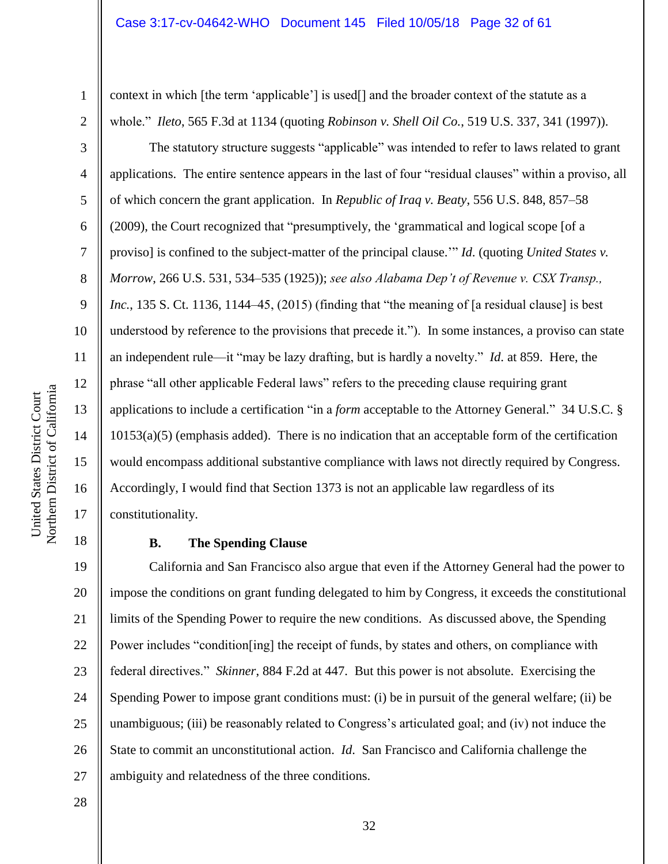context in which [the term 'applicable'] is used[] and the broader context of the statute as a whole." *Ileto*, 565 F.3d at 1134 (quoting *Robinson v. Shell Oil Co.*, 519 U.S. 337, 341 (1997)).

The statutory structure suggests "applicable" was intended to refer to laws related to grant applications. The entire sentence appears in the last of four "residual clauses" within a proviso, all of which concern the grant application. In *Republic of Iraq v. Beaty*, 556 U.S. 848, 857–58 (2009), the Court recognized that "presumptively, the 'grammatical and logical scope [of a proviso] is confined to the subject-matter of the principal clause.'" *Id*. (quoting *United States v. Morrow*, 266 U.S. 531, 534–535 (1925)); *see also Alabama Dep't of Revenue v. CSX Transp., Inc.*, 135 S. Ct. 1136, 1144–45, (2015) (finding that "the meaning of [a residual clause] is best understood by reference to the provisions that precede it."). In some instances, a proviso can state an independent rule—it "may be lazy drafting, but is hardly a novelty." *Id*. at 859. Here, the phrase "all other applicable Federal laws" refers to the preceding clause requiring grant applications to include a certification "in a *form* acceptable to the Attorney General." 34 U.S.C. § 10153(a)(5) (emphasis added). There is no indication that an acceptable form of the certification would encompass additional substantive compliance with laws not directly required by Congress. Accordingly, I would find that Section 1373 is not an applicable law regardless of its constitutionality.

# **B. The Spending Clause**

19 20 21 22 23 24 25 26 27 California and San Francisco also argue that even if the Attorney General had the power to impose the conditions on grant funding delegated to him by Congress, it exceeds the constitutional limits of the Spending Power to require the new conditions. As discussed above, the Spending Power includes "condition[ing] the receipt of funds, by states and others, on compliance with federal directives." *Skinner*, 884 F.2d at 447. But this power is not absolute. Exercising the Spending Power to impose grant conditions must: (i) be in pursuit of the general welfare; (ii) be unambiguous; (iii) be reasonably related to Congress's articulated goal; and (iv) not induce the State to commit an unconstitutional action. *Id*. San Francisco and California challenge the ambiguity and relatedness of the three conditions.

32

1

2

3

4

5

6

7

8

9

10

11

12

13

14

15

16

17

18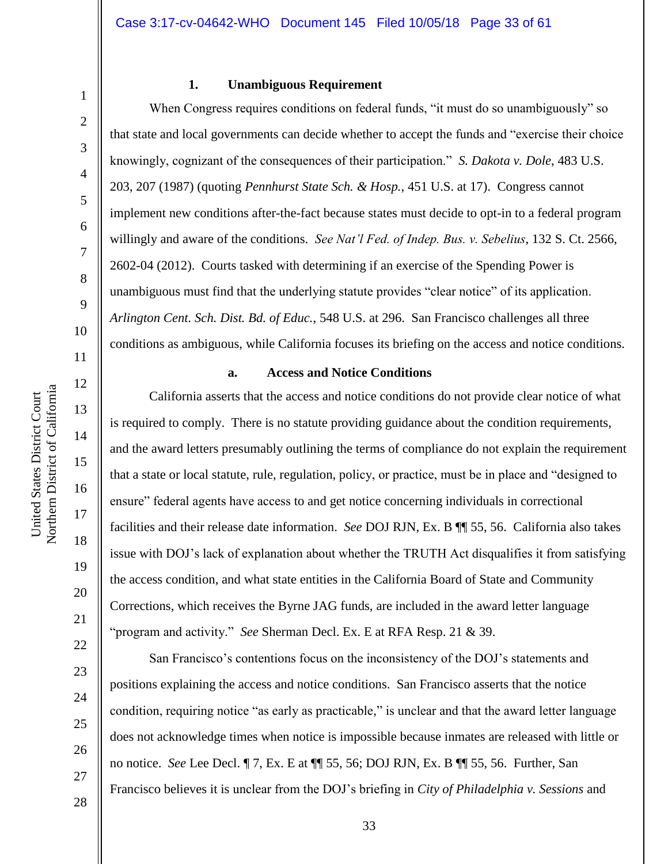#### **1. Unambiguous Requirement**

When Congress requires conditions on federal funds, "it must do so unambiguously" so that state and local governments can decide whether to accept the funds and "exercise their choice knowingly, cognizant of the consequences of their participation." *S. Dakota v. Dole*, 483 U.S. 203, 207 (1987) (quoting *Pennhurst State Sch. & Hosp.*, 451 U.S. at 17). Congress cannot implement new conditions after-the-fact because states must decide to opt-in to a federal program willingly and aware of the conditions. *See Nat'l Fed. of Indep. Bus. v. Sebelius*, 132 S. Ct. 2566, 2602-04 (2012). Courts tasked with determining if an exercise of the Spending Power is unambiguous must find that the underlying statute provides "clear notice" of its application. *Arlington Cent. Sch. Dist. Bd. of Educ.*, 548 U.S. at 296. San Francisco challenges all three conditions as ambiguous, while California focuses its briefing on the access and notice conditions.

#### **a. Access and Notice Conditions**

California asserts that the access and notice conditions do not provide clear notice of what is required to comply. There is no statute providing guidance about the condition requirements, and the award letters presumably outlining the terms of compliance do not explain the requirement that a state or local statute, rule, regulation, policy, or practice, must be in place and "designed to ensure" federal agents have access to and get notice concerning individuals in correctional facilities and their release date information. *See* DOJ RJN, Ex. B ¶¶ 55, 56. California also takes issue with DOJ's lack of explanation about whether the TRUTH Act disqualifies it from satisfying the access condition, and what state entities in the California Board of State and Community Corrections, which receives the Byrne JAG funds, are included in the award letter language "program and activity." *See* Sherman Decl. Ex. E at RFA Resp. 21 & 39.

San Francisco's contentions focus on the inconsistency of the DOJ's statements and positions explaining the access and notice conditions. San Francisco asserts that the notice condition, requiring notice "as early as practicable," is unclear and that the award letter language does not acknowledge times when notice is impossible because inmates are released with little or no notice. *See* Lee Decl. ¶ 7, Ex. E at ¶¶ 55, 56; DOJ RJN, Ex. B ¶¶ 55, 56. Further, San Francisco believes it is unclear from the DOJ's briefing in *City of Philadelphia v. Sessions* and

1

2

3

4

5

6

7

8

9

10

11

12

13

14

15

16

17

18

19

20

21

22

23

24

25

26

27

28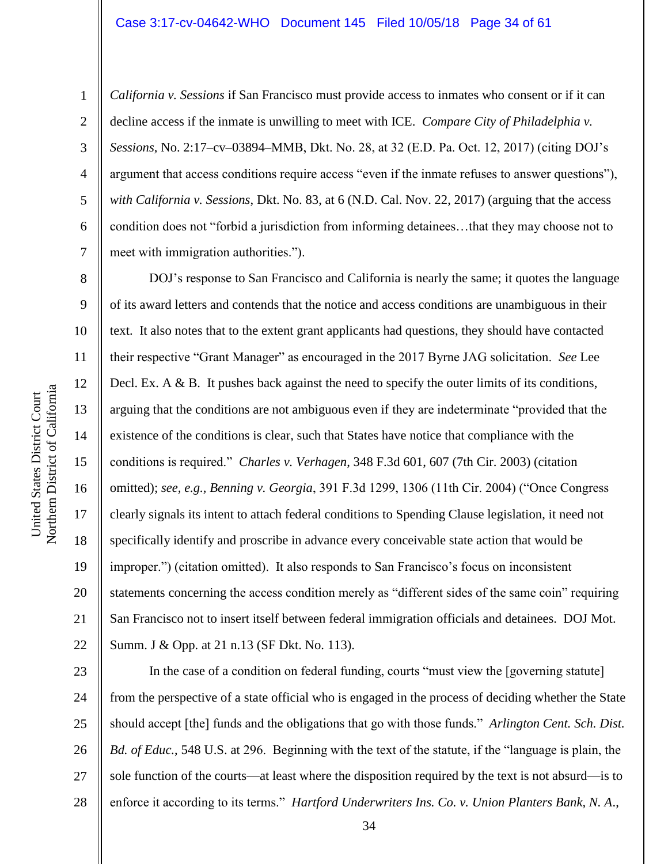#### Case 3:17-cv-04642-WHO Document 145 Filed 10/05/18 Page 34 of 61

1

2

3

4

5

6

7

8

9

10

11

12

13

14

15

16

17

18

19

20

21

22

*California v. Sessions* if San Francisco must provide access to inmates who consent or if it can decline access if the inmate is unwilling to meet with ICE. *Compare City of Philadelphia v. Sessions*, No. 2:17–cv–03894–MMB, Dkt. No. 28, at 32 (E.D. Pa. Oct. 12, 2017) (citing DOJ's argument that access conditions require access "even if the inmate refuses to answer questions"), *with California v. Sessions*, Dkt. No. 83, at 6 (N.D. Cal. Nov. 22, 2017) (arguing that the access condition does not "forbid a jurisdiction from informing detainees…that they may choose not to meet with immigration authorities.").

DOJ's response to San Francisco and California is nearly the same; it quotes the language of its award letters and contends that the notice and access conditions are unambiguous in their text. It also notes that to the extent grant applicants had questions, they should have contacted their respective "Grant Manager" as encouraged in the 2017 Byrne JAG solicitation. *See* Lee Decl. Ex. A & B. It pushes back against the need to specify the outer limits of its conditions, arguing that the conditions are not ambiguous even if they are indeterminate "provided that the existence of the conditions is clear, such that States have notice that compliance with the conditions is required." *Charles v. Verhagen*, 348 F.3d 601, 607 (7th Cir. 2003) (citation omitted); *see, e.g., Benning v. Georgia*, 391 F.3d 1299, 1306 (11th Cir. 2004) ("Once Congress clearly signals its intent to attach federal conditions to Spending Clause legislation, it need not specifically identify and proscribe in advance every conceivable state action that would be improper.") (citation omitted). It also responds to San Francisco's focus on inconsistent statements concerning the access condition merely as "different sides of the same coin" requiring San Francisco not to insert itself between federal immigration officials and detainees. DOJ Mot. Summ. J & Opp. at 21 n.13 (SF Dkt. No. 113).

23 24 25 26 27 28 In the case of a condition on federal funding, courts "must view the [governing statute] from the perspective of a state official who is engaged in the process of deciding whether the State should accept [the] funds and the obligations that go with those funds." *Arlington Cent. Sch. Dist. Bd. of Educ.*, 548 U.S. at 296. Beginning with the text of the statute, if the "language is plain, the sole function of the courts—at least where the disposition required by the text is not absurd—is to enforce it according to its terms." *Hartford Underwriters Ins. Co. v. Union Planters Bank, N. A*.,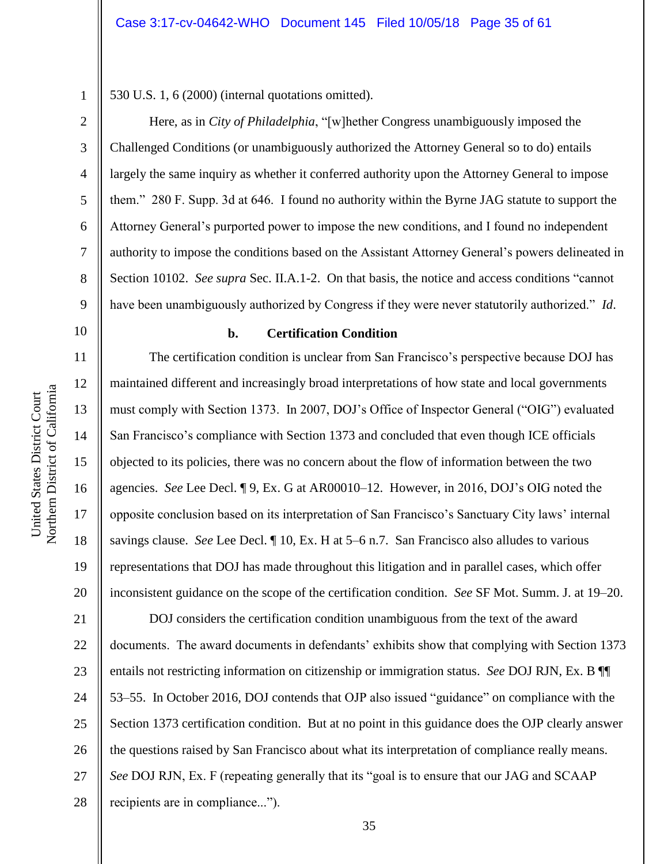1 2

3

4

5

6

7

8

9

530 U.S. 1, 6 (2000) (internal quotations omitted).

Here, as in *City of Philadelphia*, "[w]hether Congress unambiguously imposed the Challenged Conditions (or unambiguously authorized the Attorney General so to do) entails largely the same inquiry as whether it conferred authority upon the Attorney General to impose them." 280 F. Supp. 3d at 646. I found no authority within the Byrne JAG statute to support the Attorney General's purported power to impose the new conditions, and I found no independent authority to impose the conditions based on the Assistant Attorney General's powers delineated in Section 10102. *See supra* Sec. II.A.1-2. On that basis, the notice and access conditions "cannot have been unambiguously authorized by Congress if they were never statutorily authorized." *Id*.

10

11

12

13

14

15

16

17

18

19

20

# **b. Certification Condition**

The certification condition is unclear from San Francisco's perspective because DOJ has maintained different and increasingly broad interpretations of how state and local governments must comply with Section 1373. In 2007, DOJ's Office of Inspector General ("OIG") evaluated San Francisco's compliance with Section 1373 and concluded that even though ICE officials objected to its policies, there was no concern about the flow of information between the two agencies. *See* Lee Decl. ¶ 9, Ex. G at AR00010–12. However, in 2016, DOJ's OIG noted the opposite conclusion based on its interpretation of San Francisco's Sanctuary City laws' internal savings clause. *See* Lee Decl. ¶ 10, Ex. H at 5–6 n.7. San Francisco also alludes to various representations that DOJ has made throughout this litigation and in parallel cases, which offer inconsistent guidance on the scope of the certification condition. *See* SF Mot. Summ. J. at 19–20.

21 22 23 24 25 26 27 28 DOJ considers the certification condition unambiguous from the text of the award documents. The award documents in defendants' exhibits show that complying with Section 1373 entails not restricting information on citizenship or immigration status. *See* DOJ RJN, Ex. B ¶¶ 53–55. In October 2016, DOJ contends that OJP also issued "guidance" on compliance with the Section 1373 certification condition. But at no point in this guidance does the OJP clearly answer the questions raised by San Francisco about what its interpretation of compliance really means. *See* DOJ RJN, Ex. F (repeating generally that its "goal is to ensure that our JAG and SCAAP recipients are in compliance...").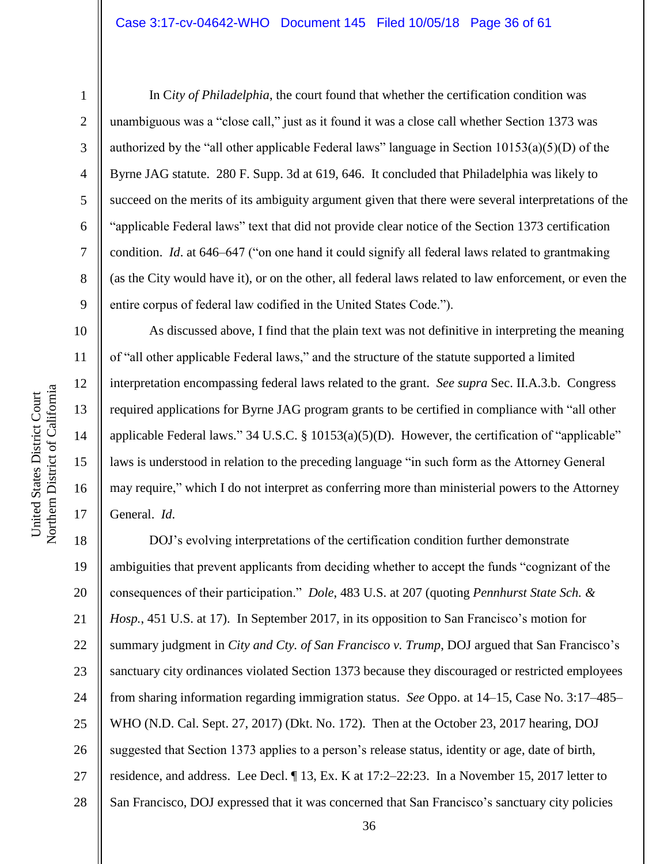1

2

3

4

5

6

7

8

9

10

11

12

13

14

15

16

17

In C*ity of Philadelphia*, the court found that whether the certification condition was unambiguous was a "close call," just as it found it was a close call whether Section 1373 was authorized by the "all other applicable Federal laws" language in Section 10153(a)(5)(D) of the Byrne JAG statute. 280 F. Supp. 3d at 619, 646. It concluded that Philadelphia was likely to succeed on the merits of its ambiguity argument given that there were several interpretations of the "applicable Federal laws" text that did not provide clear notice of the Section 1373 certification condition. *Id*. at 646–647 ("on one hand it could signify all federal laws related to grantmaking (as the City would have it), or on the other, all federal laws related to law enforcement, or even the entire corpus of federal law codified in the United States Code.").

As discussed above, I find that the plain text was not definitive in interpreting the meaning of "all other applicable Federal laws," and the structure of the statute supported a limited interpretation encompassing federal laws related to the grant. *See supra* Sec. II.A.3.b. Congress required applications for Byrne JAG program grants to be certified in compliance with "all other applicable Federal laws." 34 U.S.C. § 10153(a)(5)(D). However, the certification of "applicable" laws is understood in relation to the preceding language "in such form as the Attorney General may require," which I do not interpret as conferring more than ministerial powers to the Attorney General. *Id*.

18 19 20 21 22 23 24 25 26 27 28 DOJ's evolving interpretations of the certification condition further demonstrate ambiguities that prevent applicants from deciding whether to accept the funds "cognizant of the consequences of their participation." *Dole*, 483 U.S. at 207 (quoting *Pennhurst State Sch. & Hosp.*, 451 U.S. at 17). In September 2017, in its opposition to San Francisco's motion for summary judgment in *City and Cty. of San Francisco v. Trump*, DOJ argued that San Francisco's sanctuary city ordinances violated Section 1373 because they discouraged or restricted employees from sharing information regarding immigration status. *See* Oppo. at 14–15, Case No. 3:17–485– WHO (N.D. Cal. Sept. 27, 2017) (Dkt. No. 172). Then at the October 23, 2017 hearing, DOJ suggested that Section 1373 applies to a person's release status, identity or age, date of birth, residence, and address. Lee Decl. ¶ 13, Ex. K at 17:2–22:23. In a November 15, 2017 letter to San Francisco, DOJ expressed that it was concerned that San Francisco's sanctuary city policies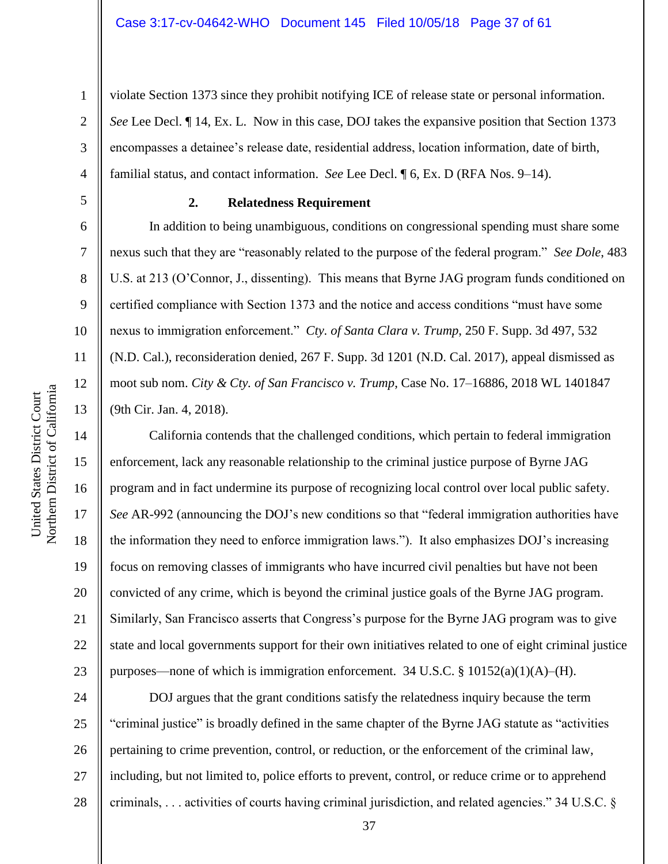violate Section 1373 since they prohibit notifying ICE of release state or personal information. *See* Lee Decl. ¶ 14, Ex. L. Now in this case, DOJ takes the expansive position that Section 1373 encompasses a detainee's release date, residential address, location information, date of birth, familial status, and contact information. *See* Lee Decl. ¶ 6, Ex. D (RFA Nos. 9–14).

**2. Relatedness Requirement**

In addition to being unambiguous, conditions on congressional spending must share some nexus such that they are "reasonably related to the purpose of the federal program." *See Dole*, 483 U.S. at 213 (O'Connor, J., dissenting). This means that Byrne JAG program funds conditioned on certified compliance with Section 1373 and the notice and access conditions "must have some nexus to immigration enforcement." *Cty. of Santa Clara v. Trump*, 250 F. Supp. 3d 497, 532 (N.D. Cal.), reconsideration denied, 267 F. Supp. 3d 1201 (N.D. Cal. 2017), appeal dismissed as moot sub nom. *City & Cty. of San Francisco v. Trump*, Case No. 17–16886, 2018 WL 1401847 (9th Cir. Jan. 4, 2018).

California contends that the challenged conditions, which pertain to federal immigration enforcement, lack any reasonable relationship to the criminal justice purpose of Byrne JAG program and in fact undermine its purpose of recognizing local control over local public safety. *See* AR-992 (announcing the DOJ's new conditions so that "federal immigration authorities have the information they need to enforce immigration laws."). It also emphasizes DOJ's increasing focus on removing classes of immigrants who have incurred civil penalties but have not been convicted of any crime, which is beyond the criminal justice goals of the Byrne JAG program. Similarly, San Francisco asserts that Congress's purpose for the Byrne JAG program was to give state and local governments support for their own initiatives related to one of eight criminal justice purposes—none of which is immigration enforcement. 34 U.S.C. § 10152(a)(1)(A)–(H).

24 25 26 27 28 DOJ argues that the grant conditions satisfy the relatedness inquiry because the term "criminal justice" is broadly defined in the same chapter of the Byrne JAG statute as "activities pertaining to crime prevention, control, or reduction, or the enforcement of the criminal law, including, but not limited to, police efforts to prevent, control, or reduce crime or to apprehend criminals, . . . activities of courts having criminal jurisdiction, and related agencies." 34 U.S.C. §

1

2

3

4

5

6

7

8

9

10

11

12

13

14

15

16

17

18

19

20

21

22

23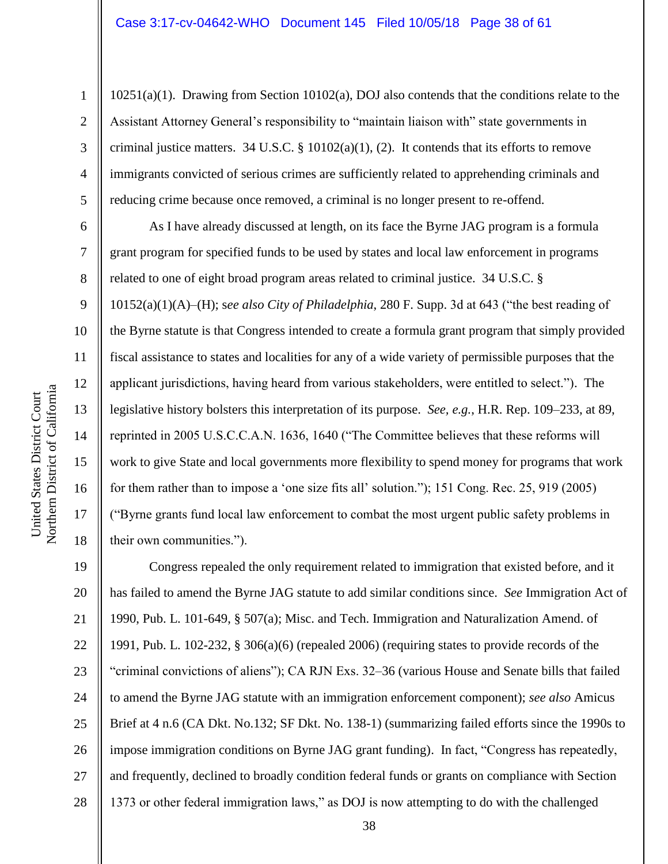10251(a)(1). Drawing from Section 10102(a), DOJ also contends that the conditions relate to the Assistant Attorney General's responsibility to "maintain liaison with" state governments in criminal justice matters. 34 U.S.C. §  $10102(a)(1)$ , (2). It contends that its efforts to remove immigrants convicted of serious crimes are sufficiently related to apprehending criminals and reducing crime because once removed, a criminal is no longer present to re-offend.

As I have already discussed at length, on its face the Byrne JAG program is a formula grant program for specified funds to be used by states and local law enforcement in programs related to one of eight broad program areas related to criminal justice. 34 U.S.C. § 10152(a)(1)(A)–(H); s*ee also City of Philadelphia*, 280 F. Supp. 3d at 643 ("the best reading of the Byrne statute is that Congress intended to create a formula grant program that simply provided fiscal assistance to states and localities for any of a wide variety of permissible purposes that the applicant jurisdictions, having heard from various stakeholders, were entitled to select."). The legislative history bolsters this interpretation of its purpose. *See, e.g.*, H.R. Rep. 109–233, at 89, reprinted in 2005 U.S.C.C.A.N. 1636, 1640 ("The Committee believes that these reforms will work to give State and local governments more flexibility to spend money for programs that work for them rather than to impose a 'one size fits all' solution."); 151 Cong. Rec. 25, 919 (2005) ("Byrne grants fund local law enforcement to combat the most urgent public safety problems in their own communities.").

19 20 21 22 23 24 25 26 27 28 Congress repealed the only requirement related to immigration that existed before, and it has failed to amend the Byrne JAG statute to add similar conditions since. *See* Immigration Act of 1990, Pub. L. 101-649, § 507(a); Misc. and Tech. Immigration and Naturalization Amend. of 1991, Pub. L. 102-232, § 306(a)(6) (repealed 2006) (requiring states to provide records of the "criminal convictions of aliens"); CA RJN Exs. 32–36 (various House and Senate bills that failed to amend the Byrne JAG statute with an immigration enforcement component); *see also* Amicus Brief at 4 n.6 (CA Dkt. No.132; SF Dkt. No. 138-1) (summarizing failed efforts since the 1990s to impose immigration conditions on Byrne JAG grant funding). In fact, "Congress has repeatedly, and frequently, declined to broadly condition federal funds or grants on compliance with Section 1373 or other federal immigration laws," as DOJ is now attempting to do with the challenged

1

2

3

4

5

6

7

8

9

10

11

12

13

14

15

16

17

18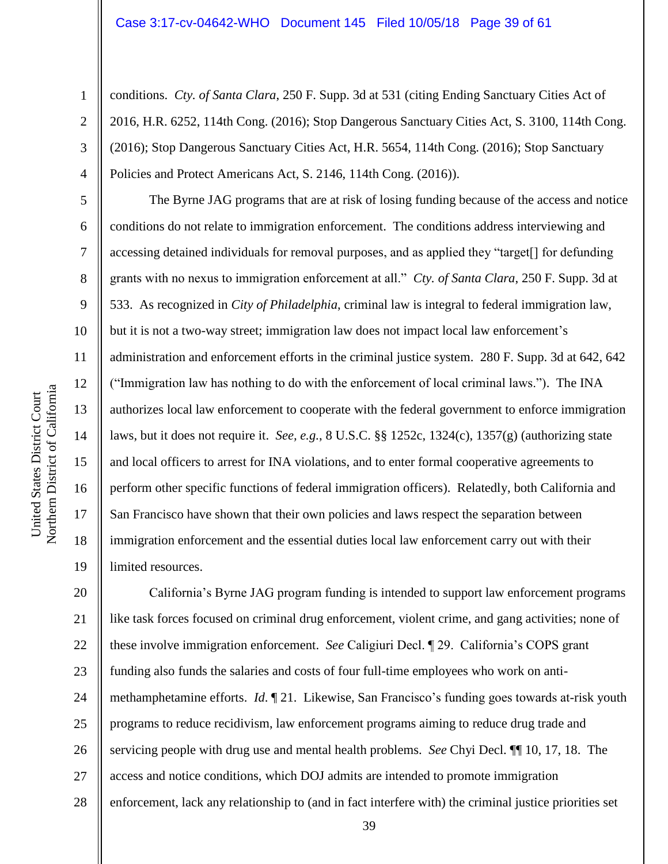conditions. *Cty. of Santa Clara*, 250 F. Supp. 3d at 531 (citing Ending Sanctuary Cities Act of 2016, H.R. 6252, 114th Cong. (2016); Stop Dangerous Sanctuary Cities Act, S. 3100, 114th Cong. (2016); Stop Dangerous Sanctuary Cities Act, H.R. 5654, 114th Cong. (2016); Stop Sanctuary Policies and Protect Americans Act, S. 2146, 114th Cong. (2016)).

The Byrne JAG programs that are at risk of losing funding because of the access and notice conditions do not relate to immigration enforcement. The conditions address interviewing and accessing detained individuals for removal purposes, and as applied they "target[] for defunding grants with no nexus to immigration enforcement at all." *Cty. of Santa Clara*, 250 F. Supp. 3d at 533. As recognized in *City of Philadelphia*, criminal law is integral to federal immigration law, but it is not a two-way street; immigration law does not impact local law enforcement's administration and enforcement efforts in the criminal justice system. 280 F. Supp. 3d at 642, 642 ("Immigration law has nothing to do with the enforcement of local criminal laws."). The INA authorizes local law enforcement to cooperate with the federal government to enforce immigration laws, but it does not require it. *See, e.g.*, 8 U.S.C. §§ 1252c, 1324(c), 1357(g) (authorizing state and local officers to arrest for INA violations, and to enter formal cooperative agreements to perform other specific functions of federal immigration officers). Relatedly, both California and San Francisco have shown that their own policies and laws respect the separation between immigration enforcement and the essential duties local law enforcement carry out with their limited resources.

20 21 22 23 24 25 26 27 28 California's Byrne JAG program funding is intended to support law enforcement programs like task forces focused on criminal drug enforcement, violent crime, and gang activities; none of these involve immigration enforcement. *See* Caligiuri Decl. ¶ 29. California's COPS grant funding also funds the salaries and costs of four full-time employees who work on antimethamphetamine efforts. *Id*. ¶ 21. Likewise, San Francisco's funding goes towards at-risk youth programs to reduce recidivism, law enforcement programs aiming to reduce drug trade and servicing people with drug use and mental health problems. *See* Chyi Decl. ¶¶ 10, 17, 18. The access and notice conditions, which DOJ admits are intended to promote immigration enforcement, lack any relationship to (and in fact interfere with) the criminal justice priorities set

1

2

3

4

5

6

7

8

9

10

11

12

13

14

15

16

17

18

19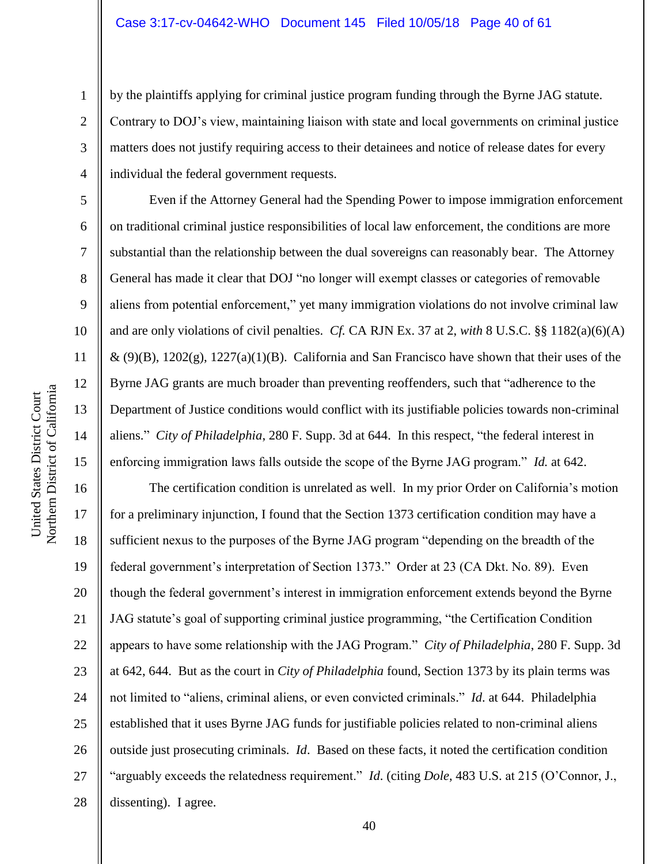by the plaintiffs applying for criminal justice program funding through the Byrne JAG statute. Contrary to DOJ's view, maintaining liaison with state and local governments on criminal justice matters does not justify requiring access to their detainees and notice of release dates for every individual the federal government requests.

Even if the Attorney General had the Spending Power to impose immigration enforcement on traditional criminal justice responsibilities of local law enforcement, the conditions are more substantial than the relationship between the dual sovereigns can reasonably bear. The Attorney General has made it clear that DOJ "no longer will exempt classes or categories of removable aliens from potential enforcement," yet many immigration violations do not involve criminal law and are only violations of civil penalties. *Cf.* CA RJN Ex. 37 at 2, *with* 8 U.S.C. §§ 1182(a)(6)(A)  $\&$  (9)(B), 1202(g), 1227(a)(1)(B). California and San Francisco have shown that their uses of the Byrne JAG grants are much broader than preventing reoffenders, such that "adherence to the Department of Justice conditions would conflict with its justifiable policies towards non-criminal aliens." *City of Philadelphia*, 280 F. Supp. 3d at 644. In this respect, "the federal interest in enforcing immigration laws falls outside the scope of the Byrne JAG program." *Id.* at 642.

16 20 22 23 24 26 27 The certification condition is unrelated as well. In my prior Order on California's motion for a preliminary injunction, I found that the Section 1373 certification condition may have a sufficient nexus to the purposes of the Byrne JAG program "depending on the breadth of the federal government's interpretation of Section 1373." Order at 23 (CA Dkt. No. 89). Even though the federal government's interest in immigration enforcement extends beyond the Byrne JAG statute's goal of supporting criminal justice programming, "the Certification Condition appears to have some relationship with the JAG Program." *City of Philadelphia*, 280 F. Supp. 3d at 642, 644. But as the court in *City of Philadelphia* found, Section 1373 by its plain terms was not limited to "aliens, criminal aliens, or even convicted criminals." *Id*. at 644. Philadelphia established that it uses Byrne JAG funds for justifiable policies related to non-criminal aliens outside just prosecuting criminals. *Id*. Based on these facts, it noted the certification condition "arguably exceeds the relatedness requirement." *Id*. (citing *Dole*, 483 U.S. at 215 (O'Connor, J., dissenting). I agree.

1

2

3

4

5

6

7

8

9

10

11

12

13

14

15

17

18

19

21

25

28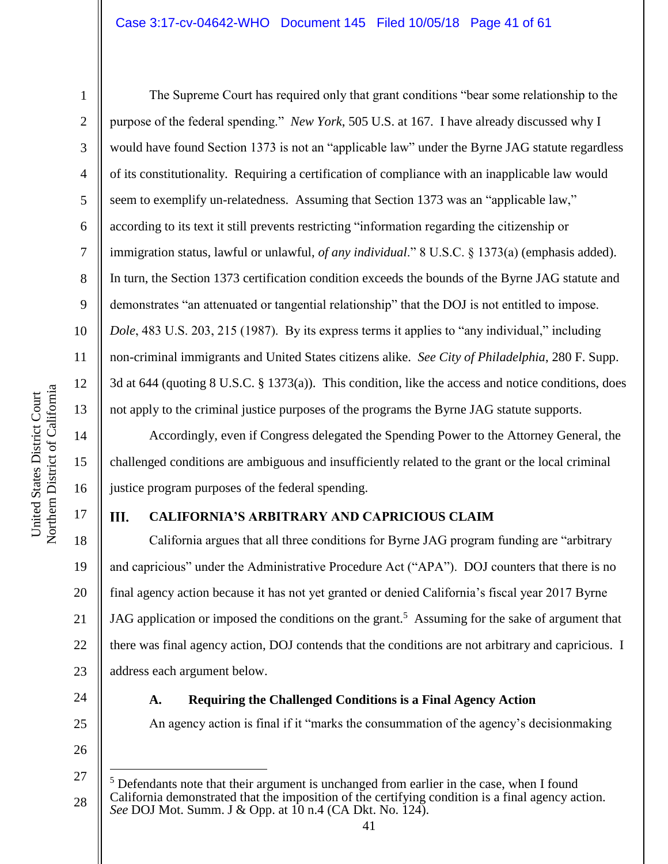1

2

3

4

5

6

7

8

9

10

11

12

13

14

15

16

17

The Supreme Court has required only that grant conditions "bear some relationship to the purpose of the federal spending." *New York*, 505 U.S. at 167. I have already discussed why I would have found Section 1373 is not an "applicable law" under the Byrne JAG statute regardless of its constitutionality. Requiring a certification of compliance with an inapplicable law would seem to exemplify un-relatedness. Assuming that Section 1373 was an "applicable law," according to its text it still prevents restricting "information regarding the citizenship or immigration status, lawful or unlawful, *of any individual*." 8 U.S.C. § 1373(a) (emphasis added). In turn, the Section 1373 certification condition exceeds the bounds of the Byrne JAG statute and demonstrates "an attenuated or tangential relationship" that the DOJ is not entitled to impose. *Dole*, 483 U.S. 203, 215 (1987). By its express terms it applies to "any individual," including non-criminal immigrants and United States citizens alike. *See City of Philadelphia*, 280 F. Supp. 3d at 644 (quoting 8 U.S.C. § 1373(a)). This condition, like the access and notice conditions, does not apply to the criminal justice purposes of the programs the Byrne JAG statute supports.

Accordingly, even if Congress delegated the Spending Power to the Attorney General, the challenged conditions are ambiguous and insufficiently related to the grant or the local criminal justice program purposes of the federal spending.

#### III. **CALIFORNIA'S ARBITRARY AND CAPRICIOUS CLAIM**

18 19 20 21 22 23 California argues that all three conditions for Byrne JAG program funding are "arbitrary and capricious" under the Administrative Procedure Act ("APA"). DOJ counters that there is no final agency action because it has not yet granted or denied California's fiscal year 2017 Byrne JAG application or imposed the conditions on the grant.<sup>5</sup> Assuming for the sake of argument that there was final agency action, DOJ contends that the conditions are not arbitrary and capricious. I address each argument below.

24

#### **A. Requiring the Challenged Conditions is a Final Agency Action**

An agency action is final if it "marks the consummation of the agency's decisionmaking

26

 $\overline{a}$ 

<sup>27</sup> 28 <sup>5</sup> Defendants note that their argument is unchanged from earlier in the case, when I found California demonstrated that the imposition of the certifying condition is a final agency action. *See* DOJ Mot. Summ. J & Opp. at 10 n.4 (CA Dkt. No. 124).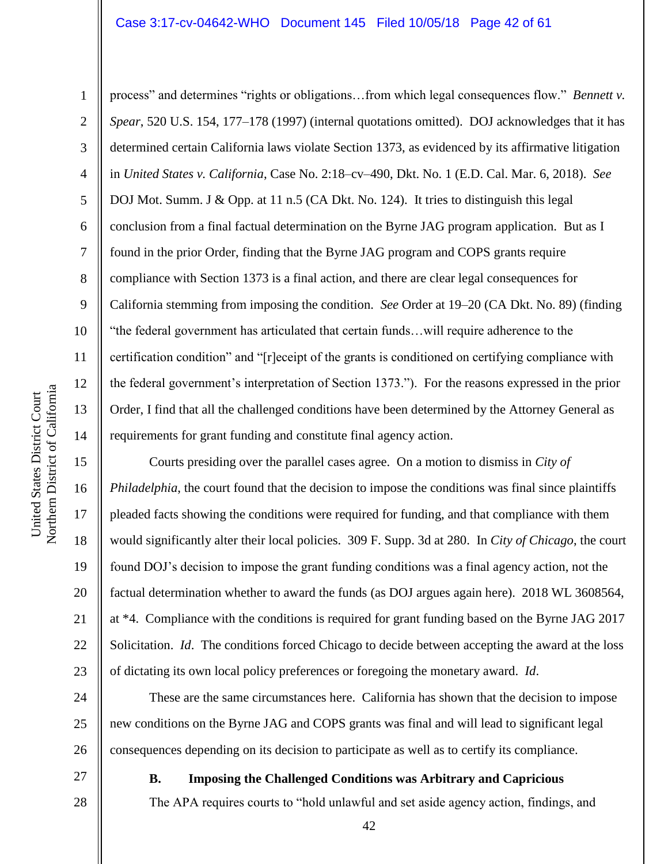#### Case 3:17-cv-04642-WHO Document 145 Filed 10/05/18 Page 42 of 61

Northern District of California Northern District of California United States District Court United States District Court

1

2

3

5

8

9

11

12

13

14

15

16

17

18

19

20

21

22

23

27

28

4 6 7 10 process" and determines "rights or obligations…from which legal consequences flow." *Bennett v. Spear*, 520 U.S. 154, 177–178 (1997) (internal quotations omitted). DOJ acknowledges that it has determined certain California laws violate Section 1373, as evidenced by its affirmative litigation in *United States v. California*, Case No. 2:18–cv–490, Dkt. No. 1 (E.D. Cal. Mar. 6, 2018). *See* DOJ Mot. Summ. J & Opp. at 11 n.5 (CA Dkt. No. 124). It tries to distinguish this legal conclusion from a final factual determination on the Byrne JAG program application. But as I found in the prior Order, finding that the Byrne JAG program and COPS grants require compliance with Section 1373 is a final action, and there are clear legal consequences for California stemming from imposing the condition. *See* Order at 19–20 (CA Dkt. No. 89) (finding "the federal government has articulated that certain funds…will require adherence to the certification condition" and "[r]eceipt of the grants is conditioned on certifying compliance with the federal government's interpretation of Section 1373."). For the reasons expressed in the prior Order, I find that all the challenged conditions have been determined by the Attorney General as requirements for grant funding and constitute final agency action.

Courts presiding over the parallel cases agree. On a motion to dismiss in *City of Philadelphia*, the court found that the decision to impose the conditions was final since plaintiffs pleaded facts showing the conditions were required for funding, and that compliance with them would significantly alter their local policies. 309 F. Supp. 3d at 280. In *City of Chicago*, the court found DOJ's decision to impose the grant funding conditions was a final agency action, not the factual determination whether to award the funds (as DOJ argues again here). 2018 WL 3608564, at \*4. Compliance with the conditions is required for grant funding based on the Byrne JAG 2017 Solicitation. *Id*. The conditions forced Chicago to decide between accepting the award at the loss of dictating its own local policy preferences or foregoing the monetary award. *Id*.

24 25 26 These are the same circumstances here. California has shown that the decision to impose new conditions on the Byrne JAG and COPS grants was final and will lead to significant legal consequences depending on its decision to participate as well as to certify its compliance.

**B. Imposing the Challenged Conditions was Arbitrary and Capricious**

The APA requires courts to "hold unlawful and set aside agency action, findings, and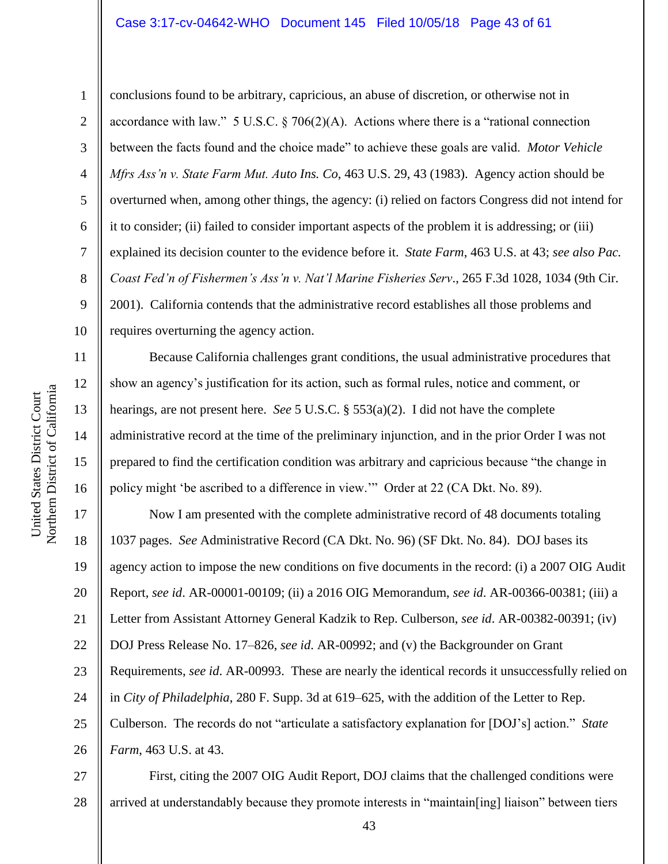#### Case 3:17-cv-04642-WHO Document 145 Filed 10/05/18 Page 43 of 61

Northern District of California Northern District of California

11

12

13

14

15

United States District Court

United States District Court

16

1 2 3 4 5 6 7 8 9 10 conclusions found to be arbitrary, capricious, an abuse of discretion, or otherwise not in accordance with law." 5 U.S.C.  $\S$  706(2)(A). Actions where there is a "rational connection between the facts found and the choice made" to achieve these goals are valid. *Motor Vehicle Mfrs Ass'n v. State Farm Mut. Auto Ins. Co*, 463 U.S. 29, 43 (1983). Agency action should be overturned when, among other things, the agency: (i) relied on factors Congress did not intend for it to consider; (ii) failed to consider important aspects of the problem it is addressing; or (iii) explained its decision counter to the evidence before it. *State Farm*, 463 U.S. at 43; *see also Pac. Coast Fed'n of Fishermen's Ass'n v. Nat'l Marine Fisheries Serv*., 265 F.3d 1028, 1034 (9th Cir. 2001). California contends that the administrative record establishes all those problems and requires overturning the agency action.

Because California challenges grant conditions, the usual administrative procedures that show an agency's justification for its action, such as formal rules, notice and comment, or hearings, are not present here. *See* 5 U.S.C. § 553(a)(2). I did not have the complete administrative record at the time of the preliminary injunction, and in the prior Order I was not prepared to find the certification condition was arbitrary and capricious because "the change in policy might 'be ascribed to a difference in view.'" Order at 22 (CA Dkt. No. 89).

17 18 19 20 21 22 23 24 25 26 Now I am presented with the complete administrative record of 48 documents totaling 1037 pages. *See* Administrative Record (CA Dkt. No. 96) (SF Dkt. No. 84). DOJ bases its agency action to impose the new conditions on five documents in the record: (i) a 2007 OIG Audit Report, *see id*. AR-00001-00109; (ii) a 2016 OIG Memorandum, *see id*. AR-00366-00381; (iii) a Letter from Assistant Attorney General Kadzik to Rep. Culberson, *see id*. AR-00382-00391; (iv) DOJ Press Release No. 17–826, *see id*. AR-00992; and (v) the Backgrounder on Grant Requirements, *see id*. AR-00993. These are nearly the identical records it unsuccessfully relied on in *City of Philadelphia*, 280 F. Supp. 3d at 619–625, with the addition of the Letter to Rep. Culberson. The records do not "articulate a satisfactory explanation for [DOJ's] action." *State Farm*, 463 U.S. at 43.

27 28 First, citing the 2007 OIG Audit Report, DOJ claims that the challenged conditions were arrived at understandably because they promote interests in "maintain[ing] liaison" between tiers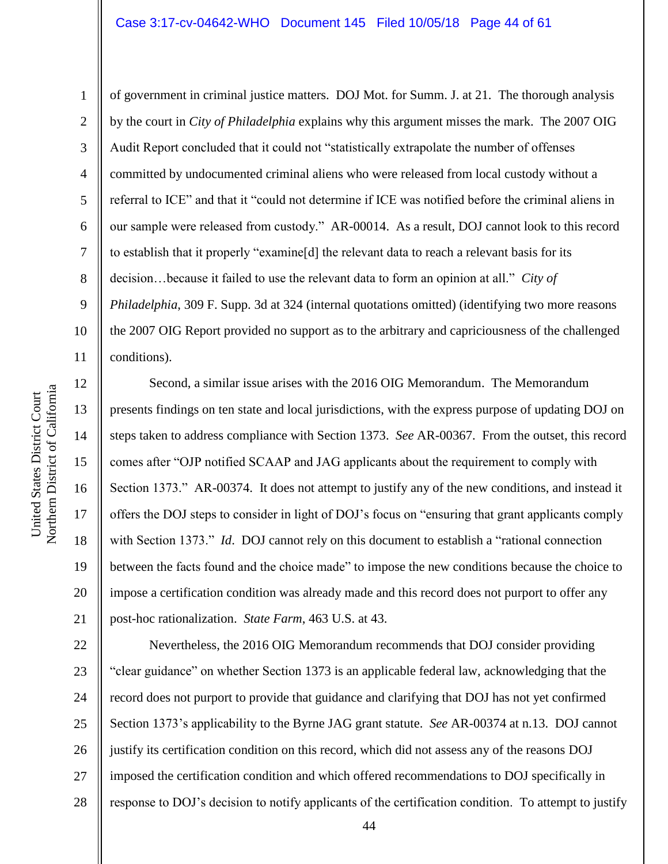#### Case 3:17-cv-04642-WHO Document 145 Filed 10/05/18 Page 44 of 61

1

2

3

4

5

6

7

8

9

of government in criminal justice matters. DOJ Mot. for Summ. J. at 21. The thorough analysis by the court in *City of Philadelphia* explains why this argument misses the mark. The 2007 OIG Audit Report concluded that it could not "statistically extrapolate the number of offenses committed by undocumented criminal aliens who were released from local custody without a referral to ICE" and that it "could not determine if ICE was notified before the criminal aliens in our sample were released from custody." AR-00014. As a result, DOJ cannot look to this record to establish that it properly "examine[d] the relevant data to reach a relevant basis for its decision…because it failed to use the relevant data to form an opinion at all." *City of Philadelphia*, 309 F. Supp. 3d at 324 (internal quotations omitted) (identifying two more reasons the 2007 OIG Report provided no support as to the arbitrary and capriciousness of the challenged conditions).

16 20 Second, a similar issue arises with the 2016 OIG Memorandum. The Memorandum presents findings on ten state and local jurisdictions, with the express purpose of updating DOJ on steps taken to address compliance with Section 1373. *See* AR-00367. From the outset, this record comes after "OJP notified SCAAP and JAG applicants about the requirement to comply with Section 1373." AR-00374. It does not attempt to justify any of the new conditions, and instead it offers the DOJ steps to consider in light of DOJ's focus on "ensuring that grant applicants comply with Section 1373." *Id.* DOJ cannot rely on this document to establish a "rational connection" between the facts found and the choice made" to impose the new conditions because the choice to impose a certification condition was already made and this record does not purport to offer any post-hoc rationalization. *State Farm*, 463 U.S. at 43.

22 23 24 25 26 27 28 Nevertheless, the 2016 OIG Memorandum recommends that DOJ consider providing "clear guidance" on whether Section 1373 is an applicable federal law, acknowledging that the record does not purport to provide that guidance and clarifying that DOJ has not yet confirmed Section 1373's applicability to the Byrne JAG grant statute. *See* AR-00374 at n.13. DOJ cannot justify its certification condition on this record, which did not assess any of the reasons DOJ imposed the certification condition and which offered recommendations to DOJ specifically in response to DOJ's decision to notify applicants of the certification condition. To attempt to justify

17

18

19

21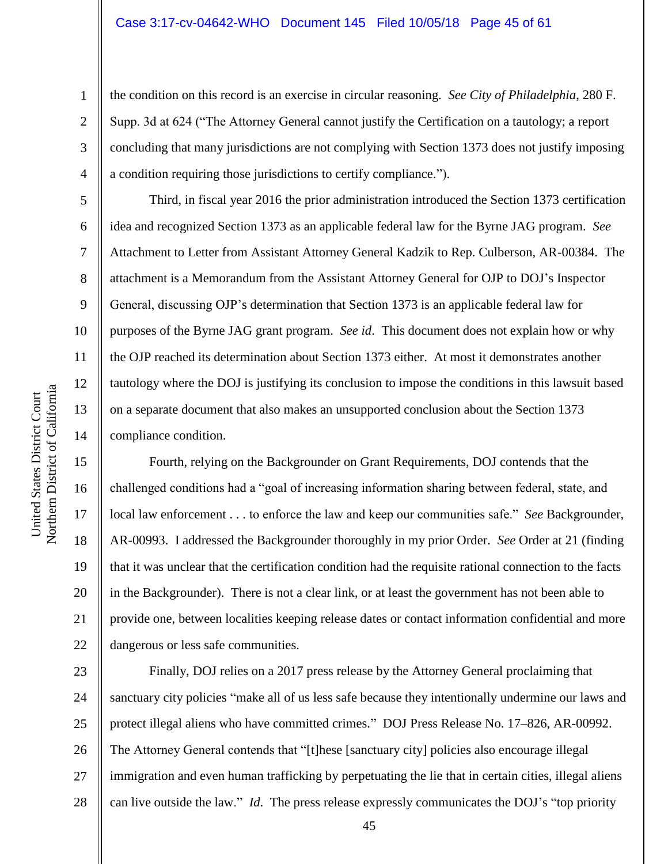#### Case 3:17-cv-04642-WHO Document 145 Filed 10/05/18 Page 45 of 61

the condition on this record is an exercise in circular reasoning. *See City of Philadelphia*, 280 F. Supp. 3d at 624 ("The Attorney General cannot justify the Certification on a tautology; a report concluding that many jurisdictions are not complying with Section 1373 does not justify imposing a condition requiring those jurisdictions to certify compliance.").

Third, in fiscal year 2016 the prior administration introduced the Section 1373 certification idea and recognized Section 1373 as an applicable federal law for the Byrne JAG program. *See* Attachment to Letter from Assistant Attorney General Kadzik to Rep. Culberson, AR-00384. The attachment is a Memorandum from the Assistant Attorney General for OJP to DOJ's Inspector General, discussing OJP's determination that Section 1373 is an applicable federal law for purposes of the Byrne JAG grant program. *See id*. This document does not explain how or why the OJP reached its determination about Section 1373 either. At most it demonstrates another tautology where the DOJ is justifying its conclusion to impose the conditions in this lawsuit based on a separate document that also makes an unsupported conclusion about the Section 1373 compliance condition.

Fourth, relying on the Backgrounder on Grant Requirements, DOJ contends that the challenged conditions had a "goal of increasing information sharing between federal, state, and local law enforcement . . . to enforce the law and keep our communities safe." *See* Backgrounder, AR-00993. I addressed the Backgrounder thoroughly in my prior Order. *See* Order at 21 (finding that it was unclear that the certification condition had the requisite rational connection to the facts in the Backgrounder). There is not a clear link, or at least the government has not been able to provide one, between localities keeping release dates or contact information confidential and more dangerous or less safe communities.

23 24 25 26 27 28 Finally, DOJ relies on a 2017 press release by the Attorney General proclaiming that sanctuary city policies "make all of us less safe because they intentionally undermine our laws and protect illegal aliens who have committed crimes." DOJ Press Release No. 17–826, AR-00992. The Attorney General contends that "[t]hese [sanctuary city] policies also encourage illegal immigration and even human trafficking by perpetuating the lie that in certain cities, illegal aliens can live outside the law." *Id*. The press release expressly communicates the DOJ's "top priority

1

2

3

4

5

6

7

8

9

10

11

12

13

14

15

16

17

18

19

20

21

22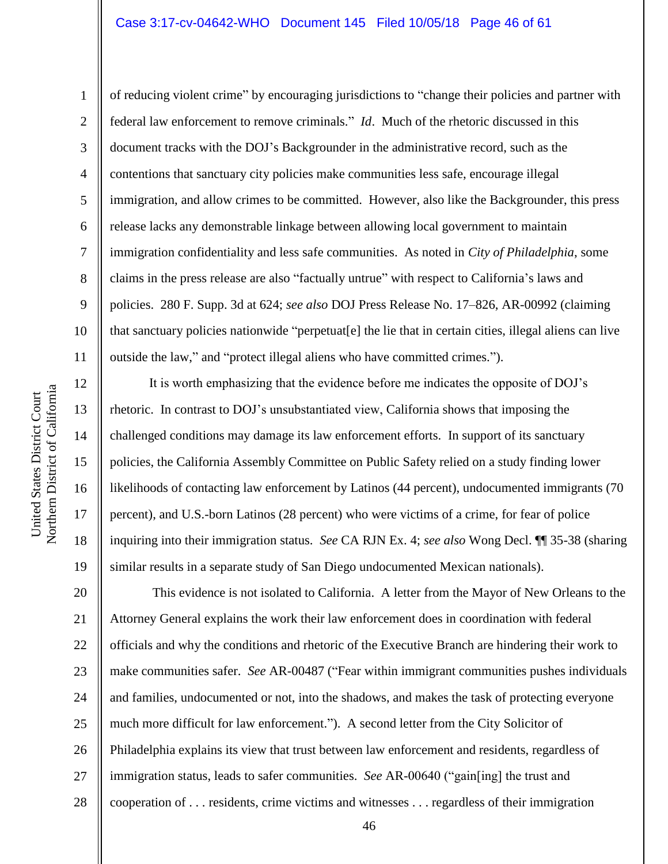1

2

3

4

5

6

7

8

9

10

11

12

13

14

15

16

17

18

19

of reducing violent crime" by encouraging jurisdictions to "change their policies and partner with federal law enforcement to remove criminals." *Id*. Much of the rhetoric discussed in this document tracks with the DOJ's Backgrounder in the administrative record, such as the contentions that sanctuary city policies make communities less safe, encourage illegal immigration, and allow crimes to be committed. However, also like the Backgrounder, this press release lacks any demonstrable linkage between allowing local government to maintain immigration confidentiality and less safe communities. As noted in *City of Philadelphia*, some claims in the press release are also "factually untrue" with respect to California's laws and policies. 280 F. Supp. 3d at 624; *see also* DOJ Press Release No. 17–826, AR-00992 (claiming that sanctuary policies nationwide "perpetuat[e] the lie that in certain cities, illegal aliens can live outside the law," and "protect illegal aliens who have committed crimes.").

It is worth emphasizing that the evidence before me indicates the opposite of DOJ's rhetoric. In contrast to DOJ's unsubstantiated view, California shows that imposing the challenged conditions may damage its law enforcement efforts. In support of its sanctuary policies, the California Assembly Committee on Public Safety relied on a study finding lower likelihoods of contacting law enforcement by Latinos (44 percent), undocumented immigrants (70 percent), and U.S.-born Latinos (28 percent) who were victims of a crime, for fear of police inquiring into their immigration status. *See* CA RJN Ex. 4; *see also* Wong Decl. ¶¶ 35-38 (sharing similar results in a separate study of San Diego undocumented Mexican nationals).

20 21 22 23 24 25 26 27 28 This evidence is not isolated to California. A letter from the Mayor of New Orleans to the Attorney General explains the work their law enforcement does in coordination with federal officials and why the conditions and rhetoric of the Executive Branch are hindering their work to make communities safer. *See* AR-00487 ("Fear within immigrant communities pushes individuals and families, undocumented or not, into the shadows, and makes the task of protecting everyone much more difficult for law enforcement."). A second letter from the City Solicitor of Philadelphia explains its view that trust between law enforcement and residents, regardless of immigration status, leads to safer communities. *See* AR-00640 ("gain[ing] the trust and cooperation of . . . residents, crime victims and witnesses . . . regardless of their immigration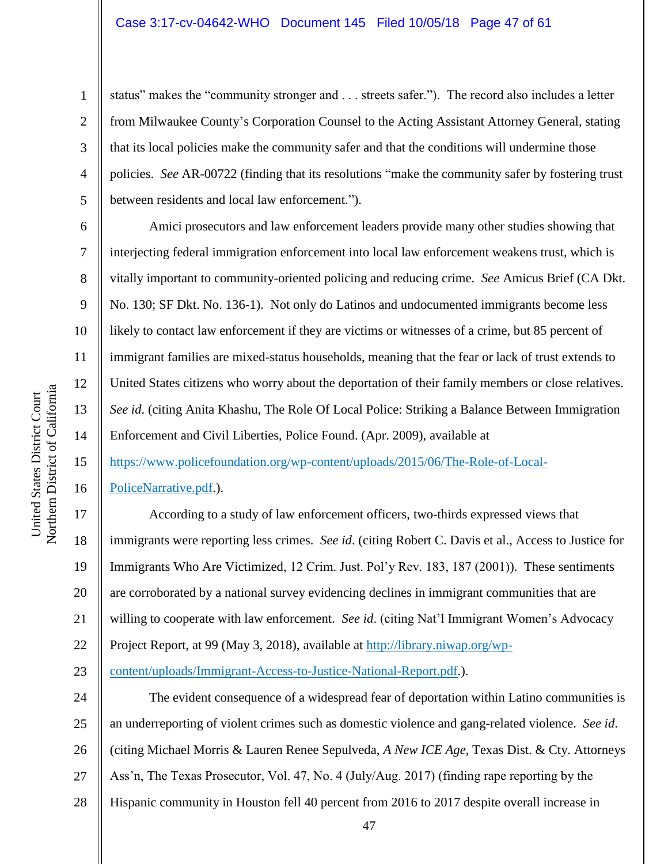#### Case 3:17-cv-04642-WHO Document 145 Filed 10/05/18 Page 47 of 61

status" makes the "community stronger and . . . streets safer."). The record also includes a letter from Milwaukee County's Corporation Counsel to the Acting Assistant Attorney General, stating that its local policies make the community safer and that the conditions will undermine those policies. *See* AR-00722 (finding that its resolutions "make the community safer by fostering trust between residents and local law enforcement.").

Amici prosecutors and law enforcement leaders provide many other studies showing that interjecting federal immigration enforcement into local law enforcement weakens trust, which is vitally important to community-oriented policing and reducing crime. *See* Amicus Brief (CA Dkt. No. 130; SF Dkt. No. 136-1). Not only do Latinos and undocumented immigrants become less likely to contact law enforcement if they are victims or witnesses of a crime, but 85 percent of immigrant families are mixed-status households, meaning that the fear or lack of trust extends to United States citizens who worry about the deportation of their family members or close relatives. *See id*. (citing Anita Khashu, The Role Of Local Police: Striking a Balance Between Immigration Enforcement and Civil Liberties, Police Found. (Apr. 2009), available at

[https://www.policefoundation.org/wp-content/uploads/2015/06/The-Role-of-Local-](https://www.policefoundation.org/wp-content/uploads/2015/06/The-Role-of-Local-PoliceNarrative.pdf)

[PoliceNarrative.pdf.](https://www.policefoundation.org/wp-content/uploads/2015/06/The-Role-of-Local-PoliceNarrative.pdf)).

According to a study of law enforcement officers, two-thirds expressed views that immigrants were reporting less crimes. *See id*. (citing Robert C. Davis et al., Access to Justice for Immigrants Who Are Victimized, 12 Crim. Just. Pol'y Rev. 183, 187 (2001)). These sentiments are corroborated by a national survey evidencing declines in immigrant communities that are willing to cooperate with law enforcement. *See id*. (citing Nat'l Immigrant Women's Advocacy Project Report, at 99 (May 3, 2018), available at [http://library.niwap.org/wp](http://library.niwap.org/wp-content/uploads/Immigrant-Access-to-Justice-National-Report.pdf)[content/uploads/Immigrant-Access-to-Justice-National-Report.pdf.](http://library.niwap.org/wp-content/uploads/Immigrant-Access-to-Justice-National-Report.pdf)).

24 25 26 27 28 The evident consequence of a widespread fear of deportation within Latino communities is an underreporting of violent crimes such as domestic violence and gang-related violence. *See id*. (citing Michael Morris & Lauren Renee Sepulveda, *A New ICE Age*, Texas Dist. & Cty. Attorneys Ass'n, The Texas Prosecutor, Vol. 47, No. 4 (July/Aug. 2017) (finding rape reporting by the Hispanic community in Houston fell 40 percent from 2016 to 2017 despite overall increase in

1

2

3

4

5

6

7

8

9

10

11

12

13

14

15

16

17

18

19

20

21

22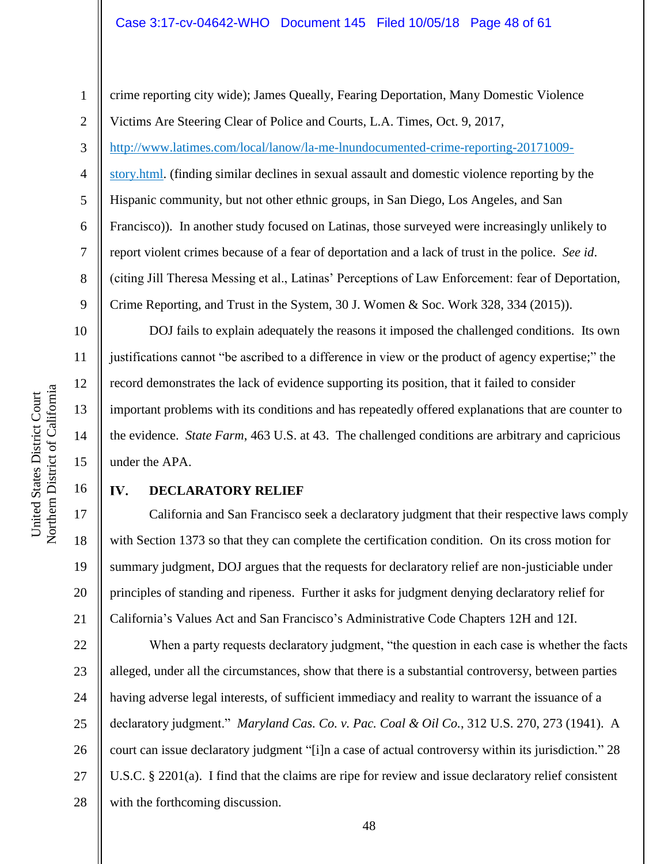1 2 crime reporting city wide); James Queally, Fearing Deportation, Many Domestic Violence Victims Are Steering Clear of Police and Courts, L.A. Times, Oct. 9, 2017,

3 [http://www.latimes.com/local/lanow/la-me-lnundocumented-crime-reporting-20171009-](http://www.latimes.com/local/lanow/la-me-lnundocumented-crime-reporting-20171009-story.html)

[story.html.](http://www.latimes.com/local/lanow/la-me-lnundocumented-crime-reporting-20171009-story.html) (finding similar declines in sexual assault and domestic violence reporting by the Hispanic community, but not other ethnic groups, in San Diego, Los Angeles, and San Francisco)). In another study focused on Latinas, those surveyed were increasingly unlikely to report violent crimes because of a fear of deportation and a lack of trust in the police. *See id*. (citing Jill Theresa Messing et al., Latinas' Perceptions of Law Enforcement: fear of Deportation, Crime Reporting, and Trust in the System, 30 J. Women & Soc. Work 328, 334 (2015)).

DOJ fails to explain adequately the reasons it imposed the challenged conditions. Its own justifications cannot "be ascribed to a difference in view or the product of agency expertise;" the record demonstrates the lack of evidence supporting its position, that it failed to consider important problems with its conditions and has repeatedly offered explanations that are counter to the evidence. *State Farm*, 463 U.S. at 43. The challenged conditions are arbitrary and capricious under the APA.

#### IV. **DECLARATORY RELIEF**

California and San Francisco seek a declaratory judgment that their respective laws comply with Section 1373 so that they can complete the certification condition. On its cross motion for summary judgment, DOJ argues that the requests for declaratory relief are non-justiciable under principles of standing and ripeness. Further it asks for judgment denying declaratory relief for California's Values Act and San Francisco's Administrative Code Chapters 12H and 12I.

22 23 24 25 26 27 28 When a party requests declaratory judgment, "the question in each case is whether the facts alleged, under all the circumstances, show that there is a substantial controversy, between parties having adverse legal interests, of sufficient immediacy and reality to warrant the issuance of a declaratory judgment." *Maryland Cas. Co. v. Pac. Coal & Oil Co.*, 312 U.S. 270, 273 (1941). A court can issue declaratory judgment "[i]n a case of actual controversy within its jurisdiction." 28 U.S.C. § 2201(a). I find that the claims are ripe for review and issue declaratory relief consistent with the forthcoming discussion.

4

5

6

7

8

9

10

11

12

13

14

15

16

17

18

19

20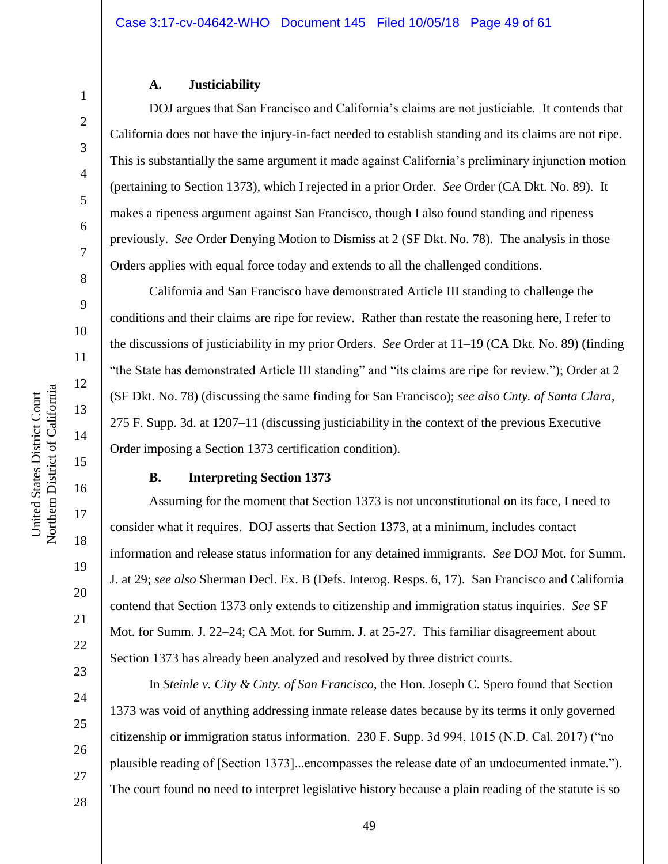#### **A. Justiciability**

DOJ argues that San Francisco and California's claims are not justiciable. It contends that California does not have the injury-in-fact needed to establish standing and its claims are not ripe. This is substantially the same argument it made against California's preliminary injunction motion (pertaining to Section 1373), which I rejected in a prior Order. *See* Order (CA Dkt. No. 89). It makes a ripeness argument against San Francisco, though I also found standing and ripeness previously. *See* Order Denying Motion to Dismiss at 2 (SF Dkt. No. 78). The analysis in those Orders applies with equal force today and extends to all the challenged conditions.

California and San Francisco have demonstrated Article III standing to challenge the conditions and their claims are ripe for review. Rather than restate the reasoning here, I refer to the discussions of justiciability in my prior Orders. *See* Order at 11–19 (CA Dkt. No. 89) (finding "the State has demonstrated Article III standing" and "its claims are ripe for review."); Order at 2 (SF Dkt. No. 78) (discussing the same finding for San Francisco); *see also Cnty. of Santa Clara*, 275 F. Supp. 3d. at 1207–11 (discussing justiciability in the context of the previous Executive Order imposing a Section 1373 certification condition).

#### **B. Interpreting Section 1373**

Assuming for the moment that Section 1373 is not unconstitutional on its face, I need to consider what it requires. DOJ asserts that Section 1373, at a minimum, includes contact information and release status information for any detained immigrants. *See* DOJ Mot. for Summ. J. at 29; *see also* Sherman Decl. Ex. B (Defs. Interog. Resps. 6, 17). San Francisco and California contend that Section 1373 only extends to citizenship and immigration status inquiries. *See* SF Mot. for Summ. J. 22–24; CA Mot. for Summ. J. at 25-27. This familiar disagreement about Section 1373 has already been analyzed and resolved by three district courts.

In *Steinle v. City & Cnty. of San Francisco*, the Hon. Joseph C. Spero found that Section 1373 was void of anything addressing inmate release dates because by its terms it only governed citizenship or immigration status information. 230 F. Supp. 3d 994, 1015 (N.D. Cal. 2017) ("no plausible reading of [Section 1373]...encompasses the release date of an undocumented inmate."). The court found no need to interpret legislative history because a plain reading of the statute is so

1

2

3

4

5

6

7

8

9

10

12

13

14

15

16

17

18

19

20

21

27

28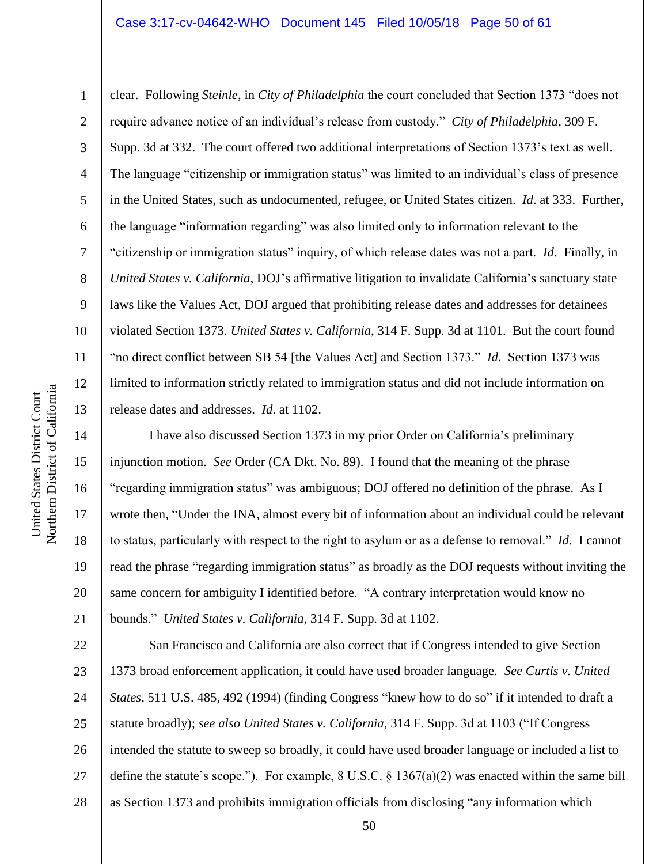#### Case 3:17-cv-04642-WHO Document 145 Filed 10/05/18 Page 50 of 61

clear. Following *Steinle*, in *City of Philadelphia* the court concluded that Section 1373 "does not require advance notice of an individual's release from custody." *City of Philadelphia*, 309 F. Supp. 3d at 332. The court offered two additional interpretations of Section 1373's text as well. The language "citizenship or immigration status" was limited to an individual's class of presence in the United States, such as undocumented, refugee, or United States citizen. *Id*. at 333. Further, the language "information regarding" was also limited only to information relevant to the "citizenship or immigration status" inquiry, of which release dates was not a part. *Id*. Finally, in *United States v. California*, DOJ's affirmative litigation to invalidate California's sanctuary state laws like the Values Act, DOJ argued that prohibiting release dates and addresses for detainees violated Section 1373. *United States v. California*, 314 F. Supp. 3d at 1101. But the court found "no direct conflict between SB 54 [the Values Act] and Section 1373." *Id*. Section 1373 was limited to information strictly related to immigration status and did not include information on release dates and addresses. *Id*. at 1102.

I have also discussed Section 1373 in my prior Order on California's preliminary injunction motion. *See* Order (CA Dkt. No. 89). I found that the meaning of the phrase "regarding immigration status" was ambiguous; DOJ offered no definition of the phrase. As I wrote then, "Under the INA, almost every bit of information about an individual could be relevant to status, particularly with respect to the right to asylum or as a defense to removal." *Id*. I cannot read the phrase "regarding immigration status" as broadly as the DOJ requests without inviting the same concern for ambiguity I identified before. "A contrary interpretation would know no bounds." *United States v. California*, 314 F. Supp. 3d at 1102.

22 23 24 25 26 27 28 San Francisco and California are also correct that if Congress intended to give Section 1373 broad enforcement application, it could have used broader language. *See Curtis v. United States*, 511 U.S. 485, 492 (1994) (finding Congress "knew how to do so" if it intended to draft a statute broadly); *see also United States v. California*, 314 F. Supp. 3d at 1103 ("If Congress intended the statute to sweep so broadly, it could have used broader language or included a list to define the statute's scope."). For example, 8 U.S.C.  $\S 1367(a)(2)$  was enacted within the same bill as Section 1373 and prohibits immigration officials from disclosing "any information which

1

2

3

4

5

6

7

8

9

10

11

12

13

14

15

16

17

18

19

20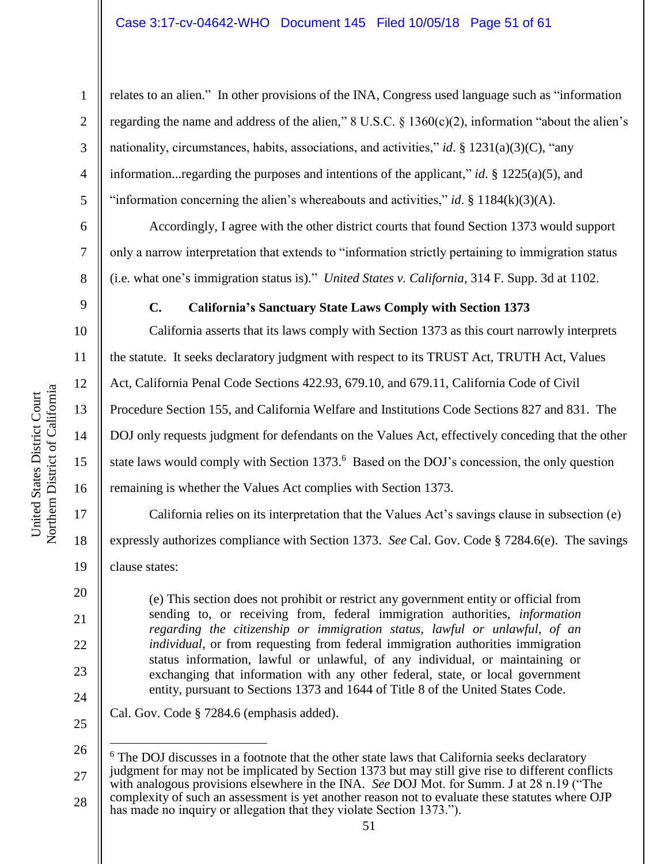relates to an alien." In other provisions of the INA, Congress used language such as "information regarding the name and address of the alien," 8 U.S.C. § 1360(c)(2), information "about the alien's nationality, circumstances, habits, associations, and activities," *id*. § 1231(a)(3)(C), "any information...regarding the purposes and intentions of the applicant," *id*. § 1225(a)(5), and "information concerning the alien's whereabouts and activities," *id*. § 1184 $(k)(3)(A)$ .

Accordingly, I agree with the other district courts that found Section 1373 would support only a narrow interpretation that extends to "information strictly pertaining to immigration status (i.e. what one's immigration status is)." *United States v. California*, 314 F. Supp. 3d at 1102.

### **C. California's Sanctuary State Laws Comply with Section 1373**

California asserts that its laws comply with Section 1373 as this court narrowly interprets the statute. It seeks declaratory judgment with respect to its TRUST Act, TRUTH Act, Values Act, California Penal Code Sections 422.93, 679.10, and 679.11, California Code of Civil Procedure Section 155, and California Welfare and Institutions Code Sections 827 and 831. The DOJ only requests judgment for defendants on the Values Act, effectively conceding that the other state laws would comply with Section 1373.<sup>6</sup> Based on the DOJ's concession, the only question remaining is whether the Values Act complies with Section 1373.

California relies on its interpretation that the Values Act's savings clause in subsection (e) expressly authorizes compliance with Section 1373. *See* Cal. Gov. Code § 7284.6(e). The savings clause states:

(e) This section does not prohibit or restrict any government entity or official from sending to, or receiving from, federal immigration authorities, *information regarding the citizenship or immigration status, lawful or unlawful, of an individual*, or from requesting from federal immigration authorities immigration status information, lawful or unlawful, of any individual, or maintaining or exchanging that information with any other federal, state, or local government entity, pursuant to Sections 1373 and 1644 of Title 8 of the United States Code.

Cal. Gov. Code § 7284.6 (emphasis added).

26 27 28  $\overline{a}$  $6$  The DOJ discusses in a footnote that the other state laws that California seeks declaratory judgment for may not be implicated by Section 1373 but may still give rise to different conflicts with analogous provisions elsewhere in the INA. *See* DOJ Mot. for Summ. J at 28 n.19 ("The complexity of such an assessment is yet another reason not to evaluate these statutes where OJP has made no inquiry or allegation that they violate Section 1373.").

1

2

3

4

5

6

7

8

9

10

11

12

13

14

15

16

17

18

19

20

21

22

23

24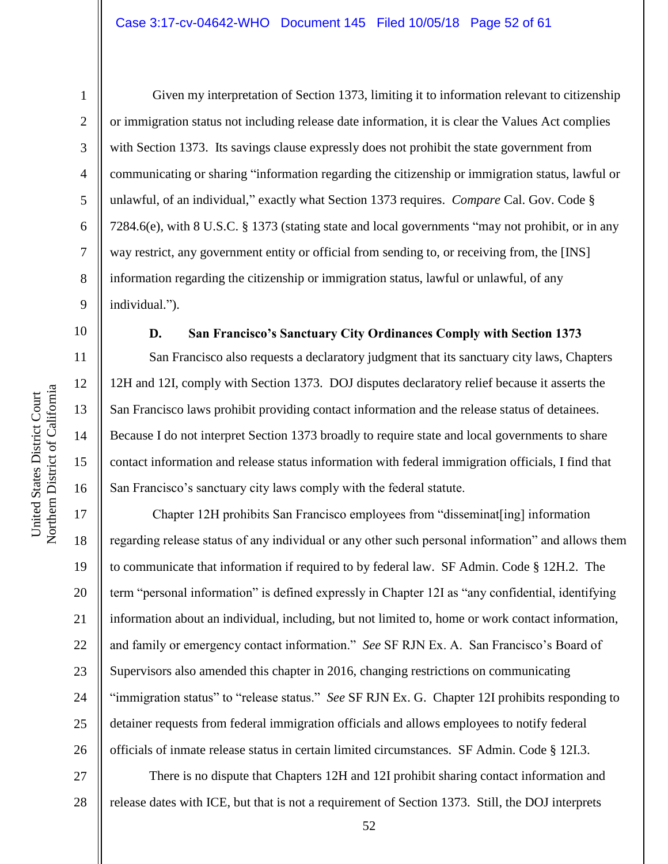1

2

3

5

8

10

11

12

13

14

15

United States District Court

United States District Court

16

4 6 7 9 Given my interpretation of Section 1373, limiting it to information relevant to citizenship or immigration status not including release date information, it is clear the Values Act complies with Section 1373. Its savings clause expressly does not prohibit the state government from communicating or sharing "information regarding the citizenship or immigration status, lawful or unlawful, of an individual," exactly what Section 1373 requires. *Compare* Cal. Gov. Code § 7284.6(e), with 8 U.S.C. § 1373 (stating state and local governments "may not prohibit, or in any way restrict, any government entity or official from sending to, or receiving from, the [INS] information regarding the citizenship or immigration status, lawful or unlawful, of any individual.").

San Francisco also requests a declaratory judgment that its sanctuary city laws, Chapters 12H and 12I, comply with Section 1373. DOJ disputes declaratory relief because it asserts the San Francisco laws prohibit providing contact information and the release status of detainees. Because I do not interpret Section 1373 broadly to require state and local governments to share contact information and release status information with federal immigration officials, I find that San Francisco's sanctuary city laws comply with the federal statute.

**D. San Francisco's Sanctuary City Ordinances Comply with Section 1373**

17 18 19 20 21 22 23 24 25 26 Chapter 12H prohibits San Francisco employees from "disseminat[ing] information regarding release status of any individual or any other such personal information" and allows them to communicate that information if required to by federal law. SF Admin. Code § 12H.2. The term "personal information" is defined expressly in Chapter 12I as "any confidential, identifying information about an individual, including, but not limited to, home or work contact information, and family or emergency contact information." *See* SF RJN Ex. A. San Francisco's Board of Supervisors also amended this chapter in 2016, changing restrictions on communicating "immigration status" to "release status." *See* SF RJN Ex. G. Chapter 12I prohibits responding to detainer requests from federal immigration officials and allows employees to notify federal officials of inmate release status in certain limited circumstances. SF Admin. Code § 12I.3.

27 28 There is no dispute that Chapters 12H and 12I prohibit sharing contact information and release dates with ICE, but that is not a requirement of Section 1373. Still, the DOJ interprets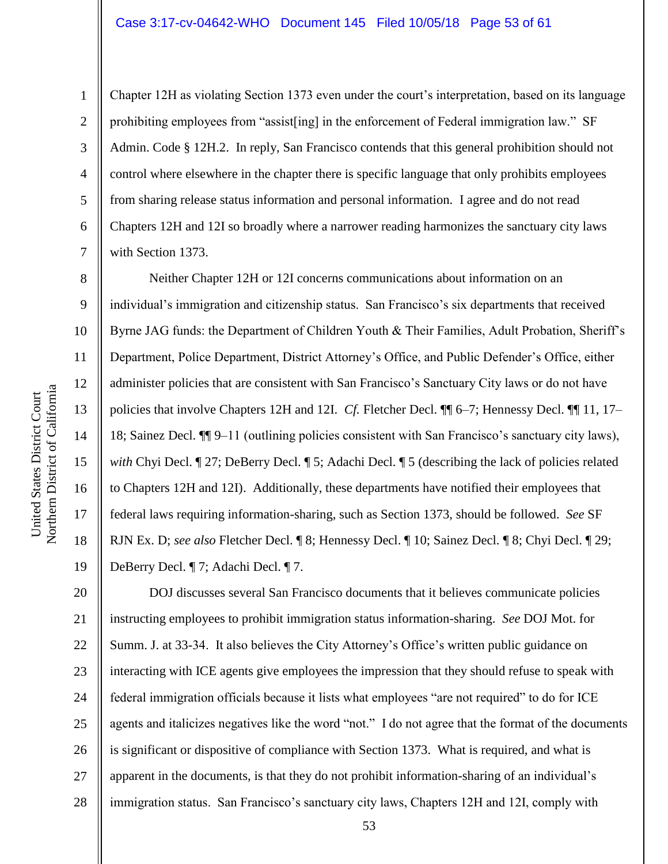Chapter 12H as violating Section 1373 even under the court's interpretation, based on its language prohibiting employees from "assist[ing] in the enforcement of Federal immigration law." SF Admin. Code § 12H.2. In reply, San Francisco contends that this general prohibition should not control where elsewhere in the chapter there is specific language that only prohibits employees from sharing release status information and personal information. I agree and do not read Chapters 12H and 12I so broadly where a narrower reading harmonizes the sanctuary city laws with Section 1373.

Neither Chapter 12H or 12I concerns communications about information on an individual's immigration and citizenship status. San Francisco's six departments that received Byrne JAG funds: the Department of Children Youth & Their Families, Adult Probation, Sheriff's Department, Police Department, District Attorney's Office, and Public Defender's Office, either administer policies that are consistent with San Francisco's Sanctuary City laws or do not have policies that involve Chapters 12H and 12I. *Cf.* Fletcher Decl. ¶¶ 6–7; Hennessy Decl. ¶¶ 11, 17– 18; Sainez Decl. ¶¶ 9–11 (outlining policies consistent with San Francisco's sanctuary city laws), *with* Chyi Decl.  $\P$  27; DeBerry Decl.  $\P$  5; Adachi Decl.  $\P$  5 (describing the lack of policies related to Chapters 12H and 12I). Additionally, these departments have notified their employees that federal laws requiring information-sharing, such as Section 1373, should be followed. *See* SF RJN Ex. D; *see also* Fletcher Decl. ¶ 8; Hennessy Decl. ¶ 10; Sainez Decl. ¶ 8; Chyi Decl. ¶ 29; DeBerry Decl. ¶ 7; Adachi Decl. ¶ 7.

20 21 22 23 24 25 26 27 28 DOJ discusses several San Francisco documents that it believes communicate policies instructing employees to prohibit immigration status information-sharing. *See* DOJ Mot. for Summ. J. at 33-34. It also believes the City Attorney's Office's written public guidance on interacting with ICE agents give employees the impression that they should refuse to speak with federal immigration officials because it lists what employees "are not required" to do for ICE agents and italicizes negatives like the word "not." I do not agree that the format of the documents is significant or dispositive of compliance with Section 1373. What is required, and what is apparent in the documents, is that they do not prohibit information-sharing of an individual's immigration status. San Francisco's sanctuary city laws, Chapters 12H and 12I, comply with

1

2

3

4

5

6

7

8

9

10

11

12

13

14

15

16

17

18

19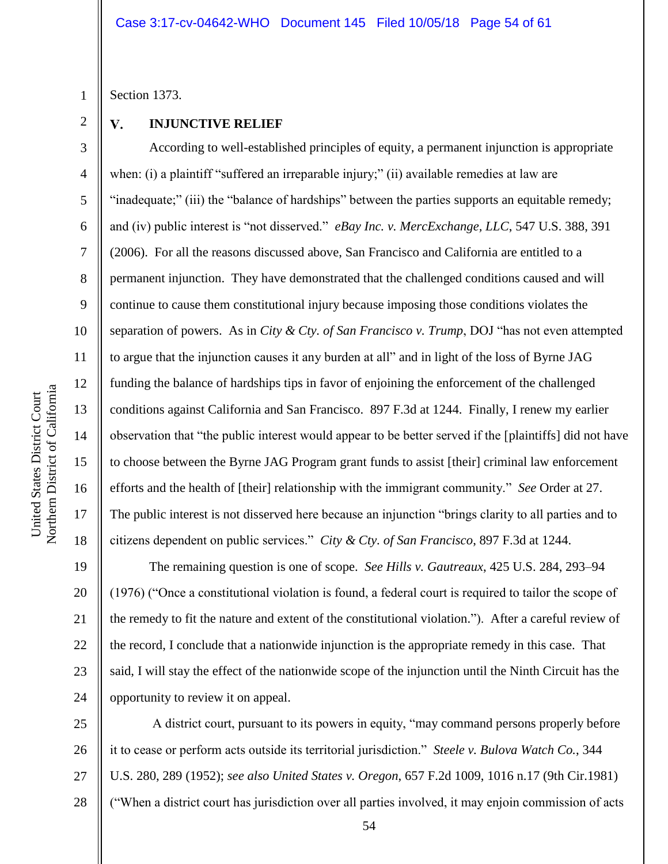Section 1373.

1

2

3

4

5

6

7

8

9

10

11

12

13

14

15

16

17

18

#### $\mathbf{V}$ . **INJUNCTIVE RELIEF**

According to well-established principles of equity, a permanent injunction is appropriate when: (i) a plaintiff "suffered an irreparable injury;" (ii) available remedies at law are "inadequate;" (iii) the "balance of hardships" between the parties supports an equitable remedy; and (iv) public interest is "not disserved." *eBay Inc. v. MercExchange, LLC*, 547 U.S. 388, 391 (2006). For all the reasons discussed above, San Francisco and California are entitled to a permanent injunction. They have demonstrated that the challenged conditions caused and will continue to cause them constitutional injury because imposing those conditions violates the separation of powers. As in *City & Cty. of San Francisco v. Trump*, DOJ "has not even attempted to argue that the injunction causes it any burden at all" and in light of the loss of Byrne JAG funding the balance of hardships tips in favor of enjoining the enforcement of the challenged conditions against California and San Francisco. 897 F.3d at 1244. Finally, I renew my earlier observation that "the public interest would appear to be better served if the [plaintiffs] did not have to choose between the Byrne JAG Program grant funds to assist [their] criminal law enforcement efforts and the health of [their] relationship with the immigrant community." *See* Order at 27. The public interest is not disserved here because an injunction "brings clarity to all parties and to citizens dependent on public services." *City & Cty. of San Francisco*, 897 F.3d at 1244.

19 20 21 22 23 24 The remaining question is one of scope. *See Hills v. Gautreaux*, 425 U.S. 284, 293–94 (1976) ("Once a constitutional violation is found, a federal court is required to tailor the scope of the remedy to fit the nature and extent of the constitutional violation."). After a careful review of the record, I conclude that a nationwide injunction is the appropriate remedy in this case. That said, I will stay the effect of the nationwide scope of the injunction until the Ninth Circuit has the opportunity to review it on appeal.

25 26 27 28 A district court, pursuant to its powers in equity, "may command persons properly before it to cease or perform acts outside its territorial jurisdiction." *Steele v. Bulova Watch Co.*, 344 U.S. 280, 289 (1952); *see also United States v. Oregon*, 657 F.2d 1009, 1016 n.17 (9th Cir.1981) ("When a district court has jurisdiction over all parties involved, it may enjoin commission of acts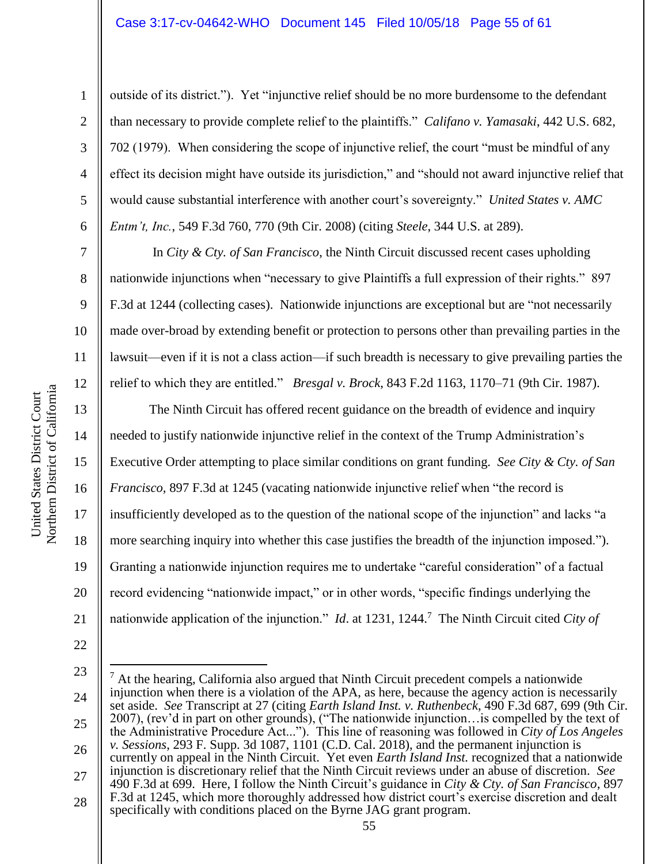outside of its district."). Yet "injunctive relief should be no more burdensome to the defendant than necessary to provide complete relief to the plaintiffs." *Califano v. Yamasaki*, 442 U.S. 682, 702 (1979). When considering the scope of injunctive relief, the court "must be mindful of any effect its decision might have outside its jurisdiction," and "should not award injunctive relief that would cause substantial interference with another court's sovereignty." *United States v. AMC Entm't, Inc.*, 549 F.3d 760, 770 (9th Cir. 2008) (citing *Steele*, 344 U.S. at 289).

In *City & Cty. of San Francisco*, the Ninth Circuit discussed recent cases upholding nationwide injunctions when "necessary to give Plaintiffs a full expression of their rights." 897 F.3d at 1244 (collecting cases). Nationwide injunctions are exceptional but are "not necessarily made over-broad by extending benefit or protection to persons other than prevailing parties in the lawsuit—even if it is not a class action—if such breadth is necessary to give prevailing parties the relief to which they are entitled." *Bresgal v. Brock*, 843 F.2d 1163, 1170–71 (9th Cir. 1987).

The Ninth Circuit has offered recent guidance on the breadth of evidence and inquiry needed to justify nationwide injunctive relief in the context of the Trump Administration's Executive Order attempting to place similar conditions on grant funding. *See City & Cty. of San Francisco,* 897 F.3d at 1245 (vacating nationwide injunctive relief when "the record is insufficiently developed as to the question of the national scope of the injunction" and lacks "a more searching inquiry into whether this case justifies the breadth of the injunction imposed."). Granting a nationwide injunction requires me to undertake "careful consideration" of a factual record evidencing "nationwide impact," or in other words, "specific findings underlying the nationwide application of the injunction." *Id.* at 1231, 1244.<sup>7</sup> The Ninth Circuit cited *City of* 

1

2

3

4

5

6

7

8

9

10

11

12

13

14

15

16

17

18

19

20

21

<sup>23</sup> 24 25 26 27 28  $\overline{a}$  $<sup>7</sup>$  At the hearing, California also argued that Ninth Circuit precedent compels a nationwide</sup> injunction when there is a violation of the APA, as here, because the agency action is necessarily set aside. *See* Transcript at 27 (citing *Earth Island Inst. v. Ruthenbeck*, 490 F.3d 687, 699 (9th Cir. 2007), (rev'd in part on other grounds), ("The nationwide injunction…is compelled by the text of the Administrative Procedure Act..."). This line of reasoning was followed in *City of Los Angeles v. Sessions*, 293 F. Supp. 3d 1087, 1101 (C.D. Cal. 2018), and the permanent injunction is currently on appeal in the Ninth Circuit. Yet even *Earth Island Inst.* recognized that a nationwide injunction is discretionary relief that the Ninth Circuit reviews under an abuse of discretion. *See* 490 F.3d at 699. Here, I follow the Ninth Circuit's guidance in *City & Cty. of San Francisco*, 897 F.3d at 1245, which more thoroughly addressed how district court's exercise discretion and dealt specifically with conditions placed on the Byrne JAG grant program.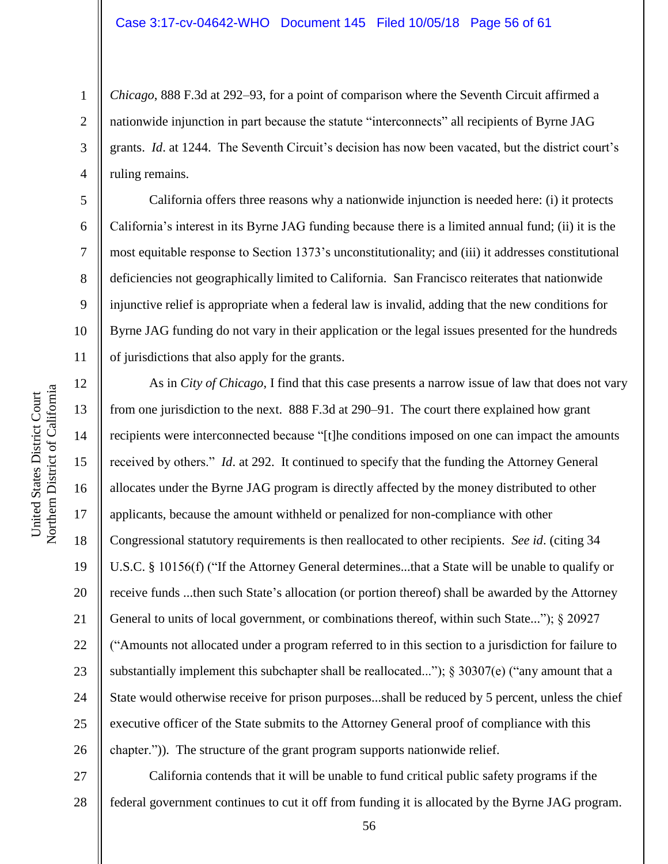*Chicago*, 888 F.3d at 292–93, for a point of comparison where the Seventh Circuit affirmed a nationwide injunction in part because the statute "interconnects" all recipients of Byrne JAG grants. *Id*. at 1244. The Seventh Circuit's decision has now been vacated, but the district court's ruling remains.

California offers three reasons why a nationwide injunction is needed here: (i) it protects California's interest in its Byrne JAG funding because there is a limited annual fund; (ii) it is the most equitable response to Section 1373's unconstitutionality; and (iii) it addresses constitutional deficiencies not geographically limited to California. San Francisco reiterates that nationwide injunctive relief is appropriate when a federal law is invalid, adding that the new conditions for Byrne JAG funding do not vary in their application or the legal issues presented for the hundreds of jurisdictions that also apply for the grants.

12 13 14 15 16 17 18 19 20 21 22 23 24 25 26 As in *City of Chicago*, I find that this case presents a narrow issue of law that does not vary from one jurisdiction to the next. 888 F.3d at 290–91. The court there explained how grant recipients were interconnected because "[t]he conditions imposed on one can impact the amounts received by others." *Id*. at 292. It continued to specify that the funding the Attorney General allocates under the Byrne JAG program is directly affected by the money distributed to other applicants, because the amount withheld or penalized for non-compliance with other Congressional statutory requirements is then reallocated to other recipients. *See id*. (citing 34 U.S.C. § 10156(f) ("If the Attorney General determines...that a State will be unable to qualify or receive funds ...then such State's allocation (or portion thereof) shall be awarded by the Attorney General to units of local government, or combinations thereof, within such State..."); § 20927 ("Amounts not allocated under a program referred to in this section to a jurisdiction for failure to substantially implement this subchapter shall be reallocated..."); § 30307(e) ("any amount that a State would otherwise receive for prison purposes...shall be reduced by 5 percent, unless the chief executive officer of the State submits to the Attorney General proof of compliance with this chapter.")). The structure of the grant program supports nationwide relief.

27 28 California contends that it will be unable to fund critical public safety programs if the federal government continues to cut it off from funding it is allocated by the Byrne JAG program.

1

2

3

4

5

6

7

8

9

10

11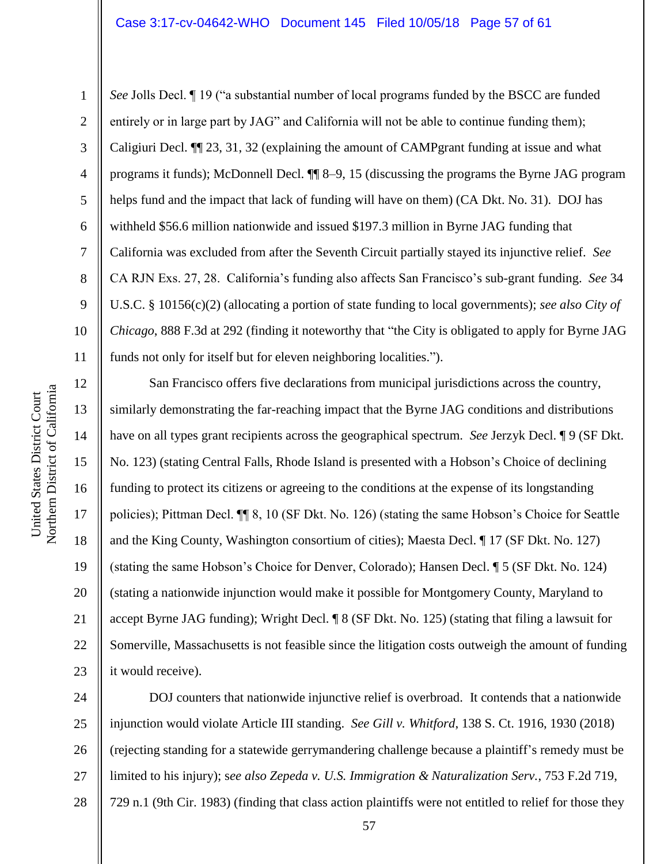*See* Jolls Decl. ¶ 19 ("a substantial number of local programs funded by the BSCC are funded entirely or in large part by JAG" and California will not be able to continue funding them); Caligiuri Decl. ¶¶ 23, 31, 32 (explaining the amount of CAMPgrant funding at issue and what programs it funds); McDonnell Decl. ¶¶ 8–9, 15 (discussing the programs the Byrne JAG program helps fund and the impact that lack of funding will have on them) (CA Dkt. No. 31). DOJ has withheld \$56.6 million nationwide and issued \$197.3 million in Byrne JAG funding that California was excluded from after the Seventh Circuit partially stayed its injunctive relief. *See* CA RJN Exs. 27, 28. California's funding also affects San Francisco's sub-grant funding. *See* 34 U.S.C. § 10156(c)(2) (allocating a portion of state funding to local governments); *see also City of Chicago*, 888 F.3d at 292 (finding it noteworthy that "the City is obligated to apply for Byrne JAG funds not only for itself but for eleven neighboring localities.").

12 13 14 15 16 17 18 19 20 21 22 23 San Francisco offers five declarations from municipal jurisdictions across the country, similarly demonstrating the far-reaching impact that the Byrne JAG conditions and distributions have on all types grant recipients across the geographical spectrum. *See* Jerzyk Decl. ¶ 9 (SF Dkt. No. 123) (stating Central Falls, Rhode Island is presented with a Hobson's Choice of declining funding to protect its citizens or agreeing to the conditions at the expense of its longstanding policies); Pittman Decl. ¶¶ 8, 10 (SF Dkt. No. 126) (stating the same Hobson's Choice for Seattle and the King County, Washington consortium of cities); Maesta Decl. ¶ 17 (SF Dkt. No. 127) (stating the same Hobson's Choice for Denver, Colorado); Hansen Decl. ¶ 5 (SF Dkt. No. 124) (stating a nationwide injunction would make it possible for Montgomery County, Maryland to accept Byrne JAG funding); Wright Decl. ¶ 8 (SF Dkt. No. 125) (stating that filing a lawsuit for Somerville, Massachusetts is not feasible since the litigation costs outweigh the amount of funding it would receive).

24 25 26 27 28 DOJ counters that nationwide injunctive relief is overbroad. It contends that a nationwide injunction would violate Article III standing. *See Gill v. Whitford*, 138 S. Ct. 1916, 1930 (2018) (rejecting standing for a statewide gerrymandering challenge because a plaintiff's remedy must be limited to his injury); s*ee also Zepeda v. U.S. Immigration & Naturalization Serv.*, 753 F.2d 719, 729 n.1 (9th Cir. 1983) (finding that class action plaintiffs were not entitled to relief for those they

1

2

3

4

5

6

7

8

9

10

11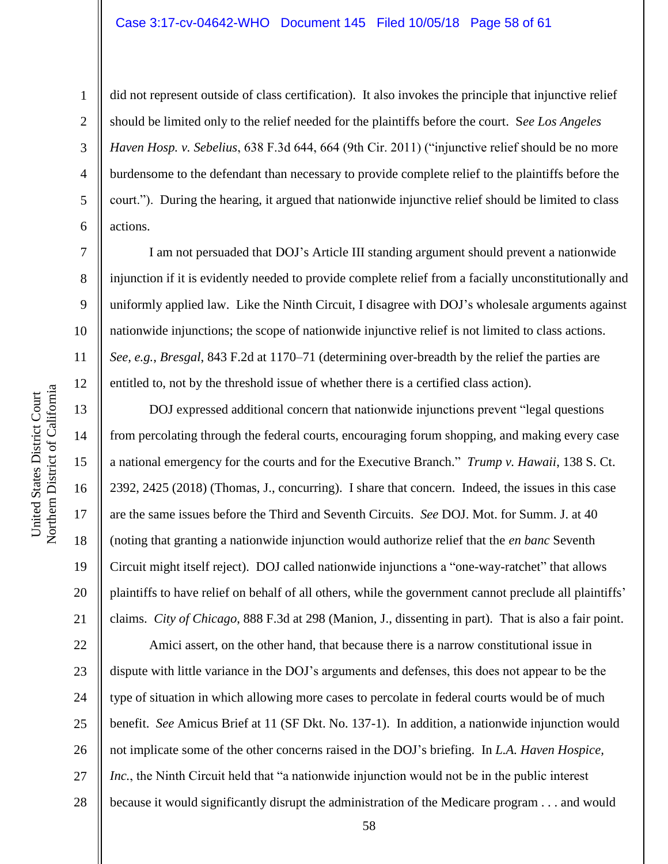#### Case 3:17-cv-04642-WHO Document 145 Filed 10/05/18 Page 58 of 61

did not represent outside of class certification). It also invokes the principle that injunctive relief should be limited only to the relief needed for the plaintiffs before the court. S*ee Los Angeles Haven Hosp. v. Sebelius*, 638 F.3d 644, 664 (9th Cir. 2011) ("injunctive relief should be no more burdensome to the defendant than necessary to provide complete relief to the plaintiffs before the court."). During the hearing, it argued that nationwide injunctive relief should be limited to class actions.

I am not persuaded that DOJ's Article III standing argument should prevent a nationwide injunction if it is evidently needed to provide complete relief from a facially unconstitutionally and uniformly applied law. Like the Ninth Circuit, I disagree with DOJ's wholesale arguments against nationwide injunctions; the scope of nationwide injunctive relief is not limited to class actions. *See, e.g.*, *Bresgal*, 843 F.2d at 1170–71 (determining over-breadth by the relief the parties are entitled to, not by the threshold issue of whether there is a certified class action).

DOJ expressed additional concern that nationwide injunctions prevent "legal questions from percolating through the federal courts, encouraging forum shopping, and making every case a national emergency for the courts and for the Executive Branch." *Trump v. Hawaii*, 138 S. Ct. 2392, 2425 (2018) (Thomas, J., concurring). I share that concern. Indeed, the issues in this case are the same issues before the Third and Seventh Circuits. *See* DOJ. Mot. for Summ. J. at 40 (noting that granting a nationwide injunction would authorize relief that the *en banc* Seventh Circuit might itself reject). DOJ called nationwide injunctions a "one-way-ratchet" that allows plaintiffs to have relief on behalf of all others, while the government cannot preclude all plaintiffs' claims. *City of Chicago*, 888 F.3d at 298 (Manion, J., dissenting in part). That is also a fair point.

22 23 24 25 26 27 28 Amici assert, on the other hand, that because there is a narrow constitutional issue in dispute with little variance in the DOJ's arguments and defenses, this does not appear to be the type of situation in which allowing more cases to percolate in federal courts would be of much benefit. *See* Amicus Brief at 11 (SF Dkt. No. 137-1). In addition, a nationwide injunction would not implicate some of the other concerns raised in the DOJ's briefing. In *L.A. Haven Hospice, Inc.*, the Ninth Circuit held that "a nationwide injunction would not be in the public interest because it would significantly disrupt the administration of the Medicare program . . . and would

1

2

3

4

5

6

7

8

9

10

11

12

13

14

15

16

17

18

19

20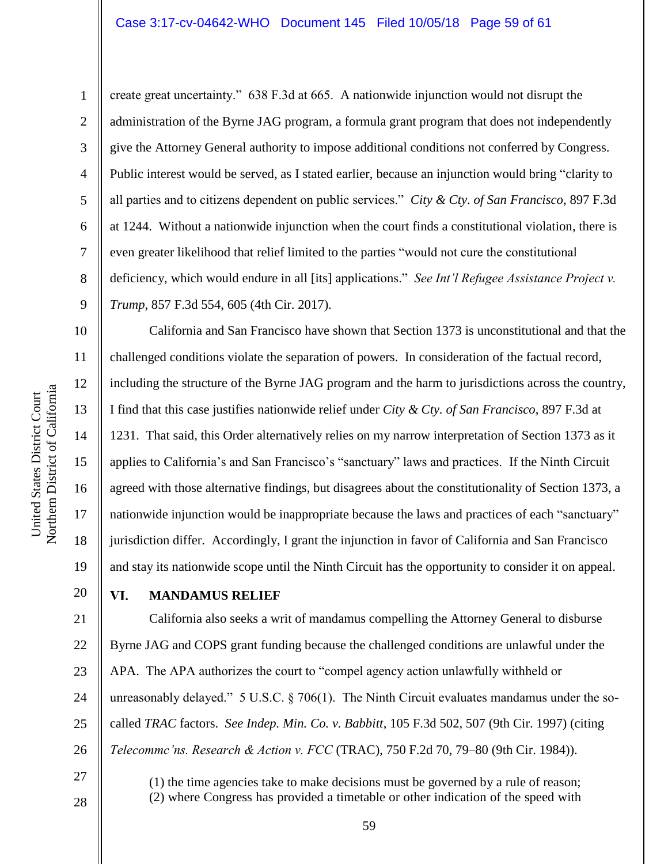#### Case 3:17-cv-04642-WHO Document 145 Filed 10/05/18 Page 59 of 61

Northern District of California Northern District of California United States District Court United States District Court

1

2

3

5

8

10

11

12

13

14

15

16

17

18

19

20

4 6 7 9 create great uncertainty." 638 F.3d at 665. A nationwide injunction would not disrupt the administration of the Byrne JAG program, a formula grant program that does not independently give the Attorney General authority to impose additional conditions not conferred by Congress. Public interest would be served, as I stated earlier, because an injunction would bring "clarity to all parties and to citizens dependent on public services." *City & Cty. of San Francisco*, 897 F.3d at 1244. Without a nationwide injunction when the court finds a constitutional violation, there is even greater likelihood that relief limited to the parties "would not cure the constitutional deficiency, which would endure in all [its] applications." *See Int'l Refugee Assistance Project v. Trump*, 857 F.3d 554, 605 (4th Cir. 2017).

California and San Francisco have shown that Section 1373 is unconstitutional and that the challenged conditions violate the separation of powers. In consideration of the factual record, including the structure of the Byrne JAG program and the harm to jurisdictions across the country, I find that this case justifies nationwide relief under *City & Cty. of San Francisco*, 897 F.3d at 1231. That said, this Order alternatively relies on my narrow interpretation of Section 1373 as it applies to California's and San Francisco's "sanctuary" laws and practices. If the Ninth Circuit agreed with those alternative findings, but disagrees about the constitutionality of Section 1373, a nationwide injunction would be inappropriate because the laws and practices of each "sanctuary" jurisdiction differ. Accordingly, I grant the injunction in favor of California and San Francisco and stay its nationwide scope until the Ninth Circuit has the opportunity to consider it on appeal.

#### VI. **MANDAMUS RELIEF**

21 22 23 24 25 26 California also seeks a writ of mandamus compelling the Attorney General to disburse Byrne JAG and COPS grant funding because the challenged conditions are unlawful under the APA. The APA authorizes the court to "compel agency action unlawfully withheld or unreasonably delayed." 5 U.S.C. § 706(1). The Ninth Circuit evaluates mandamus under the socalled *TRAC* factors. *See Indep. Min. Co. v. Babbitt*, 105 F.3d 502, 507 (9th Cir. 1997) (citing *Telecommc'ns. Research & Action v. FCC* (TRAC), 750 F.2d 70, 79–80 (9th Cir. 1984)).

> (1) the time agencies take to make decisions must be governed by a rule of reason; (2) where Congress has provided a timetable or other indication of the speed with

> > 59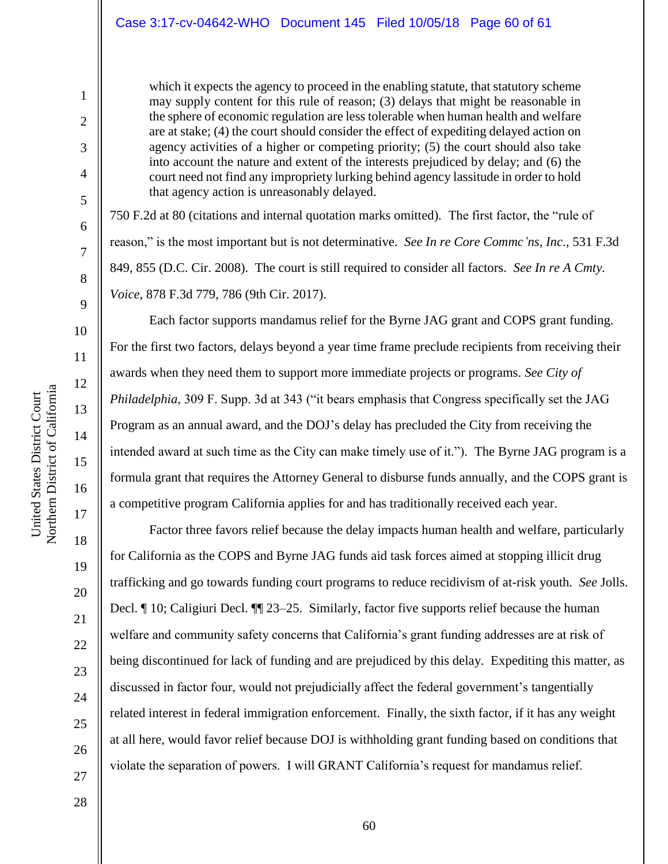which it expects the agency to proceed in the enabling statute, that statutory scheme may supply content for this rule of reason; (3) delays that might be reasonable in the sphere of economic regulation are less tolerable when human health and welfare are at stake; (4) the court should consider the effect of expediting delayed action on agency activities of a higher or competing priority; (5) the court should also take into account the nature and extent of the interests prejudiced by delay; and (6) the court need not find any impropriety lurking behind agency lassitude in order to hold that agency action is unreasonably delayed.

750 F.2d at 80 (citations and internal quotation marks omitted). The first factor, the "rule of reason," is the most important but is not determinative. *See In re Core Commc'ns, Inc*., 531 F.3d 849, 855 (D.C. Cir. 2008). The court is still required to consider all factors. *See In re A Cmty. Voice*, 878 F.3d 779, 786 (9th Cir. 2017).

Each factor supports mandamus relief for the Byrne JAG grant and COPS grant funding. For the first two factors, delays beyond a year time frame preclude recipients from receiving their awards when they need them to support more immediate projects or programs. *See City of Philadelphia*, 309 F. Supp. 3d at 343 ("it bears emphasis that Congress specifically set the JAG Program as an annual award, and the DOJ's delay has precluded the City from receiving the intended award at such time as the City can make timely use of it."). The Byrne JAG program is a formula grant that requires the Attorney General to disburse funds annually, and the COPS grant is a competitive program California applies for and has traditionally received each year.

Factor three favors relief because the delay impacts human health and welfare, particularly for California as the COPS and Byrne JAG funds aid task forces aimed at stopping illicit drug trafficking and go towards funding court programs to reduce recidivism of at-risk youth. *See* Jolls. Decl. ¶ 10; Caligiuri Decl. ¶¶ 23–25. Similarly, factor five supports relief because the human welfare and community safety concerns that California's grant funding addresses are at risk of being discontinued for lack of funding and are prejudiced by this delay. Expediting this matter, as discussed in factor four, would not prejudicially affect the federal government's tangentially related interest in federal immigration enforcement. Finally, the sixth factor, if it has any weight at all here, would favor relief because DOJ is withholding grant funding based on conditions that violate the separation of powers. I will GRANT California's request for mandamus relief.

1

2

3

4

5

6

7

8

9

10

11

12

13

14

15

16

17

18

19

20

21

22

23

24

25

26

27

28